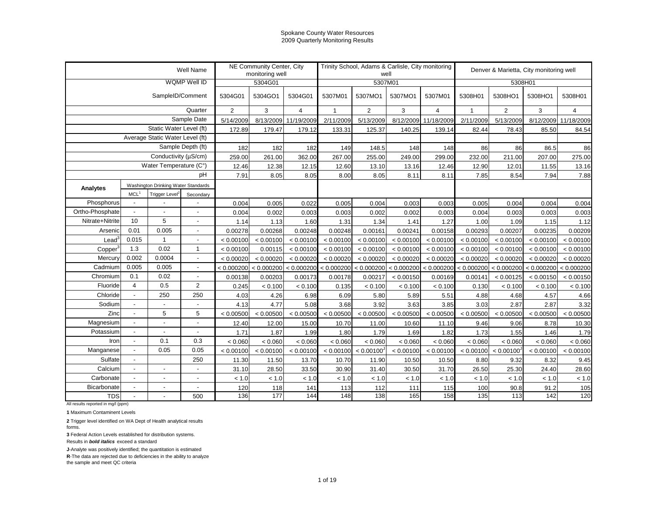|                                                  |                          |                                     | Well Name                |                | NE Community Center, City<br>monitoring well |                |                                  |                | Trinity School, Adams & Carlisle, City monitoring<br>well |                           |              | Denver & Marietta, City monitoring well |            |                |
|--------------------------------------------------|--------------------------|-------------------------------------|--------------------------|----------------|----------------------------------------------|----------------|----------------------------------|----------------|-----------------------------------------------------------|---------------------------|--------------|-----------------------------------------|------------|----------------|
|                                                  |                          |                                     | <b>WQMP Well ID</b>      |                | 5304G01                                      |                |                                  | 5307M01        |                                                           |                           |              | 5308H01                                 |            |                |
|                                                  |                          | SampleID/Comment                    |                          | 5304G01        | 5304GO1                                      | 5304G01        | 5307M01                          | 5307MO1        | 5307MO1                                                   | 5307M01                   | 5308H01      | 5308HO1                                 | 5308HO1    | 5308H01        |
|                                                  |                          |                                     | Quarter                  | $\overline{2}$ | 3                                            | $\overline{4}$ | $\mathbf{1}$                     | $\overline{2}$ | 3                                                         | $\overline{4}$            | $\mathbf{1}$ | 2                                       | 3          | $\overline{4}$ |
|                                                  |                          |                                     | Sample Date              | 5/14/2009      | 8/13/2009                                    | 11/19/2009     | 2/11/2009                        | 5/13/2009      | 8/12/2009                                                 | 11/18/2009                | 2/11/2009    | 5/13/2009                               | 8/12/2009  | 11/18/2009     |
|                                                  |                          | Static Water Level (ft)             |                          | 172.89         | 179.47                                       | 179.12         | 133.31                           | 125.37         | 140.25                                                    | 139.14                    | 82.44        | 78.43                                   | 85.50      | 84.54          |
|                                                  |                          | Average Static Water Level (ft)     |                          |                |                                              |                |                                  |                |                                                           |                           |              |                                         |            |                |
|                                                  |                          |                                     | Sample Depth (ft)        | 182            | 182                                          | 182            | 149                              | 148.5          | 148                                                       | 148                       | 86           | 86                                      | 86.5       | 86             |
|                                                  |                          | Conductivity (µS/cm)                |                          | 259.00         | 261.00                                       | 362.00         | 267.00                           | 255.00         | 249.00                                                    | 299.00                    | 232.00       | 211.00                                  | 207.00     | 275.00         |
|                                                  |                          | Water Temperature (C°)              |                          | 12.46          | 12.38                                        | 12.15          | 12.60                            | 13.10          | 13.16                                                     | 12.46                     | 12.90        | 12.01                                   | 11.55      | 13.16          |
|                                                  |                          |                                     | pH                       | 7.91           | 8.05                                         | 8.05           | 8.00                             | 8.05           | 8.11                                                      | 8.11                      | 7.85         | 8.54                                    | 7.94       | 7.88           |
| Analytes                                         |                          | Washington Drinking Water Standards |                          |                |                                              |                |                                  |                |                                                           |                           |              |                                         |            |                |
|                                                  | MCL <sup>1</sup>         | Trigger Level <sup>2</sup>          | Secondary                |                |                                              |                |                                  |                |                                                           |                           |              |                                         |            |                |
| Phosphorus                                       | $\sim$                   |                                     |                          | 0.004          | 0.005                                        | 0.022          | 0.005                            | 0.004          | 0.003                                                     | 0.003                     | 0.005        | 0.004                                   | 0.004      | 0.004          |
| Ortho-Phosphate                                  | $\blacksquare$           |                                     | $\blacksquare$           | 0.004          | 0.002                                        | 0.003          | 0.003                            | 0.002          | 0.002                                                     | 0.003                     | 0.004        | 0.003                                   | 0.003      | 0.003          |
| Nitrate+Nitrite                                  | 10                       | 5                                   | $\sim$                   | 1.14           | 1.13                                         | 1.60           | 1.31                             | 1.34           | 1.41                                                      | 1.27                      | 1.00         | 1.09                                    | 1.15       | 1.12           |
| Arsenic                                          | 0.01                     | 0.005                               |                          | 0.00278        | 0.00268                                      | 0.00248        | 0.00248                          | 0.00161        | 0.00241                                                   | 0.00158                   | 0.00293      | 0.00207                                 | 0.00235    | 0.00209        |
| Lead <sup>3</sup>                                | 0.015                    |                                     |                          | < 0.00100      | < 0.00100                                    | < 0.00100      | < 0.00100                        | < 0.00100      | < 0.00100                                                 | < 0.00100                 | < 0.00100    | < 0.00100                               | < 0.00100  | < 0.00100      |
| Copper                                           | 1.3                      | 0.02                                | $\mathbf{1}$             | < 0.00100      | 0.00115                                      | < 0.00100      | < 0.00100                        | < 0.00100      | < 0.00100                                                 | < 0.00100                 | < 0.00100    | < 0.00100                               | < 0.00100  | < 0.00100      |
| Mercury                                          | 0.002                    | 0.0004                              | $\overline{\phantom{a}}$ | < 0.00020      | < 0.00020                                    | < 0.00020      | < 0.00020                        | < 0.00020      | < 0.00020                                                 | < 0.00020                 | < 0.00020    | < 0.00020                               | < 0.00020  | < 0.00020      |
| Cadmium                                          | 0.005                    | 0.005                               | $\sim$                   | < 0.000200     | < 0.000200                                   |                | < 0.000200 < 0.000200 < 0.000200 |                |                                                           | $< 0.000200$ $< 0.000200$ | < 0.000200   | < 0.000200                              | < 0.000200 | < 0.000200     |
| Chromium                                         | 0.1                      | 0.02                                | $\overline{a}$           | 0.00138        | 0.00203                                      | 0.00173        | 0.00178                          | 0.00217        | < 0.00150                                                 | 0.00169                   | 0.00141      | < 0.00125                               | < 0.00150  | < 0.00150      |
| Fluoride                                         | $\overline{4}$           | 0.5                                 | $\overline{2}$           | 0.245          | < 0.100                                      | < 0.100        | 0.135                            | < 0.100        | < 0.100                                                   | < 0.100                   | 0.130        | < 0.100                                 | < 0.100    | < 0.100        |
| Chloride                                         | $\blacksquare$           | 250                                 | 250                      | 4.03           | 4.26                                         | 6.98           | 6.09                             | 5.80           | 5.89                                                      | 5.51                      | 4.88         | 4.68                                    | 4.57       | 4.66           |
| Sodium                                           | $\overline{\phantom{a}}$ | $\overline{\phantom{a}}$            |                          | 4.13           | 4.77                                         | 5.08           | 3.68                             | 3.92           | 3.63                                                      | 3.85                      | 3.03         | 2.87                                    | 2.87       | 3.32           |
| Zinc                                             | $\blacksquare$           | 5                                   | 5                        | < 0.00500      | < 0.00500                                    | < 0.00500      | < 0.00500                        | < 0.00500      | < 0.00500                                                 | < 0.00500                 | < 0.00500    | < 0.00500                               | < 0.00500  | < 0.00500      |
| Magnesium                                        | $\sim$                   | $\overline{a}$                      | $\overline{a}$           | 12.40          | 12.00                                        | 15.00          | 10.70                            | 11.00          | 10.60                                                     | 11.10                     | 9.46         | 9.06                                    | 8.78       | 10.30          |
| Potassium                                        | $\sim$                   | $\overline{a}$                      | $\overline{a}$           | 1.71           | 1.87                                         | 1.99           | 1.80                             | 1.79           | 1.69                                                      | 1.82                      | 1.73         | 1.55                                    | 1.46       | 1.79           |
| Iron                                             | $\overline{\phantom{a}}$ | 0.1                                 | 0.3                      | < 0.060        | < 0.060                                      | < 0.060        | < 0.060                          | < 0.060        | < 0.060                                                   | < 0.060                   | < 0.060      | < 0.060                                 | < 0.060    | < 0.060        |
| Manganese                                        | $\overline{a}$           | 0.05                                | 0.05                     | < 0.00100      | < 0.00100                                    | < 0.00100      | < 0.00100                        | < 0.00100      | < 0.00100                                                 | < 0.00100                 | < 0.00100    | < 0.00100                               | < 0.00100  | < 0.00100      |
| Sulfate                                          | $\overline{a}$           |                                     | 250                      | 11.30          | 11.50                                        | 13.70          | 10.70                            | 11.90          | 10.50                                                     | 10.50                     | 8.80         | 9.32                                    | 8.32       | 9.45           |
| Calcium                                          | $\overline{\phantom{a}}$ | $\overline{a}$                      |                          | 31.10          | 28.50                                        | 33.50          | 30.90                            | 31.40          | 30.50                                                     | 31.70                     | 26.50        | 25.30                                   | 24.40      | 28.60          |
| Carbonate                                        | $\overline{\phantom{a}}$ | $\overline{a}$                      |                          | < 1.0          | < 1.0                                        | < 1.0          | < 1.0                            | < 1.0          | < 1.0                                                     | < 1.0                     | < 1.0        | < 1.0                                   | < 1.0      | < 1.0          |
| Bicarbonate                                      | $\overline{a}$           | $\blacksquare$                      | $\overline{a}$           | 120            | 118                                          | 141            | 113                              | 112            | 111                                                       | 115                       | 100          | 90.8                                    | 91.2       | 105            |
| <b>TDS</b><br>All results reported in mg/l (ppm) |                          |                                     | 500                      | 136            | 177                                          | 144            | 148                              | 138            | 165                                                       | 158                       | 135          | 113                                     | 142        | 120            |

**1** Maximum Contaminent Levels

**2** Trigger level identified on WA Dept of Health analytical results

forms.

**3** Federal Action Levels established for distribution systems.

Results in *bold italics* exceed a standard

**J**-Analyte was positively identified; the quantitation is estimated

**R**-The data are rejected due to deficiencies in the ability to analyze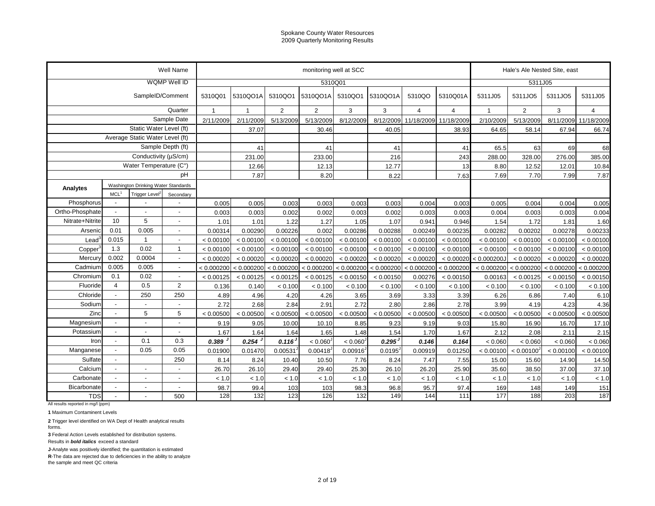|                                                  |                                                                                                                       |                                 | Well Name                |                |                                                                                                                                                                                                                                  |                | monitoring well at SCC |                      |           |                |            |                | Hale's Ale Nested Site, east |            |                |
|--------------------------------------------------|-----------------------------------------------------------------------------------------------------------------------|---------------------------------|--------------------------|----------------|----------------------------------------------------------------------------------------------------------------------------------------------------------------------------------------------------------------------------------|----------------|------------------------|----------------------|-----------|----------------|------------|----------------|------------------------------|------------|----------------|
|                                                  |                                                                                                                       |                                 | WQMP Well ID             |                |                                                                                                                                                                                                                                  |                | 5310Q01                |                      |           |                |            |                | 5311J05                      |            |                |
|                                                  |                                                                                                                       | SampleID/Comment                |                          | 5310Q01        | 5310QO1A                                                                                                                                                                                                                         | 5310QO1        | 5310QO1A               | 5310QO1              | 5310QO1A  | 5310QO         | 5310Q01A   | 5311J05        | 5311JO5                      | 5311JO5    | 5311J05        |
|                                                  |                                                                                                                       |                                 | Quarter                  | $\overline{1}$ | $\mathbf{1}$                                                                                                                                                                                                                     | $\overline{2}$ | 2                      | 3                    | 3         | $\overline{4}$ | 4          | $\overline{1}$ | $\overline{2}$               | 3          | $\overline{4}$ |
|                                                  |                                                                                                                       |                                 | Sample Date              | 2/11/2009      | 2/11/2009                                                                                                                                                                                                                        | 5/13/2009      | 5/13/2009              | 8/12/2009            | 8/12/2009 | 11/18/2009     | 11/18/2009 | 2/10/2009      | 5/13/2009                    | 8/11/2009  | 11/18/2009     |
|                                                  |                                                                                                                       | Static Water Level (ft)         |                          |                | 37.07                                                                                                                                                                                                                            |                | 30.46                  |                      | 40.05     |                | 38.93      | 64.65          | 58.14                        | 67.94      | 66.74          |
|                                                  |                                                                                                                       | Average Static Water Level (ft) |                          |                |                                                                                                                                                                                                                                  |                |                        |                      |           |                |            |                |                              |            |                |
|                                                  |                                                                                                                       |                                 | Sample Depth (ft)        |                | 41                                                                                                                                                                                                                               |                | 41                     |                      | 41        |                | 41         | 65.5           | 63                           | 69         | 68             |
|                                                  |                                                                                                                       | Conductivity (µS/cm)            |                          |                | 231.00                                                                                                                                                                                                                           |                | 233.00                 |                      | 216       |                | 243        | 288.00         | 328.00                       | 276.00     | 385.00         |
|                                                  |                                                                                                                       | Water Temperature (C°)          |                          |                | 12.66                                                                                                                                                                                                                            |                | 12.13                  |                      | 12.77     |                | 13         | 8.80           | 12.52                        | 12.01      | 10.84          |
|                                                  |                                                                                                                       |                                 | pH                       |                | 7.87                                                                                                                                                                                                                             |                | 8.20                   |                      | 8.22      |                | 7.63       | 7.69           | 7.70                         | 7.99       | 7.87           |
| Analytes                                         | Washington Drinking Water Standards<br>MCL <sup>1</sup><br>Trigger Level <sup>*</sup><br>Phosphorus<br>$\blacksquare$ |                                 |                          |                |                                                                                                                                                                                                                                  |                |                        |                      |           |                |            |                |                              |            |                |
|                                                  |                                                                                                                       |                                 | Secondary                |                |                                                                                                                                                                                                                                  |                |                        |                      |           |                |            |                |                              |            |                |
|                                                  |                                                                                                                       |                                 |                          | 0.005          | 0.005                                                                                                                                                                                                                            | 0.003          | 0.003                  | 0.003                | 0.003     | 0.004          | 0.003      | 0.005          | 0.004                        | 0.004      | 0.005          |
| Ortho-Phosphate                                  |                                                                                                                       |                                 |                          | 0.003          | 0.003                                                                                                                                                                                                                            | 0.002          | 0.002                  | 0.003                | 0.002     | 0.003          | 0.003      | 0.004          | 0.003                        | 0.003      | 0.004          |
| Nitrate+Nitrite                                  |                                                                                                                       |                                 | $\overline{a}$           | 1.01           | 1.01                                                                                                                                                                                                                             | 1.22           | 1.27                   | 1.05                 | 1.07      | 0.941          | 0.946      | 1.54           | 1.72                         | 1.81       | 1.60           |
| Arsenic                                          | 0.01                                                                                                                  |                                 | $\blacksquare$           | 0.00314        | 0.00290                                                                                                                                                                                                                          | 0.00226        | 0.002                  | 0.00286              | 0.00288   | 0.00249        | 0.00235    | 0.00282        | 0.00202                      | 0.00278    | 0.00233        |
| $\textsf{lead}^3$                                |                                                                                                                       | -1                              | $\blacksquare$           | < 0.00100      | < 0.00100                                                                                                                                                                                                                        | < 0.00100      | < 0.00100              | < 0.00100            | < 0.00100 | < 0.00100      | < 0.00100  | < 0.00100      | < 0.00100                    | < 0.00100  | < 0.00100      |
| Copper                                           |                                                                                                                       |                                 | $\mathbf{1}$             | < 0.00100      | < 0.00100                                                                                                                                                                                                                        | < 0.00100      | < 0.00100              | < 0.00100            | < 0.00100 | < 0.00100      | < 0.00100  | < 0.00100      | < 0.00100                    | < 0.00100  | < 0.00100      |
| Mercury                                          | 5<br>10<br>0.005<br>0.015<br>0.02<br>1.3<br>0.002<br>0.0004                                                           |                                 | $\overline{\phantom{a}}$ | < 0.00020      | < 0.00020                                                                                                                                                                                                                        | < 0.00020      | < 0.00020              | < 0.00020            | < 0.00020 | < 0.00020      | < 0.00020  | < 0.000200J    | < 0.00020                    | < 0.00020  | < 0.00020      |
| Cadmium                                          | 0.005                                                                                                                 | 0.005                           | $\overline{a}$           | < 0.000200     | $\vert$ < 0.000200 < 0.000200 < 0.000200 < 0.000200 < 0.000200 < 0.000200 < 0.000200 < 0.000200 < 0.000200 < 0.000200 < 0.000200 < 0.000200 < 0.000200 < 0.000200 < 0.000200 < 0.000 < 0.000 < 0.000 < 0.000 < 0.000 < 0.000 < 0 |                |                        |                      |           | < 0.000200     | < 0.000200 | < 0.000200     | < 0.000200                   | < 0.000200 | < 0.000200     |
| Chromium                                         | 0.1                                                                                                                   | 0.02                            | $\overline{a}$           | < 0.00125      | < 0.00125                                                                                                                                                                                                                        | < 0.00125      | < 0.00125              | < 0.00150            | < 0.00150 | 0.00276        | < 0.00150  | 0.00163        | < 0.00125                    | < 0.00150  | < 0.00150      |
| Fluoride                                         | $\overline{4}$                                                                                                        | 0.5                             | $\overline{2}$           | 0.136          | 0.140                                                                                                                                                                                                                            | < 0.100        | < 0.100                | < 0.100              | < 0.100   | < 0.100        | < 0.100    | < 0.100        | < 0.100                      | < 0.100    | < 0.100        |
| Chloride                                         | $\overline{a}$                                                                                                        | 250                             | 250                      | 4.89           | 4.96                                                                                                                                                                                                                             | 4.20           | 4.26                   | 3.65                 | 3.69      | 3.33           | 3.39       | 6.26           | 6.86                         | 7.40       | 6.10           |
| Sodium                                           | $\overline{a}$                                                                                                        | $\overline{a}$                  | $\blacksquare$           | 2.72           | 2.68                                                                                                                                                                                                                             | 2.84           | 2.91                   | 2.72                 | 2.80      | 2.86           | 2.78       | 3.99           | 4.19                         | 4.23       | 4.36           |
| Zinc                                             |                                                                                                                       | 5                               | 5                        | < 0.00500      | < 0.00500                                                                                                                                                                                                                        | < 0.00500      | < 0.00500              | < 0.00500            | < 0.00500 | < 0.00500      | < 0.00500  | < 0.00500      | < 0.00500                    | < 0.00500  | < 0.00500      |
| Magnesium                                        | $\blacksquare$                                                                                                        | $\overline{\phantom{a}}$        |                          | 9.19           | 9.05                                                                                                                                                                                                                             | 10.00          | 10.10                  | 8.85                 | 9.23      | 9.19           | 9.03       | 15.80          | 16.90                        | 16.70      | 17.10          |
| Potassium                                        | $\blacksquare$                                                                                                        | $\overline{\phantom{a}}$        | $\blacksquare$           | 1.67           | 1.64                                                                                                                                                                                                                             | 1.64           | 1.65                   | 1.48                 | 1.54      | 1.70           | 1.67       | 2.12           | 2.08                         | 2.11       | 2.15           |
| Iron                                             | $\sim$                                                                                                                | 0.1                             | 0.3                      | 0.389          | 0.254                                                                                                                                                                                                                            | 0.116          | < 0.060 <sup>3</sup>   | < 0.060 <sup>3</sup> | 0.295     | 0.146          | 0.164      | < 0.060        | < 0.060                      | < 0.060    | < 0.060        |
| Manganese                                        | $\overline{a}$                                                                                                        | 0.05                            | 0.05                     | 0.01900        | 0.01470                                                                                                                                                                                                                          | 0.00531        | 0.00418                | 0.00916              | 0.0195    | 0.00919        | 0.01250    | < 0.00100      | < 0.00100                    | < 0.00100  | < 0.00100      |
| Sulfate                                          | $\overline{\phantom{a}}$                                                                                              |                                 | 250                      | 8.14           | 8.24                                                                                                                                                                                                                             | 10.40          | 10.50                  | 7.76                 | 8.24      | 7.47           | 7.55       | 15.00          | 15.60                        | 14.90      | 14.50          |
| Calcium                                          | $\blacksquare$                                                                                                        | $\overline{a}$                  |                          | 26.70          | 26.10                                                                                                                                                                                                                            | 29.40          | 29.40                  | 25.30                | 26.10     | 26.20          | 25.90      | 35.60          | 38.50                        | 37.00      | 37.10          |
| Carbonate                                        | $\blacksquare$                                                                                                        | $\overline{\phantom{a}}$        |                          | < 1.0          | < 1.0                                                                                                                                                                                                                            | < 1.0          | < 1.0                  | $< 1.0$              | < 1.0     | < 1.0          | < 1.0      | < 1.0          | < 1.0                        | < 1.0      | < 1.0          |
| Bicarbonate                                      | $\blacksquare$                                                                                                        | $\blacksquare$                  | $\blacksquare$           | 98.7           | 99.4                                                                                                                                                                                                                             | 103            | 103                    | 98.3                 | 96.8      | 95.7           | 97.4       | 169            | 148                          | 149        | 151            |
| <b>TDS</b><br>All results reported in mg/l (ppm) |                                                                                                                       |                                 | 500                      | 128            | 132                                                                                                                                                                                                                              | 123            | 126                    | 132                  | 149       | 144            | 111        | 177            | 188                          | 203        | 187            |

**1** Maximum Contaminent Levels

**2** Trigger level identified on WA Dept of Health analytical results

forms.

**3** Federal Action Levels established for distribution systems.

Results in *bold italics* exceed a standard

**J**-Analyte was positively identified; the quantitation is estimated

**R**-The data are rejected due to deficiencies in the ability to analyze the sample and meet QC criteria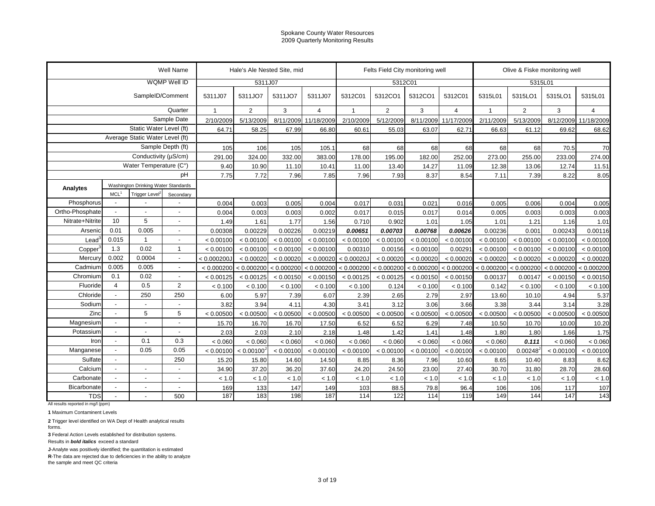|                                                  |                          |                                     | Well Name                |                           | Hale's Ale Nested Site, mid |            |                |                       |                | Felts Field City monitoring well |                       |                | Olive & Fiske monitoring well |            |                |
|--------------------------------------------------|--------------------------|-------------------------------------|--------------------------|---------------------------|-----------------------------|------------|----------------|-----------------------|----------------|----------------------------------|-----------------------|----------------|-------------------------------|------------|----------------|
|                                                  |                          |                                     | WQMP Well ID             |                           | 5311J07                     |            |                |                       | 5312C01        |                                  |                       |                | 5315L01                       |            |                |
|                                                  |                          | SampleID/Comment                    |                          | 5311J07                   | 5311JO7                     | 5311JO7    | 5311J07        | 5312C01               | 5312CO1        | 5312CO1                          | 5312C01               | 5315L01        | 5315LO1                       | 5315LO1    | 5315L01        |
|                                                  |                          |                                     | Quarter                  | $\overline{1}$            | $\overline{2}$              | 3          | $\overline{4}$ | 1                     | $\overline{2}$ | 3                                | $\overline{4}$        | $\overline{1}$ | $\overline{2}$                | 3          | $\overline{4}$ |
|                                                  |                          |                                     | Sample Date              | 2/10/2009                 | 5/13/2009                   | 8/11/2009  | 11/18/2009     | 2/10/2009             | 5/12/2009      | 8/11/2009                        | 11/17/2009            | 2/11/2009      | 5/13/2009                     | 8/12/2009  | 11/18/2009     |
|                                                  |                          | Static Water Level (ft)             |                          | 64.71                     | 58.25                       | 67.99      | 66.80          | 60.61                 | 55.03          | 63.07                            | 62.71                 | 66.63          | 61.12                         | 69.62      | 68.62          |
|                                                  |                          | Average Static Water Level (ft)     |                          |                           |                             |            |                |                       |                |                                  |                       |                |                               |            |                |
|                                                  |                          |                                     | Sample Depth (ft)        | 105                       | 106                         | 105        | 105.1          | 68                    | 68             | 68                               | 68                    | 68             | 68                            | 70.5       | 70             |
|                                                  |                          | Conductivity (µS/cm)                |                          | 291.00                    | 324.00                      | 332.00     | 383.00         | 178.00                | 195.00         | 182.00                           | 252.00                | 273.00         | 255.00                        | 233.00     | 274.00         |
|                                                  |                          | Water Temperature (C°)              |                          | 9.40                      | 10.90                       | 11.10      | 10.41          | 11.00                 | 13.40          | 14.27                            | 11.09                 | 12.38          | 13.06                         | 12.74      | 11.51          |
|                                                  |                          |                                     | рH                       | 7.75                      | 7.72                        | 7.96       | 7.85           | 7.96                  | 7.93           | 8.37                             | 8.54                  | 7.11           | 7.39                          | 8.22       | 8.05           |
| Analytes                                         |                          | Washington Drinking Water Standards |                          |                           |                             |            |                |                       |                |                                  |                       |                |                               |            |                |
|                                                  | MCL <sup>1</sup>         | Trigger Level                       | Secondary                |                           |                             |            |                |                       |                |                                  |                       |                |                               |            |                |
| Phosphorus                                       | $\blacksquare$           |                                     |                          | 0.004                     | 0.003                       | 0.005      | 0.004          | 0.017                 | 0.031          | 0.021                            | 0.016                 | 0.005          | 0.006                         | 0.004      | 0.005          |
| Ortho-Phosphate                                  |                          |                                     |                          | 0.004                     | 0.003                       | 0.003      | 0.002          | 0.017                 | 0.015          | 0.017                            | 0.014                 | 0.005          | 0.003                         | 0.003      | 0.003          |
| Nitrate+Nitrite                                  | 10                       | 5                                   | $\overline{a}$           | 1.49                      | 1.61                        | 1.77       | 1.56           | 0.710                 | 0.902          | 1.01                             | 1.05                  | 1.01           | 1.21                          | 1.16       | 1.01           |
| Arsenic                                          | 0.01                     | 0.005                               | $\blacksquare$           | 0.00308                   | 0.00229                     | 0.00226    | 0.00219        | 0.00651               | 0.00703        | 0.00768                          | 0.00626               | 0.00236        | 0.001                         | 0.00243    | 0.00116        |
| $\textsf{lead}^3$                                | 0.015                    | -1                                  | $\blacksquare$           | < 0.00100                 | < 0.00100                   | < 0.00100  | < 0.00100      | < 0.00100             | < 0.00100      | < 0.00100                        | < 0.00100             | < 0.00100      | < 0.00100                     | < 0.00100  | < 0.00100      |
| Copper                                           | 1.3                      | 0.02                                | $\mathbf{1}$             | < 0.00100                 | < 0.00100                   | < 0.00100  | < 0.00100      | 0.00310               | 0.00156        | < 0.00100                        | 0.00291               | < 0.00100      | < 0.00100                     | < 0.00100  | < 0.00100      |
| Mercury                                          | 0.002                    | 0.0004                              | $\overline{\phantom{a}}$ | < 0.000200J               | < 0.00020                   | < 0.00020  | < 0.00020      | < 0.00020J            | < 0.00020      | < 0.00020                        | < 0.00020             | < 0.00020      | < 0.00020                     | < 0.00020  | < 0.00020      |
| Cadmium                                          | 0.005                    | 0.005                               | $\overline{a}$           | $< 0.000200$ $< 0.000200$ |                             | < 0.000200 | < 0.000200     | < 0.000200 < 0.000200 |                |                                  | < 0.000200 < 0.000200 | < 0.000200     | < 0.000200                    | < 0.000200 | < 0.000200     |
| Chromium                                         | 0.1                      | 0.02                                | $\overline{a}$           | < 0.00125                 | < 0.00125                   | < 0.00150  | < 0.00150      | < 0.00125             | < 0.00125      | < 0.00150                        | < 0.00150             | 0.00137        | 0.00147                       | < 0.00150  | < 0.00150      |
| Fluoride                                         | $\overline{4}$           | 0.5                                 | $\overline{2}$           | < 0.100                   | < 0.100                     | < 0.100    | < 0.100        | < 0.100               | 0.124          | < 0.100                          | < 0.100               | 0.142          | < 0.100                       | < 0.100    | < 0.100        |
| Chloride                                         | $\overline{a}$           | 250                                 | 250                      | 6.00                      | 5.97                        | 7.39       | 6.07           | 2.39                  | 2.65           | 2.79                             | 2.97                  | 13.60          | 10.10                         | 4.94       | 5.37           |
| Sodium                                           | $\overline{a}$           | $\overline{a}$                      | $\overline{a}$           | 3.82                      | 3.94                        | 4.11       | 4.30           | 3.41                  | 3.12           | 3.06                             | 3.66                  | 3.38           | 3.44                          | 3.14       | 3.28           |
| Zinc                                             |                          | 5                                   | 5                        | < 0.00500                 | < 0.00500                   | < 0.00500  | < 0.00500      | < 0.00500             | < 0.00500      | < 0.00500                        | < 0.00500             | < 0.00500      | < 0.00500                     | < 0.00500  | < 0.00500      |
| Magnesium                                        | $\blacksquare$           | $\overline{\phantom{a}}$            |                          | 15.70                     | 16.70                       | 16.70      | 17.50          | 6.52                  | 6.52           | 6.29                             | 7.48                  | 10.50          | 10.70                         | 10.00      | 10.20          |
| Potassium                                        | $\overline{\phantom{a}}$ | $\overline{\phantom{a}}$            | $\blacksquare$           | 2.03                      | 2.03                        | 2.10       | 2.18           | 1.48                  | 1.42           | 1.41                             | 1.48                  | 1.80           | 1.80                          | 1.66       | 1.75           |
| Iron                                             | $\overline{a}$           | 0.1                                 | 0.3                      | < 0.060                   | < 0.060                     | < 0.060    | < 0.060        | < 0.060               | < 0.060        | < 0.060                          | < 0.060               | < 0.060        | 0.111                         | < 0.060    | < 0.060        |
| Manganese                                        | $\overline{a}$           | 0.05                                | 0.05                     | < 0.00100                 | < 0.00100                   | < 0.00100  | < 0.00100      | < 0.00100             | < 0.00100      | < 0.00100                        | < 0.00100             | < 0.00100      | 0.00248                       | < 0.00100  | < 0.00100      |
| Sulfate                                          | $\overline{\phantom{a}}$ |                                     | 250                      | 15.20                     | 15.80                       | 14.60      | 14.50          | 8.85                  | 8.36           | 7.96                             | 10.60                 | 8.65           | 10.40                         | 8.83       | 8.62           |
| Calcium                                          | $\overline{\phantom{a}}$ | $\overline{a}$                      |                          | 34.90                     | 37.20                       | 36.20      | 37.60          | 24.20                 | 24.50          | 23.00                            | 27.40                 | 30.70          | 31.80                         | 28.70      | 28.60          |
| Carbonate                                        | $\blacksquare$           | $\overline{\phantom{a}}$            |                          | < 1.0                     | < 1.0                       | < 1.0      | < 1.0          | < 1.0                 | < 1.0          | < 1.0                            | < 1.0                 | < 1.0          | < 1.0                         | < 1.0      | < 1.0          |
| Bicarbonate                                      | $\blacksquare$           | $\blacksquare$                      | $\blacksquare$           | 169                       | 133                         | 147        | 149            | 103                   | 88.5           | 79.8                             | 96.4                  | 106            | 106                           | 117        | 107            |
| <b>TDS</b><br>All results reported in mg/l (ppm) |                          |                                     | 500                      | 187                       | 183                         | 198        | 187            | 114                   | 122            | 114                              | 119                   | 149            | 144                           | 147        | 143            |

**1** Maximum Contaminent Levels

**2** Trigger level identified on WA Dept of Health analytical results

forms.

**3** Federal Action Levels established for distribution systems.

Results in *bold italics* exceed a standard

**J**-Analyte was positively identified; the quantitation is estimated

**R**-The data are rejected due to deficiencies in the ability to analyze the sample and meet QC criteria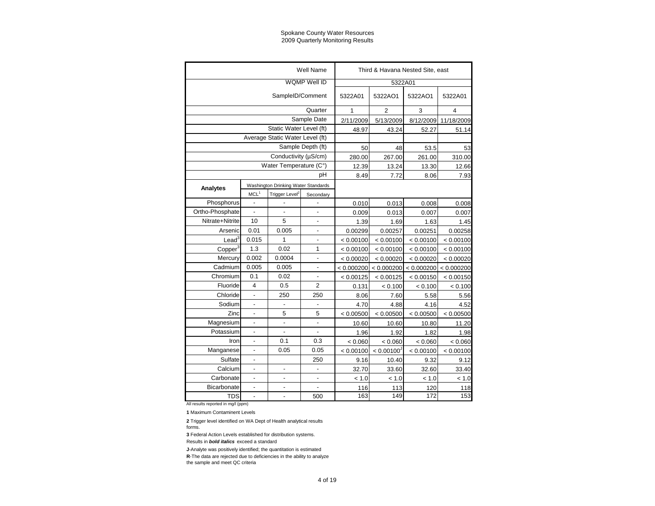|                     |                              |                                     | Well Name                    |            |                        | Third & Havana Nested Site, east |            |
|---------------------|------------------------------|-------------------------------------|------------------------------|------------|------------------------|----------------------------------|------------|
|                     |                              |                                     |                              |            |                        |                                  |            |
|                     |                              |                                     | WQMP Well ID                 |            | 5322A01                |                                  |            |
|                     |                              | SampleID/Comment                    |                              | 5322A01    | 5322AO1                | 5322AO1                          | 5322A01    |
|                     |                              |                                     | Quarter                      | 1          | $\overline{2}$         | 3                                | 4          |
|                     |                              |                                     | Sample Date                  | 2/11/2009  | 5/13/2009              | 8/12/2009                        | 11/18/2009 |
|                     |                              | Static Water Level (ft)             |                              | 48.97      | 43.24                  | 52.27                            | 51.14      |
|                     |                              | Average Static Water Level (ft)     |                              |            |                        |                                  |            |
|                     |                              |                                     | Sample Depth (ft)            | 50         | 48                     | 53.5                             | 53         |
|                     |                              | Conductivity (µS/cm)                |                              | 280.00     | 267.00                 | 261.00                           | 310.00     |
|                     |                              | Water Temperature (C°)              |                              | 12.39      | 13.24                  | 13.30                            | 12.66      |
|                     |                              |                                     | pH                           | 8.49       | 7.72                   | 8.06                             | 7.93       |
| Analytes            |                              | Washington Drinking Water Standards |                              |            |                        |                                  |            |
|                     | MCL <sup>1</sup>             | Trigger Level <sup>2</sup>          | Secondary                    |            |                        |                                  |            |
| Phosphorus          | $\overline{a}$               |                                     |                              | 0.010      | 0.013                  | 0.008                            | 0.008      |
| Ortho-Phosphate     | $\overline{a}$               | $\overline{a}$                      | $\overline{a}$               | 0.009      | 0.013                  | 0.007                            | 0.007      |
| Nitrate+Nitrite     | 10                           | 5                                   | $\overline{a}$               | 1.39       | 1.69                   | 1.63                             | 1.45       |
| Arsenic             | 0.01                         | 0.005                               | $\overline{a}$               | 0.00299    | 0.00257                | 0.00251                          | 0.00258    |
| Lead <sup>3</sup>   | 0.015                        | 1                                   | $\overline{a}$               | < 0.00100  | < 0.00100              | < 0.00100                        | < 0.00100  |
| Copper <sup>3</sup> | 1.3                          | 0.02                                | 1                            | < 0.00100  | < 0.00100              | < 0.00100                        | < 0.00100  |
| Mercury             | 0.002                        | 0.0004                              | $\overline{\phantom{a}}$     | < 0.00020  | < 0.00020              | < 0.00020                        | < 0.00020  |
| Cadmium             | 0.005                        | 0.005                               | $\qquad \qquad \blacksquare$ | < 0.000200 | < 0.000200             | < 0.000200                       | < 0.000200 |
| Chromium            | 0.1                          | 0.02                                | -                            | < 0.00125  | < 0.00125              | < 0.00150                        | < 0.00150  |
| Fluoride            | $\overline{4}$               | 0.5                                 | $\overline{2}$               | 0.131      | < 0.100                | < 0.100                          | < 0.100    |
| Chloride            | $\overline{\phantom{a}}$     | 250                                 | 250                          | 8.06       | 7.60                   | 5.58                             | 5.56       |
| Sodium              | $\overline{\phantom{a}}$     | $\overline{\phantom{a}}$            | $\overline{\phantom{a}}$     | 4.70       | 4.88                   | 4.16                             | 4.52       |
| Zinc                | $\overline{a}$               | 5                                   | 5                            | < 0.00500  | < 0.00500              | < 0.00500                        | < 0.00500  |
| Magnesium           | $\qquad \qquad \blacksquare$ | $\overline{a}$                      | $\overline{a}$               | 10.60      | 10.60                  | 10.80                            | 11.20      |
| Potassium           | $\overline{a}$               | $\overline{a}$                      | $\overline{a}$               | 1.96       | 1.92                   | 1.82                             | 1.98       |
| Iron                | $\overline{a}$               | 0.1                                 | 0.3                          | < 0.060    | < 0.060                | < 0.060                          | < 0.060    |
| Manganese           |                              | 0.05                                | 0.05                         | < 0.00100  | < 0.00100 <sup>J</sup> | < 0.00100                        | < 0.00100  |
| Sulfate             |                              |                                     | 250                          | 9.16       | 10.40                  | 9.32                             | 9.12       |
| Calcium             | $\overline{a}$               |                                     |                              | 32.70      | 33.60                  | 32.60                            | 33.40      |
| Carbonate           |                              |                                     | $\overline{a}$               | < 1.0      | < 1.0                  | < 1.0                            | < 1.0      |
| Bicarbonate         | $\overline{a}$               | $\overline{a}$                      |                              | 116        | 113                    | 120                              | 118        |
| <b>TDS</b>          | $\overline{a}$               | $\overline{a}$                      | 500                          | 163        | 149                    | 172                              | 153        |

All results reported in mg/l (ppm)

**1** Maximum Contaminent Levels

**2** Trigger level identified on WA Dept of Health analytical results forms.

**3** Federal Action Levels established for distribution systems.

Results in *bold italics* exceed a standard

**J**-Analyte was positively identified; the quantitation is estimated **R**-The data are rejected due to deficiencies in the ability to analyze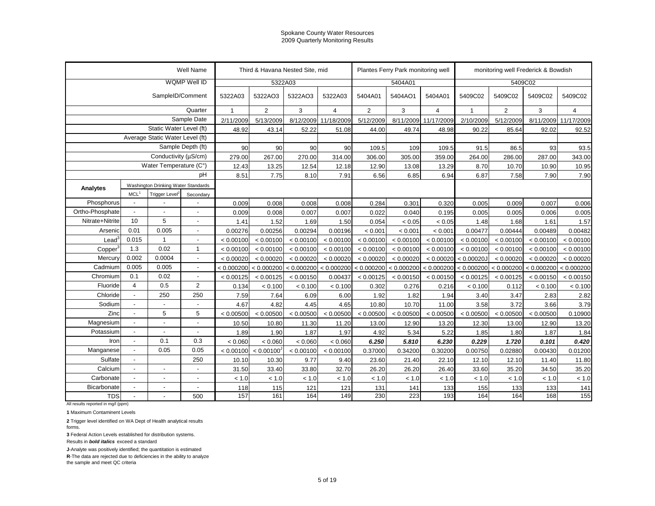|                                                  |                                                                                                                                                |                                 | Well Name                |              |                        | Third & Havana Nested Site, mid |                       |                | Plantes Ferry Park monitoring well |                      |                                    | monitoring well Frederick & Bowdish |            |                |
|--------------------------------------------------|------------------------------------------------------------------------------------------------------------------------------------------------|---------------------------------|--------------------------|--------------|------------------------|---------------------------------|-----------------------|----------------|------------------------------------|----------------------|------------------------------------|-------------------------------------|------------|----------------|
|                                                  |                                                                                                                                                |                                 | WQMP Well ID             |              |                        | 5322A03                         |                       |                | 5404A01                            |                      |                                    | 5409C02                             |            |                |
|                                                  |                                                                                                                                                | SampleID/Comment                |                          | 5322A03      | 5322AO3                | 5322AO3                         | 5322A03               | 5404A01        | 5404AO1                            | 5404A01              | 5409C02                            | 5409C02                             | 5409C02    | 5409C02        |
|                                                  |                                                                                                                                                |                                 | Quarter                  | $\mathbf{1}$ | $\overline{2}$         | 3                               | $\overline{4}$        | $\overline{2}$ | 3                                  | $\overline{4}$       | 1                                  | 2                                   | 3          | $\overline{4}$ |
|                                                  |                                                                                                                                                |                                 | Sample Date              | 2/11/2009    | 5/13/2009              |                                 | 8/12/2009 11/18/2009  | 5/12/2009      |                                    | 8/11/2009 11/17/2009 | 2/10/2009                          | 5/12/2009                           | 8/11/2009  | 11/17/2009     |
|                                                  |                                                                                                                                                | Static Water Level (ft)         |                          | 48.92        | 43.14                  | 52.22                           | 51.08                 | 44.00          | 49.74                              | 48.98                | 90.22                              | 85.64                               | 92.02      | 92.52          |
|                                                  |                                                                                                                                                | Average Static Water Level (ft) |                          |              |                        |                                 |                       |                |                                    |                      |                                    |                                     |            |                |
|                                                  |                                                                                                                                                |                                 | Sample Depth (ft)        | 90           | 90                     | 90                              | 90                    | 109.5          | 109                                | 109.5                | 91.5                               | 86.5                                | 93         | 93.5           |
|                                                  |                                                                                                                                                | Conductivity (µS/cm)            |                          | 279.00       | 267.00                 | 270.00                          | 314.00                | 306.00         | 305.00                             | 359.00               | 264.00                             | 286.00                              | 287.00     | 343.00         |
|                                                  |                                                                                                                                                |                                 |                          | 12.43        | 13.25                  | 12.54                           | 12.18                 | 12.90          | 13.08                              | 13.29                | 8.70                               | 10.70                               | 10.90      | 10.95          |
|                                                  |                                                                                                                                                |                                 | pH                       | 8.51         | 7.75                   | 8.10                            | 7.91                  | 6.56           | 6.85                               | 6.94                 | 6.87                               | 7.58                                | 7.90       | 7.90           |
| Analytes                                         |                                                                                                                                                |                                 |                          |              |                        |                                 |                       |                |                                    |                      |                                    |                                     |            |                |
|                                                  | MCL <sup>1</sup>                                                                                                                               | Trigger Level <sup>2</sup>      | Secondary                |              |                        |                                 |                       |                |                                    |                      |                                    |                                     |            |                |
| Phosphorus                                       | $\blacksquare$                                                                                                                                 | $\overline{a}$                  |                          | 0.009        | 0.008                  | 0.008                           | 0.008                 | 0.284          | 0.301                              | 0.320                | 0.005                              | 0.009                               | 0.007      | 0.006          |
| Ortho-Phosphate                                  | $\sim$                                                                                                                                         | $\overline{a}$                  |                          | 0.009        | 0.008                  | 0.007                           | 0.007                 | 0.022          | 0.040                              | 0.195                | 0.005                              | 0.005                               | 0.006      | 0.005          |
| Nitrate+Nitrite                                  | 10                                                                                                                                             | 5                               |                          | 1.41         | 1.52                   | 1.69                            | 1.50                  | 0.054          | < 0.05                             | < 0.05               | 1.48                               | 1.68                                | 1.61       | 1.57           |
| Arsenic                                          | 0.01                                                                                                                                           | 0.005                           | $\overline{\phantom{a}}$ | 0.00276      | 0.00256                | 0.00294                         | 0.00196               | < 0.001        | < 0.001                            | < 0.001              | 0.00477                            | 0.00444                             | 0.00489    | 0.00482        |
| $\textsf{lead}^3$                                | Water Temperature (C°)<br>Washington Drinking Water Standards<br>0.015<br>1<br>0.02<br>1.3<br>0.002<br>0.0004<br>0.005<br>0.005<br>0.1<br>0.02 |                                 |                          | < 0.00100    | < 0.00100              | < 0.00100                       | < 0.00100             | < 0.00100      | < 0.00100                          | < 0.00100            | < 0.00100                          | < 0.00100                           | < 0.00100  | < 0.00100      |
| Copper                                           |                                                                                                                                                |                                 |                          | < 0.00100    | < 0.00100              | < 0.00100                       | < 0.00100             | < 0.00100      | < 0.00100                          | < 0.00100            | < 0.00100                          | < 0.00100                           | < 0.00100  | < 0.00100      |
| Mercury                                          |                                                                                                                                                |                                 | $\overline{a}$           | < 0.00020    | < 0.00020              | < 0.00020                       | < 0.00020             | < 0.00020      | < 0.00020                          | < 0.00020            | < 0.00020J                         | < 0.00020                           | < 0.00020  | < 0.00020      |
| Cadmium                                          |                                                                                                                                                |                                 | $\overline{a}$           | < 0.000200   | < 0.000200             |                                 | < 0.000200 < 0.000200 | < 0.000200     |                                    |                      | $< 0.000200$ < 0.000200 < 0.000200 | < 0.000200                          | < 0.000200 | < 0.000200     |
| Chromium                                         |                                                                                                                                                |                                 | $\overline{a}$           | < 0.00125    | < 0.00125              | < 0.00150                       | 0.00437               | < 0.00125      | < 0.00150                          | < 0.00150            | < 0.00125                          | < 0.00125                           | < 0.00150  | < 0.00150      |
| Fluoride                                         | $\overline{4}$                                                                                                                                 | 0.5                             | $\overline{2}$           | 0.134        | < 0.100                | < 0.100                         | < 0.100               | 0.302          | 0.276                              | 0.216                | < 0.100                            | 0.112                               | < 0.100    | < 0.100        |
| Chloride                                         | $\blacksquare$                                                                                                                                 | 250                             | 250                      | 7.59         | 7.64                   | 6.09                            | 6.00                  | 1.92           | 1.82                               | 1.94                 | 3.40                               | 3.47                                | 2.83       | 2.82           |
| Sodium                                           | $\overline{\phantom{a}}$                                                                                                                       | $\sim$                          | $\blacksquare$           | 4.67         | 4.82                   | 4.45                            | 4.65                  | 10.80          | 10.70                              | 11.00                | 3.58                               | 3.72                                | 3.66       | 3.79           |
| Zinc                                             | $\overline{a}$                                                                                                                                 | 5                               | 5                        | < 0.00500    | < 0.00500              | < 0.00500                       | < 0.00500             | < 0.00500      | < 0.00500                          | < 0.00500            | < 0.00500                          | < 0.00500                           | < 0.00500  | 0.10900        |
| Magnesium                                        | $\overline{a}$                                                                                                                                 |                                 |                          | 10.50        | 10.80                  | 11.30                           | 11.20                 | 13.00          | 12.90                              | 13.20                | 12.30                              | 13.00                               | 12.90      | 13.20          |
| Potassium                                        | $\overline{\phantom{a}}$                                                                                                                       | $\overline{a}$                  | $\overline{\phantom{0}}$ | 1.89         | 1.90                   | 1.87                            | 1.97                  | 4.92           | 5.34                               | 5.22                 | 1.85                               | 1.80                                | 1.87       | 1.84           |
| Iron                                             | $\overline{a}$                                                                                                                                 | 0.1                             | 0.3                      | < 0.060      | < 0.060                | < 0.060                         | < 0.060               | 6.250          | 5.810                              | 6.230                | 0.229                              | 1.720                               | 0.101      | 0.420          |
| Manganese                                        | $\blacksquare$                                                                                                                                 | 0.05                            | 0.05                     | < 0.00100    | < 0.00100 <sup>3</sup> | < 0.00100                       | < 0.00100             | 0.37000        | 0.34200                            | 0.30200              | 0.00750                            | 0.02880                             | 0.00430    | 0.01200        |
| Sulfate                                          | $\blacksquare$                                                                                                                                 |                                 | 250                      | 10.10        | 10.30                  | 9.77                            | 9.40                  | 23.60          | 21.40                              | 22.10                | 12.10                              | 12.10                               | 11.40      | 11.80          |
| Calcium                                          | $\mathbf{r}$                                                                                                                                   |                                 |                          | 31.50        | 33.40                  | 33.80                           | 32.70                 | 26.20          | 26.20                              | 26.40                | 33.60                              | 35.20                               | 34.50      | 35.20          |
| Carbonate                                        | $\overline{\phantom{a}}$                                                                                                                       |                                 |                          | < 1.0        | < 1.0                  | < 1.0                           | < 1.0                 | < 1.0          | < 1.0                              | < 1.0                | $<1.0\,$                           | < 1.0                               | < 1.0      | < 1.0          |
| Bicarbonate                                      | $\overline{\phantom{a}}$                                                                                                                       | $\overline{a}$                  | $\overline{a}$           | 118          | 115                    | 121                             | 121                   | 131            | 141                                | 133                  | 155                                | 133                                 | 133        | 141            |
| <b>TDS</b><br>All results reported in mg/l (ppm) |                                                                                                                                                |                                 | 500                      | 157          | 161                    | 164                             | 149                   | 230            | 223                                | 193                  | 164                                | 164                                 | 168        | 155            |

**1** Maximum Contaminent Levels

**2** Trigger level identified on WA Dept of Health analytical results

forms.

**3** Federal Action Levels established for distribution systems.

Results in *bold italics* exceed a standard

**J**-Analyte was positively identified; the quantitation is estimated

**R**-The data are rejected due to deficiencies in the ability to analyze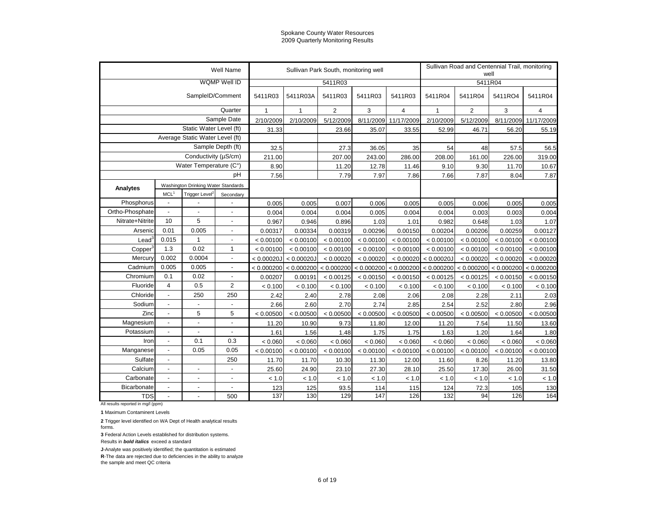|                     |                                                                                           |                                 | Well Name                |               |                       | Sullivan Park South, monitoring well |           |                       |              | Sullivan Road and Centennial Trail, monitoring<br>well |            |            |
|---------------------|-------------------------------------------------------------------------------------------|---------------------------------|--------------------------|---------------|-----------------------|--------------------------------------|-----------|-----------------------|--------------|--------------------------------------------------------|------------|------------|
|                     |                                                                                           |                                 | WQMP Well ID             |               |                       | 5411R03                              |           |                       |              | 5411R04                                                |            |            |
|                     |                                                                                           | SampleID/Comment                |                          | 5411R03       | 5411R03A              | 5411R03                              | 5411R03   | 5411R03               | 5411R04      | 5411R04                                                | 5411RO4    | 5411R04    |
|                     |                                                                                           |                                 | Quarter                  | $\mathbf{1}$  | $\mathbf{1}$          | $\overline{2}$                       | 3         | $\overline{4}$        | $\mathbf{1}$ | $\overline{2}$                                         | 3          | 4          |
|                     |                                                                                           |                                 | Sample Date              | 2/10/2009     | 2/10/2009             | 5/12/2009                            | 8/11/2009 | 11/17/2009            | 2/10/2009    | 5/12/2009                                              | 8/11/2009  | 11/17/2009 |
|                     |                                                                                           | Static Water Level (ft)         |                          | 31.33         |                       | 23.66                                | 35.07     | 33.55                 | 52.99        | 46.71                                                  | 56.20      | 55.19      |
|                     |                                                                                           | Average Static Water Level (ft) |                          |               |                       |                                      |           |                       |              |                                                        |            |            |
|                     |                                                                                           |                                 | Sample Depth (ft)        | 32.5          |                       | 27.3                                 | 36.05     | 35                    | 54           | 48                                                     | 57.5       | 56.5       |
|                     |                                                                                           | Conductivity (µS/cm)            |                          | 211.00        |                       | 207.00                               | 243.00    | 286.00                | 208.00       | 161.00                                                 | 226.00     | 319.00     |
|                     |                                                                                           | Water Temperature (C°)          |                          | 8.90          |                       | 11.20                                | 12.78     | 11.46                 | 9.10         | 9.30                                                   | 11.70      | 10.67      |
|                     |                                                                                           |                                 | pH                       | 7.56          |                       | 7.79                                 | 7.97      | 7.86                  | 7.66         | 7.87                                                   | 8.04       | 7.87       |
| <b>Analytes</b>     | MCL <sup>1</sup><br>Trigger Level <sup>2</sup><br>$\overline{\phantom{a}}$                |                                 |                          |               |                       |                                      |           |                       |              |                                                        |            |            |
|                     | Washington Drinking Water Standards<br>$\overline{\phantom{a}}$                           |                                 | Secondary                |               |                       |                                      |           |                       |              |                                                        |            |            |
| Phosphorus          |                                                                                           |                                 |                          | 0.005         | 0.005                 | 0.007                                | 0.006     | 0.005                 | 0.005        | 0.006                                                  | 0.005      | 0.005      |
| Ortho-Phosphate     |                                                                                           |                                 |                          | 0.004         | 0.004                 | 0.004                                | 0.005     | 0.004                 | 0.004        | 0.003                                                  | 0.003      | 0.004      |
| Nitrate+Nitrite     | 10                                                                                        | 5                               | $\overline{a}$           | 0.967         | 0.946                 | 0.896                                | 1.03      | 1.01                  | 0.982        | 0.648                                                  | 1.03       | 1.07       |
| Arsenic             | 0.01                                                                                      | 0.005                           | $\overline{a}$           | 0.00317       | 0.00334               | 0.00319                              | 0.00296   | 0.00150               | 0.00204      | 0.00206                                                | 0.00259    | 0.00127    |
| $\text{Lead}^3$     | 0.015                                                                                     | 1                               | $\overline{\phantom{a}}$ | < 0.00100     | < 0.00100             | < 0.00100                            | < 0.00100 | < 0.00100             | < 0.00100    | < 0.00100                                              | < 0.00100  | < 0.00100  |
| Copper <sup>3</sup> | 1.3                                                                                       | 0.02                            | $\mathbf{1}$             | < 0.00100     | < 0.00100             | < 0.00100                            | < 0.00100 | < 0.00100             | < 0.00100    | < 0.00100                                              | < 0.00100  | < 0.00100  |
| Mercury             | 0.002<br>0.0004<br>$\overline{\phantom{a}}$<br>0.005<br>0.005<br>$\overline{\phantom{a}}$ |                                 |                          | $< 0.00020$ J | < 0.00020J            | < 0.00020                            | < 0.00020 | < 0.00020             | < 0.00020J   | < 0.00020                                              | < 0.00020  | < 0.00020  |
| Cadmium             |                                                                                           |                                 |                          |               | < 0.000200 < 0.000200 | < 0.000200                           |           | < 0.000200 < 0.000200 | < 0.000200   | < 0.000200                                             | < 0.000200 | < 0.000200 |
| Chromium            | 0.1                                                                                       | 0.02                            | $\overline{\phantom{a}}$ | 0.00207       | 0.00191               | < 0.00125                            | < 0.00150 | < 0.00150             | < 0.00125    | < 0.00125                                              | < 0.00150  | < 0.00150  |
| Fluoride            | $\overline{4}$                                                                            | 0.5                             | $\overline{2}$           | < 0.100       | < 0.100               | < 0.100                              | < 0.100   | < 0.100               | < 0.100      | < 0.100                                                | < 0.100    | < 0.100    |
| Chloride            | $\blacksquare$                                                                            | 250                             | 250                      | 2.42          | 2.40                  | 2.78                                 | 2.08      | 2.06                  | 2.08         | 2.28                                                   | 2.11       | 2.03       |
| Sodium              | $\overline{\phantom{a}}$                                                                  | $\overline{a}$                  | $\blacksquare$           | 2.66          | 2.60                  | 2.70                                 | 2.74      | 2.85                  | 2.54         | 2.52                                                   | 2.80       | 2.96       |
| Zinc                | $\overline{\phantom{a}}$                                                                  | 5                               | 5                        | < 0.00500     | < 0.00500             | < 0.00500                            | < 0.00500 | < 0.00500             | < 0.00500    | < 0.00500                                              | < 0.00500  | < 0.00500  |
| Magnesium           | $\overline{\phantom{a}}$                                                                  | $\blacksquare$                  | ÷,                       | 11.20         | 10.90                 | 9.73                                 | 11.80     | 12.00                 | 11.20        | 7.54                                                   | 11.50      | 13.60      |
| Potassium           | $\overline{\phantom{a}}$                                                                  | $\overline{\phantom{a}}$        | ÷,                       | 1.61          | 1.56                  | 1.48                                 | 1.75      | 1.75                  | 1.63         | 1.20                                                   | 1.64       | 1.80       |
| Iron                | $\blacksquare$                                                                            | 0.1                             | 0.3                      | < 0.060       | < 0.060               | < 0.060                              | < 0.060   | < 0.060               | < 0.060      | < 0.060                                                | < 0.060    | < 0.060    |
| Manganese           | $\overline{\phantom{a}}$                                                                  | 0.05                            | 0.05                     | < 0.00100     | < 0.00100             | < 0.00100                            | < 0.00100 | < 0.00100             | < 0.00100    | < 0.00100                                              | < 0.00100  | < 0.00100  |
| Sulfate             | $\blacksquare$                                                                            |                                 | 250                      | 11.70         | 11.70                 | 10.30                                | 11.30     | 12.00                 | 11.60        | 8.26                                                   | 11.20      | 13.80      |
| Calcium             | $\overline{\phantom{a}}$                                                                  | $\blacksquare$                  | $\overline{a}$           | 25.60         | 24.90                 | 23.10                                | 27.30     | 28.10                 | 25.50        | 17.30                                                  | 26.00      | 31.50      |
| Carbonate           | $\blacksquare$                                                                            | $\blacksquare$                  | $\overline{a}$           | < 1.0         | < 1.0                 | < 1.0                                | < 1.0     | < 1.0                 | < 1.0        | < 1.0                                                  | < 1.0      | < 1.0      |
| Bicarbonate         | $\overline{\phantom{a}}$                                                                  |                                 |                          | 123           | 125                   | 93.5                                 | 114       | 115                   | 124          | 72.3                                                   | 105        | 130        |
| <b>TDS</b>          |                                                                                           |                                 | 500                      | 137           | 130                   | 129                                  | 147       | 126                   | 132          | 94                                                     | 126        | 164        |

All results reported in mg/l (ppm)

**1** Maximum Contaminent Levels

**2** Trigger level identified on WA Dept of Health analytical results

forms.

**3** Federal Action Levels established for distribution systems.

Results in *bold italics* exceed a standard

**J**-Analyte was positively identified; the quantitation is estimated

**R**-The data are rejected due to deficiencies in the ability to analyze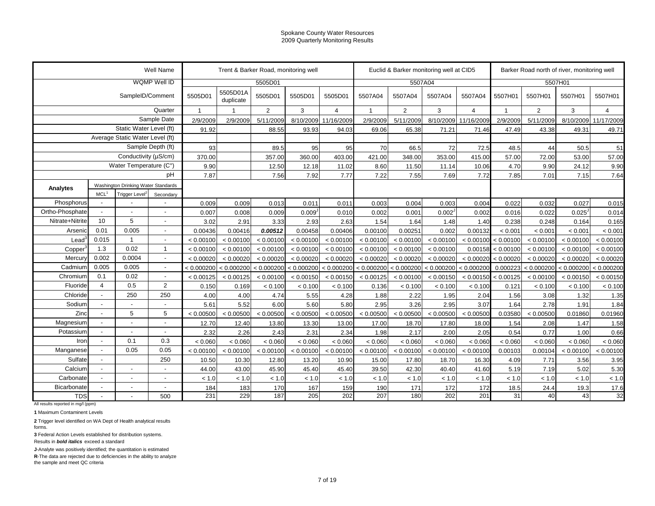| WQMP Well ID<br>5505D01<br>5507A04<br>5507H01<br>5505D01A<br>SampleID/Comment<br>5505D01<br>5505D01<br>5505D01<br>5505D01<br>5507A04<br>5507A04<br>5507H01<br>5507H01<br>5507H01<br>5507H01<br>5507A04<br>5507A04<br>duplicate<br>Quarter<br>2<br>3<br>$\overline{2}$<br>3<br>$\overline{2}$<br>3<br>$\overline{4}$<br>$\overline{4}$<br>$\overline{1}$<br>$\overline{4}$<br>$\overline{1}$<br>$\mathbf{1}$<br>$\mathbf{1}$<br>Sample Date<br>2/9/2009<br>5/11/2009<br>8/10/2009<br>2/9/2009<br>5/11/2009<br>8/10/2009<br>2/9/2009<br>5/11/2009<br>8/10/2009<br>2/9/2009<br>11/16/2009<br>11/16/2009<br>Static Water Level (ft)<br>91.92<br>88.55<br>93.93<br>43.38<br>94.03<br>69.06<br>65.38<br>71.21<br>71.46<br>47.49<br>49.31<br>Average Static Water Level (ft)<br>Sample Depth (ft)<br>93<br>95<br>89.5<br>95<br>70<br>66.5<br>72<br>72.5<br>48.5<br>44<br>50.5<br>Conductivity ( $\mu$ S/cm)<br>370.00<br>360.00<br>403.00<br>421.00<br>348.00<br>57.00<br>72.00<br>357.00<br>353.00<br>415.00<br>53.00<br>Water Temperature (C°)<br>9.90<br>9.90<br>12.50<br>12.18<br>11.02<br>8.60<br>11.50<br>10.06<br>4.70<br>24.12<br>11.14<br>pH<br>7.87<br>7.56<br>7.92<br>7.22<br>7.55<br>7.85<br>7.01<br>7.77<br>7.69<br>7.72<br>7.15<br>Washington Drinking Water Standards<br>Analytes<br>MCL <sup>1</sup><br>Trigger Level <sup>2</sup><br>Secondary<br>Phosphorus<br>0.013<br>0.003<br>0.004<br>0.022<br>0.032<br>0.027<br>0.009<br>0.009<br>0.011<br>0.011<br>0.003<br>0.004<br>Ortho-Phosphate<br>0.022<br>$0.025^{\circ}$<br>0.007<br>0.008<br>0.009<br>0.009 <sup>1</sup><br>0.010<br>0.002<br>0.001<br>0.002 <sup>J</sup><br>0.002<br>0.016<br>5<br>10<br>Nitrate+Nitrite<br>1.54<br>3.02<br>2.91<br>3.33<br>2.93<br>2.63<br>1.64<br>1.48<br>1.40<br>0.238<br>0.248<br>0.164<br>0.01<br>0.005<br>Arsenic<br>0.00436<br>0.00416<br>0.00512<br>0.00406<br>0.00100<br>0.00251<br>0.00132<br>0.00458<br>0.002<br>< 0.001<br>< 0.001<br>< 0.001<br>$\overline{a}$<br>0.015<br>Lead <sup>3</sup><br>$\overline{\mathbf{1}}$<br>< 0.00100<br>< 0.00100<br>< 0.00100<br>< 0.00100<br>< 0.00100<br>< 0.00100<br>< 0.00100<br>< 0.00100<br>< 0.00100<br>< 0.00100<br>< 0.00100<br>< 0.00100<br>$\overline{a}$<br>0.02<br>1.3<br>$\overline{1}$<br>< 0.00100<br>< 0.00100<br>< 0.00100<br>< 0.00100<br>< 0.00100<br>0.00158<br>Copper<br>< 0.00100<br>< 0.00100<br>< 0.00100<br>< 0.00100<br>< 0.00100<br>< 0.00100<br>0.002<br>0.0004<br>Mercury<br>< 0.00020<br>< 0.00020<br>< 0.00020<br>< 0.00020<br>< 0.00020<br>< 0.00020<br>< 0.00020<br>< 0.00020<br>< 0.00020<br>< 0.00020<br>< 0.00020<br>< 0.00020<br>$\overline{a}$<br>0.005<br>0.005<br>Cadmium<br>< 0.000200<br>< 0.000200<br>< 0.000200<br>< 0.000200<br>$< 0.000200$ $< 0.000200$<br>< 0.000200<br>< 0.000200<br>< 0.000200<br>0.000223<br>$< 0.000200$ $< 0.000200$<br>$\overline{\phantom{a}}$<br>0.1<br>0.02<br>Chromium<br>< 0.00125<br>< 0.00125<br>< 0.00100<br>< 0.00150<br>< 0.00150<br>< 0.00125<br>< 0.00100<br>< 0.00150<br>< 0.00150 < 0.00125<br>< 0.00150<br>$\overline{\phantom{a}}$<br>< 0.00100<br>$\overline{4}$<br>0.5<br>2<br>Fluoride<br>0.150<br>0.169<br>< 0.100<br>0.136<br>< 0.100<br>0.121<br>< 0.100<br>< 0.100<br>< 0.100<br>< 0.100<br>< 0.100<br>< 0.100<br>250<br>250<br>Chloride<br>2.22<br>1.56<br>4.00<br>4.74<br>5.55<br>4.28<br>1.88<br>1.95<br>2.04<br>3.08<br>1.32<br>4.00<br>Sodium<br>5.60<br>5.80<br>2.95<br>3.26<br>2.78<br>5.61<br>5.52<br>6.00<br>2.95<br>3.07<br>1.64<br>1.91<br>Zinc<br>5<br>5<br>< 0.00500<br>< 0.00500<br>< 0.00500<br>< 0.00500<br>< 0.00500<br>< 0.00500<br>< 0.00500<br>0.01860<br>< 0.00500<br>< 0.00500<br>< 0.00500<br>0.03580<br>Magnesium<br>13.30<br>17.00<br>18.70<br>1.54<br>2.08<br>12.70<br>12.40<br>13.80<br>13.00<br>17.80<br>18.00<br>1.47<br>0.77<br>Potassium<br>2.26<br>2.43<br>2.31<br>2.34<br>1.98<br>2.17<br>2.00<br>2.05<br>0.54<br>2.32<br>1.00<br>Ĭ.<br>0.1<br>0.3<br>Iron<br>< 0.060<br>< 0.060<br>< 0.060<br>< 0.060<br>< 0.060<br>< 0.060<br>< 0.060<br>< 0.060<br>< 0.060<br>< 0.060<br>< 0.060<br>< 0.060<br>$\overline{\phantom{a}}$<br>0.05<br>0.05<br>Manganese<br>< 0.00100<br>< 0.00100<br>< 0.00100<br>< 0.00100<br>< 0.00100<br>< 0.00100<br>< 0.00100<br>< 0.00100<br>< 0.00100<br>0.00103<br>0.00104<br>< 0.00100<br>250<br>Sulfate<br>7.71<br>10.50<br>13.20<br>15.00<br>17.80<br>16.30<br>4.09<br>3.56<br>10.30<br>12.80<br>10.90<br>18.70<br>Calcium<br>7.19<br>5.02<br>44.00<br>45.90<br>45.40<br>45.40<br>39.50<br>42.30<br>41.60<br>5.19<br>43.00<br>40.40<br>J.<br>Carbonate<br>< 1.0<br>< 1.0<br>< 1.0<br>< 1.0<br>< 1.0<br>$< 1.0$<br>< 1.0<br>< 1.0<br>< 1.0<br>< 1.0<br>< 1.0<br>< 1.0<br><b>Bicarbonate</b><br>170<br>167<br>159<br>171<br>172<br>172<br>18.5<br>24.4<br>19.3<br>184<br>183<br>190<br>$\overline{\phantom{a}}$<br>187<br>205<br>201 |            |  |  | Well Name |     | Trent & Barker Road, monitoring well |  |     |     | Euclid & Barker monitoring well at CID5 |     |    |    | Barker Road north of river, monitoring well |            |
|---------------------------------------------------------------------------------------------------------------------------------------------------------------------------------------------------------------------------------------------------------------------------------------------------------------------------------------------------------------------------------------------------------------------------------------------------------------------------------------------------------------------------------------------------------------------------------------------------------------------------------------------------------------------------------------------------------------------------------------------------------------------------------------------------------------------------------------------------------------------------------------------------------------------------------------------------------------------------------------------------------------------------------------------------------------------------------------------------------------------------------------------------------------------------------------------------------------------------------------------------------------------------------------------------------------------------------------------------------------------------------------------------------------------------------------------------------------------------------------------------------------------------------------------------------------------------------------------------------------------------------------------------------------------------------------------------------------------------------------------------------------------------------------------------------------------------------------------------------------------------------------------------------------------------------------------------------------------------------------------------------------------------------------------------------------------------------------------------------------------------------------------------------------------------------------------------------------------------------------------------------------------------------------------------------------------------------------------------------------------------------------------------------------------------------------------------------------------------------------------------------------------------------------------------------------------------------------------------------------------------------------------------------------------------------------------------------------------------------------------------------------------------------------------------------------------------------------------------------------------------------------------------------------------------------------------------------------------------------------------------------------------------------------------------------------------------------------------------------------------------------------------------------------------------------------------------------------------------------------------------------------------------------------------------------------------------------------------------------------------------------------------------------------------------------------------------------------------------------------------------------------------------------------------------------------------------------------------------------------------------------------------------------------------------------------------------------------------------------------------------------------------------------------------------------------------------------------------------------------------------------------------------------------------------------------------------------------------------------------------------------------------------------------------------------------------------------------------------------------------------------------------------------------------------------------------------------------------------------------------------------------------------------------------------------------------------------------------------------------------------------------------------------------------------------------------------------------------------------------------------------------------------------------------------------------------------------------------------------------------------------------------------------------------------------------------------------------------------------------------------------------------------------------------------------------------------------------|------------|--|--|-----------|-----|--------------------------------------|--|-----|-----|-----------------------------------------|-----|----|----|---------------------------------------------|------------|
|                                                                                                                                                                                                                                                                                                                                                                                                                                                                                                                                                                                                                                                                                                                                                                                                                                                                                                                                                                                                                                                                                                                                                                                                                                                                                                                                                                                                                                                                                                                                                                                                                                                                                                                                                                                                                                                                                                                                                                                                                                                                                                                                                                                                                                                                                                                                                                                                                                                                                                                                                                                                                                                                                                                                                                                                                                                                                                                                                                                                                                                                                                                                                                                                                                                                                                                                                                                                                                                                                                                                                                                                                                                                                                                                                                                                                                                                                                                                                                                                                                                                                                                                                                                                                                                                                                                                                                                                                                                                                                                                                                                                                                                                                                                                                                                                                                       |            |  |  |           |     |                                      |  |     |     |                                         |     |    |    |                                             |            |
|                                                                                                                                                                                                                                                                                                                                                                                                                                                                                                                                                                                                                                                                                                                                                                                                                                                                                                                                                                                                                                                                                                                                                                                                                                                                                                                                                                                                                                                                                                                                                                                                                                                                                                                                                                                                                                                                                                                                                                                                                                                                                                                                                                                                                                                                                                                                                                                                                                                                                                                                                                                                                                                                                                                                                                                                                                                                                                                                                                                                                                                                                                                                                                                                                                                                                                                                                                                                                                                                                                                                                                                                                                                                                                                                                                                                                                                                                                                                                                                                                                                                                                                                                                                                                                                                                                                                                                                                                                                                                                                                                                                                                                                                                                                                                                                                                                       |            |  |  |           |     |                                      |  |     |     |                                         |     |    |    |                                             |            |
|                                                                                                                                                                                                                                                                                                                                                                                                                                                                                                                                                                                                                                                                                                                                                                                                                                                                                                                                                                                                                                                                                                                                                                                                                                                                                                                                                                                                                                                                                                                                                                                                                                                                                                                                                                                                                                                                                                                                                                                                                                                                                                                                                                                                                                                                                                                                                                                                                                                                                                                                                                                                                                                                                                                                                                                                                                                                                                                                                                                                                                                                                                                                                                                                                                                                                                                                                                                                                                                                                                                                                                                                                                                                                                                                                                                                                                                                                                                                                                                                                                                                                                                                                                                                                                                                                                                                                                                                                                                                                                                                                                                                                                                                                                                                                                                                                                       |            |  |  |           |     |                                      |  |     |     |                                         |     |    |    |                                             |            |
|                                                                                                                                                                                                                                                                                                                                                                                                                                                                                                                                                                                                                                                                                                                                                                                                                                                                                                                                                                                                                                                                                                                                                                                                                                                                                                                                                                                                                                                                                                                                                                                                                                                                                                                                                                                                                                                                                                                                                                                                                                                                                                                                                                                                                                                                                                                                                                                                                                                                                                                                                                                                                                                                                                                                                                                                                                                                                                                                                                                                                                                                                                                                                                                                                                                                                                                                                                                                                                                                                                                                                                                                                                                                                                                                                                                                                                                                                                                                                                                                                                                                                                                                                                                                                                                                                                                                                                                                                                                                                                                                                                                                                                                                                                                                                                                                                                       |            |  |  |           |     |                                      |  |     |     |                                         |     |    |    |                                             | 11/17/2009 |
|                                                                                                                                                                                                                                                                                                                                                                                                                                                                                                                                                                                                                                                                                                                                                                                                                                                                                                                                                                                                                                                                                                                                                                                                                                                                                                                                                                                                                                                                                                                                                                                                                                                                                                                                                                                                                                                                                                                                                                                                                                                                                                                                                                                                                                                                                                                                                                                                                                                                                                                                                                                                                                                                                                                                                                                                                                                                                                                                                                                                                                                                                                                                                                                                                                                                                                                                                                                                                                                                                                                                                                                                                                                                                                                                                                                                                                                                                                                                                                                                                                                                                                                                                                                                                                                                                                                                                                                                                                                                                                                                                                                                                                                                                                                                                                                                                                       |            |  |  |           |     |                                      |  |     |     |                                         |     |    |    |                                             | 49.71      |
|                                                                                                                                                                                                                                                                                                                                                                                                                                                                                                                                                                                                                                                                                                                                                                                                                                                                                                                                                                                                                                                                                                                                                                                                                                                                                                                                                                                                                                                                                                                                                                                                                                                                                                                                                                                                                                                                                                                                                                                                                                                                                                                                                                                                                                                                                                                                                                                                                                                                                                                                                                                                                                                                                                                                                                                                                                                                                                                                                                                                                                                                                                                                                                                                                                                                                                                                                                                                                                                                                                                                                                                                                                                                                                                                                                                                                                                                                                                                                                                                                                                                                                                                                                                                                                                                                                                                                                                                                                                                                                                                                                                                                                                                                                                                                                                                                                       |            |  |  |           |     |                                      |  |     |     |                                         |     |    |    |                                             |            |
|                                                                                                                                                                                                                                                                                                                                                                                                                                                                                                                                                                                                                                                                                                                                                                                                                                                                                                                                                                                                                                                                                                                                                                                                                                                                                                                                                                                                                                                                                                                                                                                                                                                                                                                                                                                                                                                                                                                                                                                                                                                                                                                                                                                                                                                                                                                                                                                                                                                                                                                                                                                                                                                                                                                                                                                                                                                                                                                                                                                                                                                                                                                                                                                                                                                                                                                                                                                                                                                                                                                                                                                                                                                                                                                                                                                                                                                                                                                                                                                                                                                                                                                                                                                                                                                                                                                                                                                                                                                                                                                                                                                                                                                                                                                                                                                                                                       |            |  |  |           |     |                                      |  |     |     |                                         |     |    |    |                                             | 51         |
|                                                                                                                                                                                                                                                                                                                                                                                                                                                                                                                                                                                                                                                                                                                                                                                                                                                                                                                                                                                                                                                                                                                                                                                                                                                                                                                                                                                                                                                                                                                                                                                                                                                                                                                                                                                                                                                                                                                                                                                                                                                                                                                                                                                                                                                                                                                                                                                                                                                                                                                                                                                                                                                                                                                                                                                                                                                                                                                                                                                                                                                                                                                                                                                                                                                                                                                                                                                                                                                                                                                                                                                                                                                                                                                                                                                                                                                                                                                                                                                                                                                                                                                                                                                                                                                                                                                                                                                                                                                                                                                                                                                                                                                                                                                                                                                                                                       |            |  |  |           |     |                                      |  |     |     |                                         |     |    |    |                                             | 57.00      |
|                                                                                                                                                                                                                                                                                                                                                                                                                                                                                                                                                                                                                                                                                                                                                                                                                                                                                                                                                                                                                                                                                                                                                                                                                                                                                                                                                                                                                                                                                                                                                                                                                                                                                                                                                                                                                                                                                                                                                                                                                                                                                                                                                                                                                                                                                                                                                                                                                                                                                                                                                                                                                                                                                                                                                                                                                                                                                                                                                                                                                                                                                                                                                                                                                                                                                                                                                                                                                                                                                                                                                                                                                                                                                                                                                                                                                                                                                                                                                                                                                                                                                                                                                                                                                                                                                                                                                                                                                                                                                                                                                                                                                                                                                                                                                                                                                                       |            |  |  |           |     |                                      |  |     |     |                                         |     |    |    |                                             | 9.90       |
|                                                                                                                                                                                                                                                                                                                                                                                                                                                                                                                                                                                                                                                                                                                                                                                                                                                                                                                                                                                                                                                                                                                                                                                                                                                                                                                                                                                                                                                                                                                                                                                                                                                                                                                                                                                                                                                                                                                                                                                                                                                                                                                                                                                                                                                                                                                                                                                                                                                                                                                                                                                                                                                                                                                                                                                                                                                                                                                                                                                                                                                                                                                                                                                                                                                                                                                                                                                                                                                                                                                                                                                                                                                                                                                                                                                                                                                                                                                                                                                                                                                                                                                                                                                                                                                                                                                                                                                                                                                                                                                                                                                                                                                                                                                                                                                                                                       |            |  |  |           |     |                                      |  |     |     |                                         |     |    |    |                                             | 7.64       |
|                                                                                                                                                                                                                                                                                                                                                                                                                                                                                                                                                                                                                                                                                                                                                                                                                                                                                                                                                                                                                                                                                                                                                                                                                                                                                                                                                                                                                                                                                                                                                                                                                                                                                                                                                                                                                                                                                                                                                                                                                                                                                                                                                                                                                                                                                                                                                                                                                                                                                                                                                                                                                                                                                                                                                                                                                                                                                                                                                                                                                                                                                                                                                                                                                                                                                                                                                                                                                                                                                                                                                                                                                                                                                                                                                                                                                                                                                                                                                                                                                                                                                                                                                                                                                                                                                                                                                                                                                                                                                                                                                                                                                                                                                                                                                                                                                                       |            |  |  |           |     |                                      |  |     |     |                                         |     |    |    |                                             |            |
|                                                                                                                                                                                                                                                                                                                                                                                                                                                                                                                                                                                                                                                                                                                                                                                                                                                                                                                                                                                                                                                                                                                                                                                                                                                                                                                                                                                                                                                                                                                                                                                                                                                                                                                                                                                                                                                                                                                                                                                                                                                                                                                                                                                                                                                                                                                                                                                                                                                                                                                                                                                                                                                                                                                                                                                                                                                                                                                                                                                                                                                                                                                                                                                                                                                                                                                                                                                                                                                                                                                                                                                                                                                                                                                                                                                                                                                                                                                                                                                                                                                                                                                                                                                                                                                                                                                                                                                                                                                                                                                                                                                                                                                                                                                                                                                                                                       |            |  |  |           |     |                                      |  |     |     |                                         |     |    |    |                                             |            |
|                                                                                                                                                                                                                                                                                                                                                                                                                                                                                                                                                                                                                                                                                                                                                                                                                                                                                                                                                                                                                                                                                                                                                                                                                                                                                                                                                                                                                                                                                                                                                                                                                                                                                                                                                                                                                                                                                                                                                                                                                                                                                                                                                                                                                                                                                                                                                                                                                                                                                                                                                                                                                                                                                                                                                                                                                                                                                                                                                                                                                                                                                                                                                                                                                                                                                                                                                                                                                                                                                                                                                                                                                                                                                                                                                                                                                                                                                                                                                                                                                                                                                                                                                                                                                                                                                                                                                                                                                                                                                                                                                                                                                                                                                                                                                                                                                                       |            |  |  |           |     |                                      |  |     |     |                                         |     |    |    |                                             | 0.015      |
|                                                                                                                                                                                                                                                                                                                                                                                                                                                                                                                                                                                                                                                                                                                                                                                                                                                                                                                                                                                                                                                                                                                                                                                                                                                                                                                                                                                                                                                                                                                                                                                                                                                                                                                                                                                                                                                                                                                                                                                                                                                                                                                                                                                                                                                                                                                                                                                                                                                                                                                                                                                                                                                                                                                                                                                                                                                                                                                                                                                                                                                                                                                                                                                                                                                                                                                                                                                                                                                                                                                                                                                                                                                                                                                                                                                                                                                                                                                                                                                                                                                                                                                                                                                                                                                                                                                                                                                                                                                                                                                                                                                                                                                                                                                                                                                                                                       |            |  |  |           |     |                                      |  |     |     |                                         |     |    |    |                                             | 0.014      |
|                                                                                                                                                                                                                                                                                                                                                                                                                                                                                                                                                                                                                                                                                                                                                                                                                                                                                                                                                                                                                                                                                                                                                                                                                                                                                                                                                                                                                                                                                                                                                                                                                                                                                                                                                                                                                                                                                                                                                                                                                                                                                                                                                                                                                                                                                                                                                                                                                                                                                                                                                                                                                                                                                                                                                                                                                                                                                                                                                                                                                                                                                                                                                                                                                                                                                                                                                                                                                                                                                                                                                                                                                                                                                                                                                                                                                                                                                                                                                                                                                                                                                                                                                                                                                                                                                                                                                                                                                                                                                                                                                                                                                                                                                                                                                                                                                                       |            |  |  |           |     |                                      |  |     |     |                                         |     |    |    |                                             | 0.165      |
|                                                                                                                                                                                                                                                                                                                                                                                                                                                                                                                                                                                                                                                                                                                                                                                                                                                                                                                                                                                                                                                                                                                                                                                                                                                                                                                                                                                                                                                                                                                                                                                                                                                                                                                                                                                                                                                                                                                                                                                                                                                                                                                                                                                                                                                                                                                                                                                                                                                                                                                                                                                                                                                                                                                                                                                                                                                                                                                                                                                                                                                                                                                                                                                                                                                                                                                                                                                                                                                                                                                                                                                                                                                                                                                                                                                                                                                                                                                                                                                                                                                                                                                                                                                                                                                                                                                                                                                                                                                                                                                                                                                                                                                                                                                                                                                                                                       |            |  |  |           |     |                                      |  |     |     |                                         |     |    |    |                                             | < 0.001    |
|                                                                                                                                                                                                                                                                                                                                                                                                                                                                                                                                                                                                                                                                                                                                                                                                                                                                                                                                                                                                                                                                                                                                                                                                                                                                                                                                                                                                                                                                                                                                                                                                                                                                                                                                                                                                                                                                                                                                                                                                                                                                                                                                                                                                                                                                                                                                                                                                                                                                                                                                                                                                                                                                                                                                                                                                                                                                                                                                                                                                                                                                                                                                                                                                                                                                                                                                                                                                                                                                                                                                                                                                                                                                                                                                                                                                                                                                                                                                                                                                                                                                                                                                                                                                                                                                                                                                                                                                                                                                                                                                                                                                                                                                                                                                                                                                                                       |            |  |  |           |     |                                      |  |     |     |                                         |     |    |    |                                             | < 0.00100  |
|                                                                                                                                                                                                                                                                                                                                                                                                                                                                                                                                                                                                                                                                                                                                                                                                                                                                                                                                                                                                                                                                                                                                                                                                                                                                                                                                                                                                                                                                                                                                                                                                                                                                                                                                                                                                                                                                                                                                                                                                                                                                                                                                                                                                                                                                                                                                                                                                                                                                                                                                                                                                                                                                                                                                                                                                                                                                                                                                                                                                                                                                                                                                                                                                                                                                                                                                                                                                                                                                                                                                                                                                                                                                                                                                                                                                                                                                                                                                                                                                                                                                                                                                                                                                                                                                                                                                                                                                                                                                                                                                                                                                                                                                                                                                                                                                                                       |            |  |  |           |     |                                      |  |     |     |                                         |     |    |    |                                             | < 0.00100  |
|                                                                                                                                                                                                                                                                                                                                                                                                                                                                                                                                                                                                                                                                                                                                                                                                                                                                                                                                                                                                                                                                                                                                                                                                                                                                                                                                                                                                                                                                                                                                                                                                                                                                                                                                                                                                                                                                                                                                                                                                                                                                                                                                                                                                                                                                                                                                                                                                                                                                                                                                                                                                                                                                                                                                                                                                                                                                                                                                                                                                                                                                                                                                                                                                                                                                                                                                                                                                                                                                                                                                                                                                                                                                                                                                                                                                                                                                                                                                                                                                                                                                                                                                                                                                                                                                                                                                                                                                                                                                                                                                                                                                                                                                                                                                                                                                                                       |            |  |  |           |     |                                      |  |     |     |                                         |     |    |    |                                             | < 0.00020  |
|                                                                                                                                                                                                                                                                                                                                                                                                                                                                                                                                                                                                                                                                                                                                                                                                                                                                                                                                                                                                                                                                                                                                                                                                                                                                                                                                                                                                                                                                                                                                                                                                                                                                                                                                                                                                                                                                                                                                                                                                                                                                                                                                                                                                                                                                                                                                                                                                                                                                                                                                                                                                                                                                                                                                                                                                                                                                                                                                                                                                                                                                                                                                                                                                                                                                                                                                                                                                                                                                                                                                                                                                                                                                                                                                                                                                                                                                                                                                                                                                                                                                                                                                                                                                                                                                                                                                                                                                                                                                                                                                                                                                                                                                                                                                                                                                                                       |            |  |  |           |     |                                      |  |     |     |                                         |     |    |    |                                             | < 0.000200 |
|                                                                                                                                                                                                                                                                                                                                                                                                                                                                                                                                                                                                                                                                                                                                                                                                                                                                                                                                                                                                                                                                                                                                                                                                                                                                                                                                                                                                                                                                                                                                                                                                                                                                                                                                                                                                                                                                                                                                                                                                                                                                                                                                                                                                                                                                                                                                                                                                                                                                                                                                                                                                                                                                                                                                                                                                                                                                                                                                                                                                                                                                                                                                                                                                                                                                                                                                                                                                                                                                                                                                                                                                                                                                                                                                                                                                                                                                                                                                                                                                                                                                                                                                                                                                                                                                                                                                                                                                                                                                                                                                                                                                                                                                                                                                                                                                                                       |            |  |  |           |     |                                      |  |     |     |                                         |     |    |    |                                             | < 0.00150  |
|                                                                                                                                                                                                                                                                                                                                                                                                                                                                                                                                                                                                                                                                                                                                                                                                                                                                                                                                                                                                                                                                                                                                                                                                                                                                                                                                                                                                                                                                                                                                                                                                                                                                                                                                                                                                                                                                                                                                                                                                                                                                                                                                                                                                                                                                                                                                                                                                                                                                                                                                                                                                                                                                                                                                                                                                                                                                                                                                                                                                                                                                                                                                                                                                                                                                                                                                                                                                                                                                                                                                                                                                                                                                                                                                                                                                                                                                                                                                                                                                                                                                                                                                                                                                                                                                                                                                                                                                                                                                                                                                                                                                                                                                                                                                                                                                                                       |            |  |  |           |     |                                      |  |     |     |                                         |     |    |    |                                             | < 0.100    |
|                                                                                                                                                                                                                                                                                                                                                                                                                                                                                                                                                                                                                                                                                                                                                                                                                                                                                                                                                                                                                                                                                                                                                                                                                                                                                                                                                                                                                                                                                                                                                                                                                                                                                                                                                                                                                                                                                                                                                                                                                                                                                                                                                                                                                                                                                                                                                                                                                                                                                                                                                                                                                                                                                                                                                                                                                                                                                                                                                                                                                                                                                                                                                                                                                                                                                                                                                                                                                                                                                                                                                                                                                                                                                                                                                                                                                                                                                                                                                                                                                                                                                                                                                                                                                                                                                                                                                                                                                                                                                                                                                                                                                                                                                                                                                                                                                                       |            |  |  |           |     |                                      |  |     |     |                                         |     |    |    |                                             | 1.35       |
|                                                                                                                                                                                                                                                                                                                                                                                                                                                                                                                                                                                                                                                                                                                                                                                                                                                                                                                                                                                                                                                                                                                                                                                                                                                                                                                                                                                                                                                                                                                                                                                                                                                                                                                                                                                                                                                                                                                                                                                                                                                                                                                                                                                                                                                                                                                                                                                                                                                                                                                                                                                                                                                                                                                                                                                                                                                                                                                                                                                                                                                                                                                                                                                                                                                                                                                                                                                                                                                                                                                                                                                                                                                                                                                                                                                                                                                                                                                                                                                                                                                                                                                                                                                                                                                                                                                                                                                                                                                                                                                                                                                                                                                                                                                                                                                                                                       |            |  |  |           |     |                                      |  |     |     |                                         |     |    |    |                                             | 1.84       |
|                                                                                                                                                                                                                                                                                                                                                                                                                                                                                                                                                                                                                                                                                                                                                                                                                                                                                                                                                                                                                                                                                                                                                                                                                                                                                                                                                                                                                                                                                                                                                                                                                                                                                                                                                                                                                                                                                                                                                                                                                                                                                                                                                                                                                                                                                                                                                                                                                                                                                                                                                                                                                                                                                                                                                                                                                                                                                                                                                                                                                                                                                                                                                                                                                                                                                                                                                                                                                                                                                                                                                                                                                                                                                                                                                                                                                                                                                                                                                                                                                                                                                                                                                                                                                                                                                                                                                                                                                                                                                                                                                                                                                                                                                                                                                                                                                                       |            |  |  |           |     |                                      |  |     |     |                                         |     |    |    |                                             | 0.01960    |
|                                                                                                                                                                                                                                                                                                                                                                                                                                                                                                                                                                                                                                                                                                                                                                                                                                                                                                                                                                                                                                                                                                                                                                                                                                                                                                                                                                                                                                                                                                                                                                                                                                                                                                                                                                                                                                                                                                                                                                                                                                                                                                                                                                                                                                                                                                                                                                                                                                                                                                                                                                                                                                                                                                                                                                                                                                                                                                                                                                                                                                                                                                                                                                                                                                                                                                                                                                                                                                                                                                                                                                                                                                                                                                                                                                                                                                                                                                                                                                                                                                                                                                                                                                                                                                                                                                                                                                                                                                                                                                                                                                                                                                                                                                                                                                                                                                       |            |  |  |           |     |                                      |  |     |     |                                         |     |    |    |                                             | 1.58       |
|                                                                                                                                                                                                                                                                                                                                                                                                                                                                                                                                                                                                                                                                                                                                                                                                                                                                                                                                                                                                                                                                                                                                                                                                                                                                                                                                                                                                                                                                                                                                                                                                                                                                                                                                                                                                                                                                                                                                                                                                                                                                                                                                                                                                                                                                                                                                                                                                                                                                                                                                                                                                                                                                                                                                                                                                                                                                                                                                                                                                                                                                                                                                                                                                                                                                                                                                                                                                                                                                                                                                                                                                                                                                                                                                                                                                                                                                                                                                                                                                                                                                                                                                                                                                                                                                                                                                                                                                                                                                                                                                                                                                                                                                                                                                                                                                                                       |            |  |  |           |     |                                      |  |     |     |                                         |     |    |    |                                             | 0.66       |
|                                                                                                                                                                                                                                                                                                                                                                                                                                                                                                                                                                                                                                                                                                                                                                                                                                                                                                                                                                                                                                                                                                                                                                                                                                                                                                                                                                                                                                                                                                                                                                                                                                                                                                                                                                                                                                                                                                                                                                                                                                                                                                                                                                                                                                                                                                                                                                                                                                                                                                                                                                                                                                                                                                                                                                                                                                                                                                                                                                                                                                                                                                                                                                                                                                                                                                                                                                                                                                                                                                                                                                                                                                                                                                                                                                                                                                                                                                                                                                                                                                                                                                                                                                                                                                                                                                                                                                                                                                                                                                                                                                                                                                                                                                                                                                                                                                       |            |  |  |           |     |                                      |  |     |     |                                         |     |    |    |                                             | < 0.060    |
|                                                                                                                                                                                                                                                                                                                                                                                                                                                                                                                                                                                                                                                                                                                                                                                                                                                                                                                                                                                                                                                                                                                                                                                                                                                                                                                                                                                                                                                                                                                                                                                                                                                                                                                                                                                                                                                                                                                                                                                                                                                                                                                                                                                                                                                                                                                                                                                                                                                                                                                                                                                                                                                                                                                                                                                                                                                                                                                                                                                                                                                                                                                                                                                                                                                                                                                                                                                                                                                                                                                                                                                                                                                                                                                                                                                                                                                                                                                                                                                                                                                                                                                                                                                                                                                                                                                                                                                                                                                                                                                                                                                                                                                                                                                                                                                                                                       |            |  |  |           |     |                                      |  |     |     |                                         |     |    |    |                                             | < 0.00100  |
|                                                                                                                                                                                                                                                                                                                                                                                                                                                                                                                                                                                                                                                                                                                                                                                                                                                                                                                                                                                                                                                                                                                                                                                                                                                                                                                                                                                                                                                                                                                                                                                                                                                                                                                                                                                                                                                                                                                                                                                                                                                                                                                                                                                                                                                                                                                                                                                                                                                                                                                                                                                                                                                                                                                                                                                                                                                                                                                                                                                                                                                                                                                                                                                                                                                                                                                                                                                                                                                                                                                                                                                                                                                                                                                                                                                                                                                                                                                                                                                                                                                                                                                                                                                                                                                                                                                                                                                                                                                                                                                                                                                                                                                                                                                                                                                                                                       |            |  |  |           |     |                                      |  |     |     |                                         |     |    |    |                                             | 3.95       |
|                                                                                                                                                                                                                                                                                                                                                                                                                                                                                                                                                                                                                                                                                                                                                                                                                                                                                                                                                                                                                                                                                                                                                                                                                                                                                                                                                                                                                                                                                                                                                                                                                                                                                                                                                                                                                                                                                                                                                                                                                                                                                                                                                                                                                                                                                                                                                                                                                                                                                                                                                                                                                                                                                                                                                                                                                                                                                                                                                                                                                                                                                                                                                                                                                                                                                                                                                                                                                                                                                                                                                                                                                                                                                                                                                                                                                                                                                                                                                                                                                                                                                                                                                                                                                                                                                                                                                                                                                                                                                                                                                                                                                                                                                                                                                                                                                                       |            |  |  |           |     |                                      |  |     |     |                                         |     |    |    |                                             | 5.30       |
|                                                                                                                                                                                                                                                                                                                                                                                                                                                                                                                                                                                                                                                                                                                                                                                                                                                                                                                                                                                                                                                                                                                                                                                                                                                                                                                                                                                                                                                                                                                                                                                                                                                                                                                                                                                                                                                                                                                                                                                                                                                                                                                                                                                                                                                                                                                                                                                                                                                                                                                                                                                                                                                                                                                                                                                                                                                                                                                                                                                                                                                                                                                                                                                                                                                                                                                                                                                                                                                                                                                                                                                                                                                                                                                                                                                                                                                                                                                                                                                                                                                                                                                                                                                                                                                                                                                                                                                                                                                                                                                                                                                                                                                                                                                                                                                                                                       |            |  |  |           |     |                                      |  |     |     |                                         |     |    |    |                                             | < 1.0      |
|                                                                                                                                                                                                                                                                                                                                                                                                                                                                                                                                                                                                                                                                                                                                                                                                                                                                                                                                                                                                                                                                                                                                                                                                                                                                                                                                                                                                                                                                                                                                                                                                                                                                                                                                                                                                                                                                                                                                                                                                                                                                                                                                                                                                                                                                                                                                                                                                                                                                                                                                                                                                                                                                                                                                                                                                                                                                                                                                                                                                                                                                                                                                                                                                                                                                                                                                                                                                                                                                                                                                                                                                                                                                                                                                                                                                                                                                                                                                                                                                                                                                                                                                                                                                                                                                                                                                                                                                                                                                                                                                                                                                                                                                                                                                                                                                                                       |            |  |  |           |     |                                      |  |     |     |                                         |     |    |    |                                             | 17.6       |
| All results reported in mg/l (ppm)                                                                                                                                                                                                                                                                                                                                                                                                                                                                                                                                                                                                                                                                                                                                                                                                                                                                                                                                                                                                                                                                                                                                                                                                                                                                                                                                                                                                                                                                                                                                                                                                                                                                                                                                                                                                                                                                                                                                                                                                                                                                                                                                                                                                                                                                                                                                                                                                                                                                                                                                                                                                                                                                                                                                                                                                                                                                                                                                                                                                                                                                                                                                                                                                                                                                                                                                                                                                                                                                                                                                                                                                                                                                                                                                                                                                                                                                                                                                                                                                                                                                                                                                                                                                                                                                                                                                                                                                                                                                                                                                                                                                                                                                                                                                                                                                    | <b>TDS</b> |  |  | 500       | 231 | 229                                  |  | 202 | 207 | 180                                     | 202 | 31 | 40 | 43                                          | 32         |

**1** Maximum Contaminent Levels

**2** Trigger level identified on WA Dept of Health analytical results

forms.

**3** Federal Action Levels established for distribution systems.

Results in *bold italics* exceed a standard

**J**-Analyte was positively identified; the quantitation is estimated

**R**-The data are rejected due to deficiencies in the ability to analyze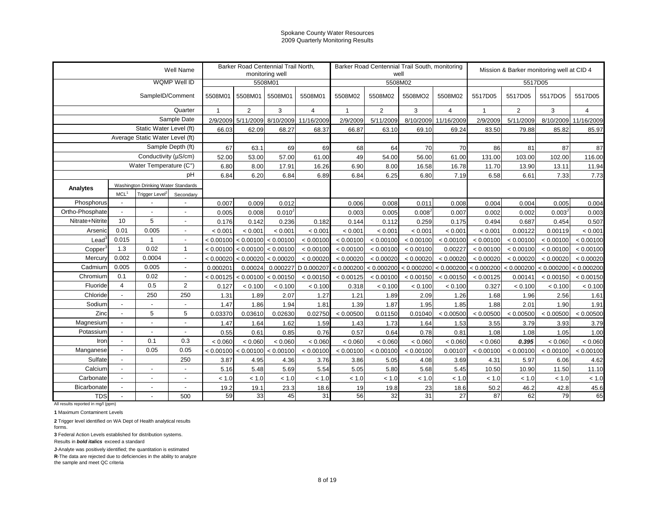|                 |                          |                                     | Well Name                |              | Barker Road Centennial Trail North, | monitoring well |                |                | well           | Barker Road Centennial Trail South, monitoring |                      |              |                | Mission & Barker monitoring well at CID 4 |                      |
|-----------------|--------------------------|-------------------------------------|--------------------------|--------------|-------------------------------------|-----------------|----------------|----------------|----------------|------------------------------------------------|----------------------|--------------|----------------|-------------------------------------------|----------------------|
|                 |                          |                                     | WQMP Well ID             |              |                                     | 5508M01         |                |                | 5508M02        |                                                |                      |              | 5517D05        |                                           |                      |
|                 |                          | SampleID/Comment                    |                          | 5508M01      | 5508M01                             | 5508M01         | 5508M01        | 5508M02        | 5508M02        | 5508MO2                                        | 5508M02              | 5517D05      | 5517D05        | 5517DO5                                   | 5517D05              |
|                 |                          |                                     | Quarter                  | $\mathbf{1}$ | $\overline{2}$                      | 3               | $\overline{4}$ | $\overline{1}$ | $\overline{2}$ | 3                                              | $\overline{4}$       | $\mathbf{1}$ | $\overline{2}$ | 3                                         | 4                    |
|                 |                          |                                     | Sample Date              | 2/9/2009     | 5/11/2009                           | 8/10/2009       | 11/16/2009     | 2/9/2009       | 5/11/2009      |                                                | 8/10/2009 11/16/2009 | 2/9/2009     | 5/11/2009      |                                           | 8/10/2009 11/16/2009 |
|                 |                          | Static Water Level (ft)             |                          | 66.03        | 62.09                               | 68.27           | 68.37          | 66.87          | 63.10          | 69.10                                          | 69.24                | 83.50        | 79.88          | 85.82                                     | 85.97                |
|                 |                          | Average Static Water Level (ft)     |                          |              |                                     |                 |                |                |                |                                                |                      |              |                |                                           |                      |
|                 |                          |                                     | Sample Depth (ft)        | 67           | 63.1                                | 69              | 69             | 68             | 64             | 70                                             | 70                   | 86           | 81             | 87                                        | 87                   |
|                 |                          | Conductivity (µS/cm)                |                          | 52.00        | 53.00                               | 57.00           | 61.00          | 49             | 54.00          | 56.00                                          | 61.00                | 131.00       | 103.00         | 102.00                                    | 116.00               |
|                 |                          | Water Temperature (C°)              |                          | 6.80         | 8.00                                | 17.91           | 16.26          | 6.90           | 8.00           | 16.58                                          | 16.78                | 11.70        | 13.90          | 13.11                                     | 11.94                |
|                 |                          |                                     | pH                       | 6.84         | 6.20                                | 6.84            | 6.89           | 6.84           | 6.25           | 6.80                                           | 7.19                 | 6.58         | 6.61           | 7.33                                      | 7.73                 |
| Analytes        |                          | Washington Drinking Water Standards |                          |              |                                     |                 |                |                |                |                                                |                      |              |                |                                           |                      |
|                 | MCL <sup>1</sup>         | Trigger Level <sup>2</sup>          | Secondary                |              |                                     |                 |                |                |                |                                                |                      |              |                |                                           |                      |
| Phosphorus      |                          |                                     |                          | 0.007        | 0.009                               | 0.012           |                | 0.006          | 0.008          | 0.011                                          | 0.008                | 0.004        | 0.004          | 0.005                                     | 0.004                |
| Ortho-Phosphate | $\overline{\phantom{a}}$ |                                     | $\overline{\phantom{a}}$ | 0.005        | 0.008                               | $0.010^{J}$     |                | 0.003          | 0.005          | 0.008                                          | 0.007                | 0.002        | 0.002          | 0.003 <sup>J</sup>                        | 0.003                |
| Nitrate+Nitrite | 10                       | 5                                   | $\overline{\phantom{a}}$ | 0.176        | 0.142                               | 0.236           | 0.182          | 0.144          | 0.112          | 0.259                                          | 0.175                | 0.494        | 0.687          | 0.454                                     | 0.507                |
| Arsenic         | 0.01                     | 0.005                               | $\overline{\phantom{a}}$ | < 0.001      | < 0.001                             | < 0.001         | < 0.001        | < 0.001        | < 0.001        | < 0.001                                        | < 0.001              | < 0.001      | 0.00122        | 0.00119                                   | < 0.001              |
| Lead            | 0.015                    | 1                                   | $\overline{\phantom{a}}$ | < 0.00100    | < 0.00100                           | < 0.00100       | < 0.00100      | < 0.00100      | < 0.00100      | < 0.00100                                      | < 0.00100            | < 0.00100    | < 0.00100      | < 0.00100                                 | < 0.00100            |
| Copper          | 1.3                      | 0.02                                | $\mathbf{1}$             | < 0.00100    | < 0.00100                           | < 0.00100       | < 0.00100      | < 0.00100      | < 0.00100      | < 0.00100                                      | 0.00227              | < 0.00100    | < 0.00100      | < 0.00100                                 | < 0.00100            |
| Mercury         | 0.002                    | 0.0004                              | $\overline{\phantom{a}}$ | < 0.00020    | < 0.00020                           | < 0.00020       | < 0.00020      | < 0.00020      | < 0.00020      | < 0.00020                                      | < 0.00020            | < 0.00020    | < 0.00020      | < 0.00020                                 | < 0.00020            |
| Cadmium         | 0.005                    | 0.005                               | $\overline{\phantom{a}}$ | 0.000201     | 0.00024                             | 0.000227        | D 0.000207     | < 0.000200     | < 0.000200     | < 0.000200                                     | < 0.000200           | < 0.000200   | < 0.000200     | < 0.000200                                | < 0.000200           |
| Chromium        | 0.1                      | 0.02                                | $\overline{\phantom{a}}$ | < 0.00125    | < 0.00100                           | < 0.00150       | < 0.00150      | < 0.00125      | < 0.00100      | < 0.00150                                      | < 0.00150            | < 0.00125    | 0.00141        | < 0.00150                                 | < 0.00150            |
| Fluoride        | $\overline{4}$           | 0.5                                 | $\overline{2}$           | 0.127        | < 0.100                             | < 0.100         | < 0.100        | 0.318          | < 0.100        | < 0.100                                        | < 0.100              | 0.327        | < 0.100        | < 0.100                                   | < 0.100              |
| Chloride        | $\mathbf{r}$             | 250                                 | 250                      | 1.31         | 1.89                                | 2.07            | 1.27           | 1.21           | 1.89           | 2.09                                           | 1.26                 | 1.68         | 1.96           | 2.56                                      | 1.61                 |
| Sodium          | $\mathbf{r}$             | $\overline{a}$                      | $\overline{a}$           | 1.47         | 1.86                                | 1.94            | 1.81           | 1.39           | 1.87           | 1.95                                           | 1.85                 | 1.88         | 2.01           | 1.90                                      | 1.91                 |
| Zinc            | $\blacksquare$           | 5                                   | 5                        | 0.03370      | 0.03610                             | 0.02630         | 0.02750        | < 0.00500      | 0.01150        | 0.01040                                        | < 0.00500            | < 0.00500    | < 0.00500      | < 0.00500                                 | < 0.00500            |
| Magnesium       | $\mathbf{r}$             |                                     | $\overline{a}$           | 1.47         | 1.64                                | 1.62            | 1.59           | 1.43           | 1.73           | 1.64                                           | 1.53                 | 3.55         | 3.79           | 3.93                                      | 3.79                 |
| Potassium       | $\blacksquare$           | $\overline{\phantom{a}}$            | $\overline{a}$           | 0.55         | 0.61                                | 0.85            | 0.76           | 0.57           | 0.64           | 0.78                                           | 0.81                 | 1.08         | 1.08           | 1.05                                      | 1.00                 |
| Iron            | $\mathbf{r}$             | 0.1                                 | 0.3                      | < 0.060      | < 0.060                             | < 0.060         | < 0.060        | < 0.060        | < 0.060        | < 0.060                                        | < 0.060              | < 0.060      | 0.395          | < 0.060                                   | < 0.060              |
| Manganese       | $\mathbf{r}$             | 0.05                                | 0.05                     | < 0.00100    | < 0.00100                           | < 0.00100       | < 0.00100      | < 0.00100      | < 0.00100      | < 0.00100                                      | 0.00107              | < 0.00100    | < 0.00100      | < 0.00100                                 | < 0.00100            |
| Sulfate         | $\blacksquare$           |                                     | 250                      | 3.87         | 4.95                                | 4.36            | 3.76           | 3.86           | 5.05           | 4.08                                           | 3.69                 | 4.31         | 5.97           | 6.06                                      | 4.62                 |
| Calcium         | $\overline{a}$           | $\overline{\phantom{a}}$            | $\overline{a}$           | 5.16         | 5.48                                | 5.69            | 5.54           | 5.05           | 5.80           | 5.68                                           | 5.45                 | 10.50        | 10.90          | 11.50                                     | 11.10                |
| Carbonate       | $\overline{a}$           | $\overline{\phantom{a}}$            | $\overline{a}$           | < 1.0        | < 1.0                               | < 1.0           | < 1.0          | < 1.0          | < 1.0          | < 1.0                                          | < 1.0                | < 1.0        | < 1.0          | < 1.0                                     | < 1.0                |
| Bicarbonate     |                          | $\overline{\phantom{a}}$            | $\overline{a}$           | 19.2         | 19.1                                | 23.3            | 18.6           | 19             | 19.8           | 23                                             | 18.6                 | 50.2         | 46.2           | 42.8                                      | 45.6                 |
| <b>TDS</b>      |                          |                                     | 500                      | 59           | 33                                  | 45              | 31             | 56             | 32             | 31                                             | 27                   | 87           | 62             | 79                                        | 65                   |

All results reported in mg/l (ppm)

**1** Maximum Contaminent Levels

**2** Trigger level identified on WA Dept of Health analytical results forms.

**3** Federal Action Levels established for distribution systems.

Results in *bold italics* exceed a standard

**J**-Analyte was positively identified; the quantitation is estimated

**R**-The data are rejected due to deficiencies in the ability to analyze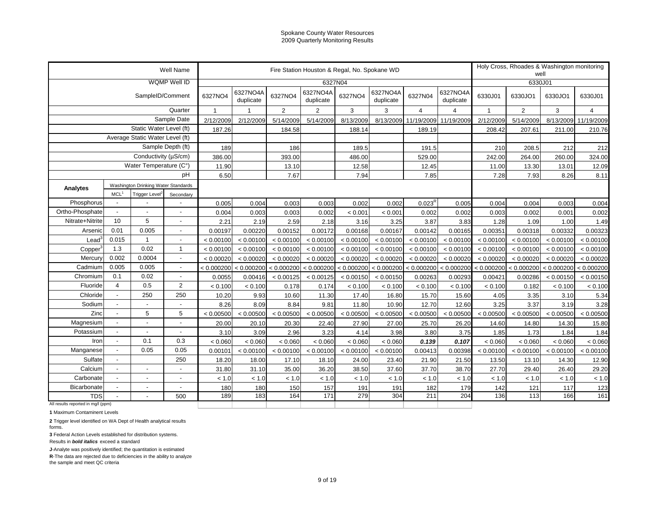| <b>WQMP Well ID</b><br>6327N04<br>6330J01<br>6327NO4A<br>6327NO4A<br>6327NO4A<br>6327NO4A<br>6327NO4<br>6327NO4<br>SampleID/Comment<br>6327NO4<br>6327N04<br>6330J01<br>6330JO1<br>6330JO1<br>6330J01<br>duplicate<br>duplicate<br>duplicate<br>duplicate<br>Quarter<br>$\overline{2}$<br>2<br>$\overline{2}$<br>3<br>3<br>3<br>$\overline{4}$<br>$\overline{1}$<br>$\overline{\mathbf{4}}$<br>$\overline{4}$<br>$\overline{1}$<br>Sample Date<br>2/12/2009<br>5/14/2009<br>5/14/2009<br>8/13/2009<br>8/13/2009<br>11/19/2009<br>2/12/2009<br>5/14/2009<br>8/13/2009<br>11/19/2009<br>2/12/2009<br>11/19/2009<br>Static Water Level (ft)<br>187.26<br>184.58<br>189.19<br>207.61<br>211.00<br>210.76<br>188.14<br>208.42<br>Average Static Water Level (ft)<br>Sample Depth (ft)<br>212<br>189<br>186<br>189.5<br>191.5<br>210<br>208.5<br>212<br>Conductivity (µS/cm)<br>386.00<br>242.00<br>260.00<br>324.00<br>393.00<br>486.00<br>529.00<br>264.00<br>Water Temperature (C°)<br>11.90<br>12.58<br>13.10<br>12.45<br>11.00<br>13.30<br>13.01<br>12.09<br>pH<br>7.85<br>6.50<br>7.67<br>7.94<br>7.28<br>7.93<br>8.26<br>8.11<br>Washington Drinking Water Standards<br>Analytes<br>MCL <sup>1</sup><br>Trigger Level <sup>2</sup><br>Secondary<br>$0.023^{R}$<br>Phosphorus<br>0.005<br>0.003<br>0.003<br>0.002<br>0.003<br>$\overline{\phantom{a}}$<br>0.004<br>0.002<br>0.005<br>0.004<br>0.004<br>0.004<br>Ortho-Phosphate<br>$\blacksquare$<br>$\overline{a}$<br>0.004<br>0.003<br>0.002<br>< 0.001<br>< 0.001<br>0.002<br>0.002<br>0.002<br>0.002<br>$\overline{a}$<br>0.003<br>0.003<br>0.001<br>5<br>10<br>Nitrate+Nitrite<br>2.21<br>2.19<br>2.59<br>2.18<br>3.16<br>3.25<br>3.87<br>3.83<br>1.28<br>1.09<br>1.00<br>1.49<br>0.005<br>0.01<br>0.00323<br>Arsenic<br>0.00197<br>0.00220<br>0.00152<br>0.00172<br>0.00168<br>0.00167<br>0.00142<br>0.00165<br>0.00351<br>0.00318<br>0.00332<br>0.015<br>$\overline{1}$<br>$\text{Lead}^3$<br>$\overline{a}$<br>< 0.00100<br>< 0.00100<br>< 0.00100<br>< 0.00100<br>< 0.00100<br>< 0.00100<br>< 0.00100<br>< 0.00100<br>< 0.00100<br>< 0.00100<br>< 0.00100<br>< 0.00100<br>0.02<br>1.3<br>$\mathbf{1}$<br>< 0.00100<br>< 0.00100<br>< 0.00100<br>< 0.00100<br>< 0.00100<br>Copper<br>< 0.00100<br>< 0.00100<br>< 0.00100<br>< 0.00100<br>< 0.00100<br>< 0.00100<br>< 0.00100<br>0.002<br>0.0004<br>Mercury<br>< 0.00020<br>< 0.00020<br>< 0.00020<br>< 0.00020<br>$\overline{a}$<br>< 0.00020<br>< 0.00020<br>< 0.00020<br>< 0.00020<br>< 0.00020<br>< 0.00020<br>< 0.00020<br>< 0.00020<br>0.005<br>0.005<br>Cadmium<br>$< 0.000200$ $< 0.000200$<br>$\sim$<br>< 0.000200<br>< 0.000200<br>< 0.000200<br>< 0.000200<br>< 0.000200<br>< 0.000200<br>< 0.000200<br>< 0.000200<br>< 0.000200<br>< 0.000200<br>0.1<br>0.02<br>Chromium<br>0.0055<br>0.00416<br>< 0.00150<br>0.00293<br>0.00421<br>0.00286<br>< 0.00150<br>$\overline{\phantom{a}}$<br>< 0.00125<br>< 0.00125<br>< 0.00150<br>0.00263<br>< 0.00150<br>0.5<br>$\overline{2}$<br>$\overline{4}$<br>Fluoride<br>< 0.100<br>0.174<br>< 0.100<br>0.178<br>< 0.100<br>< 0.100<br>< 0.100<br>< 0.100<br>< 0.100<br>0.182<br>< 0.100<br>< 0.100<br>250<br>Chloride<br>250<br>$\blacksquare$<br>10.20<br>9.93<br>11.30<br>17.40<br>16.80<br>3.10<br>5.34<br>10.60<br>15.70<br>15.60<br>4.05<br>3.35<br>Sodium<br>8.09<br>9.81<br>3.37<br>3.19<br>8.26<br>8.84<br>11.80<br>10.90<br>12.70<br>12.60<br>3.25<br>3.28<br>$\blacksquare$<br>5<br>Zinc<br>5<br>< 0.00500<br>< 0.00500<br>< 0.00500<br>< 0.00500<br>< 0.00500<br>< 0.00500<br>< 0.00500<br>< 0.00500<br>< 0.00500<br>< 0.00500<br>< 0.00500<br>< 0.00500<br>Magnesium<br>27.90<br>14.30<br>20.00<br>20.10<br>20.30<br>22.40<br>27.00<br>25.70<br>26.20<br>14.60<br>14.80<br>15.80<br>$\overline{a}$<br>Potassium<br>3.09<br>2.96<br>3.23<br>3.98<br>1.73<br>1.84<br>3.10<br>4.14<br>3.80<br>3.75<br>1.85<br>1.84<br>$\overline{a}$<br>0.3<br>0.1<br>Iron<br>< 0.060<br>< 0.060<br>< 0.060<br>< 0.060<br>< 0.060<br>< 0.060<br>< 0.060<br>0.139<br>0.107<br>< 0.060<br>< 0.060<br>< 0.060<br>$\overline{a}$<br>0.05<br>0.05<br>Manganese<br>< 0.00100<br>< 0.00100<br>< 0.00100<br>< 0.00100<br>< 0.00100<br>0.00413<br>0.00398<br>< 0.00100<br>< 0.00100<br>< 0.00100<br>< 0.00100<br>$\overline{a}$<br>0.00101<br>Sulfate<br>250<br>18.20<br>18.00<br>18.10<br>24.00<br>21.90<br>13.50<br>14.30<br>$\overline{\phantom{a}}$<br>17.10<br>23.40<br>21.50<br>13.10<br>12.90<br>Calcium<br>38.50<br>31.80<br>31.10<br>36.20<br>37.60<br>37.70<br>38.70<br>27.70<br>29.40<br>26.40<br>35.00<br>29.20<br>$\blacksquare$<br>$\blacksquare$<br>Carbonate<br>$<1.0\,$<br>< 1.0<br>< 1.0<br>< 1.0<br>< 1.0<br>< 1.0<br>< 1.0<br>< 1.0<br>< 1.0<br>< 1.0<br>< 1.0<br>< 1.0<br>$\blacksquare$<br>$\blacksquare$<br>191<br>117<br>Bicarbonate<br>180<br>180<br>150<br>157<br>191<br>182<br>142<br>121<br>179<br>123<br>$\blacksquare$<br>$\blacksquare$<br>$\overline{\phantom{a}}$<br>164<br>171<br>279<br>204<br>166<br>189<br>183<br>304<br>211<br>136<br>113<br>161<br><b>TDS</b><br>500<br>All results reported in mg/l (ppm) |  |  | Well Name |  |  | Fire Station Houston & Regal, No. Spokane WD |  |  | Holy Cross, Rhoades & Washington monitoring<br>well |  |
|--------------------------------------------------------------------------------------------------------------------------------------------------------------------------------------------------------------------------------------------------------------------------------------------------------------------------------------------------------------------------------------------------------------------------------------------------------------------------------------------------------------------------------------------------------------------------------------------------------------------------------------------------------------------------------------------------------------------------------------------------------------------------------------------------------------------------------------------------------------------------------------------------------------------------------------------------------------------------------------------------------------------------------------------------------------------------------------------------------------------------------------------------------------------------------------------------------------------------------------------------------------------------------------------------------------------------------------------------------------------------------------------------------------------------------------------------------------------------------------------------------------------------------------------------------------------------------------------------------------------------------------------------------------------------------------------------------------------------------------------------------------------------------------------------------------------------------------------------------------------------------------------------------------------------------------------------------------------------------------------------------------------------------------------------------------------------------------------------------------------------------------------------------------------------------------------------------------------------------------------------------------------------------------------------------------------------------------------------------------------------------------------------------------------------------------------------------------------------------------------------------------------------------------------------------------------------------------------------------------------------------------------------------------------------------------------------------------------------------------------------------------------------------------------------------------------------------------------------------------------------------------------------------------------------------------------------------------------------------------------------------------------------------------------------------------------------------------------------------------------------------------------------------------------------------------------------------------------------------------------------------------------------------------------------------------------------------------------------------------------------------------------------------------------------------------------------------------------------------------------------------------------------------------------------------------------------------------------------------------------------------------------------------------------------------------------------------------------------------------------------------------------------------------------------------------------------------------------------------------------------------------------------------------------------------------------------------------------------------------------------------------------------------------------------------------------------------------------------------------------------------------------------------------------------------------------------------------------------------------------------------------------------------------------------------------------------------------------------------------------------------------------------------------------------------------------------------------------------------------------------------------------------------------------------------------------------------------------------------------------------------------------------------------------------------------------------------------------------------------------------------------------------------------------------------------------------------------------------------------------------------------------------------------------------------------------------------------------------------------------------------------------------------------------------------------------------------------------|--|--|-----------|--|--|----------------------------------------------|--|--|-----------------------------------------------------|--|
|                                                                                                                                                                                                                                                                                                                                                                                                                                                                                                                                                                                                                                                                                                                                                                                                                                                                                                                                                                                                                                                                                                                                                                                                                                                                                                                                                                                                                                                                                                                                                                                                                                                                                                                                                                                                                                                                                                                                                                                                                                                                                                                                                                                                                                                                                                                                                                                                                                                                                                                                                                                                                                                                                                                                                                                                                                                                                                                                                                                                                                                                                                                                                                                                                                                                                                                                                                                                                                                                                                                                                                                                                                                                                                                                                                                                                                                                                                                                                                                                                                                                                                                                                                                                                                                                                                                                                                                                                                                                                                                                                                                                                                                                                                                                                                                                                                                                                                                                                                                                                                                                                            |  |  |           |  |  |                                              |  |  |                                                     |  |
|                                                                                                                                                                                                                                                                                                                                                                                                                                                                                                                                                                                                                                                                                                                                                                                                                                                                                                                                                                                                                                                                                                                                                                                                                                                                                                                                                                                                                                                                                                                                                                                                                                                                                                                                                                                                                                                                                                                                                                                                                                                                                                                                                                                                                                                                                                                                                                                                                                                                                                                                                                                                                                                                                                                                                                                                                                                                                                                                                                                                                                                                                                                                                                                                                                                                                                                                                                                                                                                                                                                                                                                                                                                                                                                                                                                                                                                                                                                                                                                                                                                                                                                                                                                                                                                                                                                                                                                                                                                                                                                                                                                                                                                                                                                                                                                                                                                                                                                                                                                                                                                                                            |  |  |           |  |  |                                              |  |  |                                                     |  |
|                                                                                                                                                                                                                                                                                                                                                                                                                                                                                                                                                                                                                                                                                                                                                                                                                                                                                                                                                                                                                                                                                                                                                                                                                                                                                                                                                                                                                                                                                                                                                                                                                                                                                                                                                                                                                                                                                                                                                                                                                                                                                                                                                                                                                                                                                                                                                                                                                                                                                                                                                                                                                                                                                                                                                                                                                                                                                                                                                                                                                                                                                                                                                                                                                                                                                                                                                                                                                                                                                                                                                                                                                                                                                                                                                                                                                                                                                                                                                                                                                                                                                                                                                                                                                                                                                                                                                                                                                                                                                                                                                                                                                                                                                                                                                                                                                                                                                                                                                                                                                                                                                            |  |  |           |  |  |                                              |  |  |                                                     |  |
|                                                                                                                                                                                                                                                                                                                                                                                                                                                                                                                                                                                                                                                                                                                                                                                                                                                                                                                                                                                                                                                                                                                                                                                                                                                                                                                                                                                                                                                                                                                                                                                                                                                                                                                                                                                                                                                                                                                                                                                                                                                                                                                                                                                                                                                                                                                                                                                                                                                                                                                                                                                                                                                                                                                                                                                                                                                                                                                                                                                                                                                                                                                                                                                                                                                                                                                                                                                                                                                                                                                                                                                                                                                                                                                                                                                                                                                                                                                                                                                                                                                                                                                                                                                                                                                                                                                                                                                                                                                                                                                                                                                                                                                                                                                                                                                                                                                                                                                                                                                                                                                                                            |  |  |           |  |  |                                              |  |  |                                                     |  |
|                                                                                                                                                                                                                                                                                                                                                                                                                                                                                                                                                                                                                                                                                                                                                                                                                                                                                                                                                                                                                                                                                                                                                                                                                                                                                                                                                                                                                                                                                                                                                                                                                                                                                                                                                                                                                                                                                                                                                                                                                                                                                                                                                                                                                                                                                                                                                                                                                                                                                                                                                                                                                                                                                                                                                                                                                                                                                                                                                                                                                                                                                                                                                                                                                                                                                                                                                                                                                                                                                                                                                                                                                                                                                                                                                                                                                                                                                                                                                                                                                                                                                                                                                                                                                                                                                                                                                                                                                                                                                                                                                                                                                                                                                                                                                                                                                                                                                                                                                                                                                                                                                            |  |  |           |  |  |                                              |  |  |                                                     |  |
|                                                                                                                                                                                                                                                                                                                                                                                                                                                                                                                                                                                                                                                                                                                                                                                                                                                                                                                                                                                                                                                                                                                                                                                                                                                                                                                                                                                                                                                                                                                                                                                                                                                                                                                                                                                                                                                                                                                                                                                                                                                                                                                                                                                                                                                                                                                                                                                                                                                                                                                                                                                                                                                                                                                                                                                                                                                                                                                                                                                                                                                                                                                                                                                                                                                                                                                                                                                                                                                                                                                                                                                                                                                                                                                                                                                                                                                                                                                                                                                                                                                                                                                                                                                                                                                                                                                                                                                                                                                                                                                                                                                                                                                                                                                                                                                                                                                                                                                                                                                                                                                                                            |  |  |           |  |  |                                              |  |  |                                                     |  |
|                                                                                                                                                                                                                                                                                                                                                                                                                                                                                                                                                                                                                                                                                                                                                                                                                                                                                                                                                                                                                                                                                                                                                                                                                                                                                                                                                                                                                                                                                                                                                                                                                                                                                                                                                                                                                                                                                                                                                                                                                                                                                                                                                                                                                                                                                                                                                                                                                                                                                                                                                                                                                                                                                                                                                                                                                                                                                                                                                                                                                                                                                                                                                                                                                                                                                                                                                                                                                                                                                                                                                                                                                                                                                                                                                                                                                                                                                                                                                                                                                                                                                                                                                                                                                                                                                                                                                                                                                                                                                                                                                                                                                                                                                                                                                                                                                                                                                                                                                                                                                                                                                            |  |  |           |  |  |                                              |  |  |                                                     |  |
|                                                                                                                                                                                                                                                                                                                                                                                                                                                                                                                                                                                                                                                                                                                                                                                                                                                                                                                                                                                                                                                                                                                                                                                                                                                                                                                                                                                                                                                                                                                                                                                                                                                                                                                                                                                                                                                                                                                                                                                                                                                                                                                                                                                                                                                                                                                                                                                                                                                                                                                                                                                                                                                                                                                                                                                                                                                                                                                                                                                                                                                                                                                                                                                                                                                                                                                                                                                                                                                                                                                                                                                                                                                                                                                                                                                                                                                                                                                                                                                                                                                                                                                                                                                                                                                                                                                                                                                                                                                                                                                                                                                                                                                                                                                                                                                                                                                                                                                                                                                                                                                                                            |  |  |           |  |  |                                              |  |  |                                                     |  |
|                                                                                                                                                                                                                                                                                                                                                                                                                                                                                                                                                                                                                                                                                                                                                                                                                                                                                                                                                                                                                                                                                                                                                                                                                                                                                                                                                                                                                                                                                                                                                                                                                                                                                                                                                                                                                                                                                                                                                                                                                                                                                                                                                                                                                                                                                                                                                                                                                                                                                                                                                                                                                                                                                                                                                                                                                                                                                                                                                                                                                                                                                                                                                                                                                                                                                                                                                                                                                                                                                                                                                                                                                                                                                                                                                                                                                                                                                                                                                                                                                                                                                                                                                                                                                                                                                                                                                                                                                                                                                                                                                                                                                                                                                                                                                                                                                                                                                                                                                                                                                                                                                            |  |  |           |  |  |                                              |  |  |                                                     |  |
|                                                                                                                                                                                                                                                                                                                                                                                                                                                                                                                                                                                                                                                                                                                                                                                                                                                                                                                                                                                                                                                                                                                                                                                                                                                                                                                                                                                                                                                                                                                                                                                                                                                                                                                                                                                                                                                                                                                                                                                                                                                                                                                                                                                                                                                                                                                                                                                                                                                                                                                                                                                                                                                                                                                                                                                                                                                                                                                                                                                                                                                                                                                                                                                                                                                                                                                                                                                                                                                                                                                                                                                                                                                                                                                                                                                                                                                                                                                                                                                                                                                                                                                                                                                                                                                                                                                                                                                                                                                                                                                                                                                                                                                                                                                                                                                                                                                                                                                                                                                                                                                                                            |  |  |           |  |  |                                              |  |  |                                                     |  |
|                                                                                                                                                                                                                                                                                                                                                                                                                                                                                                                                                                                                                                                                                                                                                                                                                                                                                                                                                                                                                                                                                                                                                                                                                                                                                                                                                                                                                                                                                                                                                                                                                                                                                                                                                                                                                                                                                                                                                                                                                                                                                                                                                                                                                                                                                                                                                                                                                                                                                                                                                                                                                                                                                                                                                                                                                                                                                                                                                                                                                                                                                                                                                                                                                                                                                                                                                                                                                                                                                                                                                                                                                                                                                                                                                                                                                                                                                                                                                                                                                                                                                                                                                                                                                                                                                                                                                                                                                                                                                                                                                                                                                                                                                                                                                                                                                                                                                                                                                                                                                                                                                            |  |  |           |  |  |                                              |  |  |                                                     |  |
|                                                                                                                                                                                                                                                                                                                                                                                                                                                                                                                                                                                                                                                                                                                                                                                                                                                                                                                                                                                                                                                                                                                                                                                                                                                                                                                                                                                                                                                                                                                                                                                                                                                                                                                                                                                                                                                                                                                                                                                                                                                                                                                                                                                                                                                                                                                                                                                                                                                                                                                                                                                                                                                                                                                                                                                                                                                                                                                                                                                                                                                                                                                                                                                                                                                                                                                                                                                                                                                                                                                                                                                                                                                                                                                                                                                                                                                                                                                                                                                                                                                                                                                                                                                                                                                                                                                                                                                                                                                                                                                                                                                                                                                                                                                                                                                                                                                                                                                                                                                                                                                                                            |  |  |           |  |  |                                              |  |  |                                                     |  |
|                                                                                                                                                                                                                                                                                                                                                                                                                                                                                                                                                                                                                                                                                                                                                                                                                                                                                                                                                                                                                                                                                                                                                                                                                                                                                                                                                                                                                                                                                                                                                                                                                                                                                                                                                                                                                                                                                                                                                                                                                                                                                                                                                                                                                                                                                                                                                                                                                                                                                                                                                                                                                                                                                                                                                                                                                                                                                                                                                                                                                                                                                                                                                                                                                                                                                                                                                                                                                                                                                                                                                                                                                                                                                                                                                                                                                                                                                                                                                                                                                                                                                                                                                                                                                                                                                                                                                                                                                                                                                                                                                                                                                                                                                                                                                                                                                                                                                                                                                                                                                                                                                            |  |  |           |  |  |                                              |  |  |                                                     |  |
|                                                                                                                                                                                                                                                                                                                                                                                                                                                                                                                                                                                                                                                                                                                                                                                                                                                                                                                                                                                                                                                                                                                                                                                                                                                                                                                                                                                                                                                                                                                                                                                                                                                                                                                                                                                                                                                                                                                                                                                                                                                                                                                                                                                                                                                                                                                                                                                                                                                                                                                                                                                                                                                                                                                                                                                                                                                                                                                                                                                                                                                                                                                                                                                                                                                                                                                                                                                                                                                                                                                                                                                                                                                                                                                                                                                                                                                                                                                                                                                                                                                                                                                                                                                                                                                                                                                                                                                                                                                                                                                                                                                                                                                                                                                                                                                                                                                                                                                                                                                                                                                                                            |  |  |           |  |  |                                              |  |  |                                                     |  |
|                                                                                                                                                                                                                                                                                                                                                                                                                                                                                                                                                                                                                                                                                                                                                                                                                                                                                                                                                                                                                                                                                                                                                                                                                                                                                                                                                                                                                                                                                                                                                                                                                                                                                                                                                                                                                                                                                                                                                                                                                                                                                                                                                                                                                                                                                                                                                                                                                                                                                                                                                                                                                                                                                                                                                                                                                                                                                                                                                                                                                                                                                                                                                                                                                                                                                                                                                                                                                                                                                                                                                                                                                                                                                                                                                                                                                                                                                                                                                                                                                                                                                                                                                                                                                                                                                                                                                                                                                                                                                                                                                                                                                                                                                                                                                                                                                                                                                                                                                                                                                                                                                            |  |  |           |  |  |                                              |  |  |                                                     |  |
|                                                                                                                                                                                                                                                                                                                                                                                                                                                                                                                                                                                                                                                                                                                                                                                                                                                                                                                                                                                                                                                                                                                                                                                                                                                                                                                                                                                                                                                                                                                                                                                                                                                                                                                                                                                                                                                                                                                                                                                                                                                                                                                                                                                                                                                                                                                                                                                                                                                                                                                                                                                                                                                                                                                                                                                                                                                                                                                                                                                                                                                                                                                                                                                                                                                                                                                                                                                                                                                                                                                                                                                                                                                                                                                                                                                                                                                                                                                                                                                                                                                                                                                                                                                                                                                                                                                                                                                                                                                                                                                                                                                                                                                                                                                                                                                                                                                                                                                                                                                                                                                                                            |  |  |           |  |  |                                              |  |  |                                                     |  |
|                                                                                                                                                                                                                                                                                                                                                                                                                                                                                                                                                                                                                                                                                                                                                                                                                                                                                                                                                                                                                                                                                                                                                                                                                                                                                                                                                                                                                                                                                                                                                                                                                                                                                                                                                                                                                                                                                                                                                                                                                                                                                                                                                                                                                                                                                                                                                                                                                                                                                                                                                                                                                                                                                                                                                                                                                                                                                                                                                                                                                                                                                                                                                                                                                                                                                                                                                                                                                                                                                                                                                                                                                                                                                                                                                                                                                                                                                                                                                                                                                                                                                                                                                                                                                                                                                                                                                                                                                                                                                                                                                                                                                                                                                                                                                                                                                                                                                                                                                                                                                                                                                            |  |  |           |  |  |                                              |  |  |                                                     |  |
|                                                                                                                                                                                                                                                                                                                                                                                                                                                                                                                                                                                                                                                                                                                                                                                                                                                                                                                                                                                                                                                                                                                                                                                                                                                                                                                                                                                                                                                                                                                                                                                                                                                                                                                                                                                                                                                                                                                                                                                                                                                                                                                                                                                                                                                                                                                                                                                                                                                                                                                                                                                                                                                                                                                                                                                                                                                                                                                                                                                                                                                                                                                                                                                                                                                                                                                                                                                                                                                                                                                                                                                                                                                                                                                                                                                                                                                                                                                                                                                                                                                                                                                                                                                                                                                                                                                                                                                                                                                                                                                                                                                                                                                                                                                                                                                                                                                                                                                                                                                                                                                                                            |  |  |           |  |  |                                              |  |  |                                                     |  |
|                                                                                                                                                                                                                                                                                                                                                                                                                                                                                                                                                                                                                                                                                                                                                                                                                                                                                                                                                                                                                                                                                                                                                                                                                                                                                                                                                                                                                                                                                                                                                                                                                                                                                                                                                                                                                                                                                                                                                                                                                                                                                                                                                                                                                                                                                                                                                                                                                                                                                                                                                                                                                                                                                                                                                                                                                                                                                                                                                                                                                                                                                                                                                                                                                                                                                                                                                                                                                                                                                                                                                                                                                                                                                                                                                                                                                                                                                                                                                                                                                                                                                                                                                                                                                                                                                                                                                                                                                                                                                                                                                                                                                                                                                                                                                                                                                                                                                                                                                                                                                                                                                            |  |  |           |  |  |                                              |  |  |                                                     |  |
|                                                                                                                                                                                                                                                                                                                                                                                                                                                                                                                                                                                                                                                                                                                                                                                                                                                                                                                                                                                                                                                                                                                                                                                                                                                                                                                                                                                                                                                                                                                                                                                                                                                                                                                                                                                                                                                                                                                                                                                                                                                                                                                                                                                                                                                                                                                                                                                                                                                                                                                                                                                                                                                                                                                                                                                                                                                                                                                                                                                                                                                                                                                                                                                                                                                                                                                                                                                                                                                                                                                                                                                                                                                                                                                                                                                                                                                                                                                                                                                                                                                                                                                                                                                                                                                                                                                                                                                                                                                                                                                                                                                                                                                                                                                                                                                                                                                                                                                                                                                                                                                                                            |  |  |           |  |  |                                              |  |  |                                                     |  |
|                                                                                                                                                                                                                                                                                                                                                                                                                                                                                                                                                                                                                                                                                                                                                                                                                                                                                                                                                                                                                                                                                                                                                                                                                                                                                                                                                                                                                                                                                                                                                                                                                                                                                                                                                                                                                                                                                                                                                                                                                                                                                                                                                                                                                                                                                                                                                                                                                                                                                                                                                                                                                                                                                                                                                                                                                                                                                                                                                                                                                                                                                                                                                                                                                                                                                                                                                                                                                                                                                                                                                                                                                                                                                                                                                                                                                                                                                                                                                                                                                                                                                                                                                                                                                                                                                                                                                                                                                                                                                                                                                                                                                                                                                                                                                                                                                                                                                                                                                                                                                                                                                            |  |  |           |  |  |                                              |  |  |                                                     |  |
|                                                                                                                                                                                                                                                                                                                                                                                                                                                                                                                                                                                                                                                                                                                                                                                                                                                                                                                                                                                                                                                                                                                                                                                                                                                                                                                                                                                                                                                                                                                                                                                                                                                                                                                                                                                                                                                                                                                                                                                                                                                                                                                                                                                                                                                                                                                                                                                                                                                                                                                                                                                                                                                                                                                                                                                                                                                                                                                                                                                                                                                                                                                                                                                                                                                                                                                                                                                                                                                                                                                                                                                                                                                                                                                                                                                                                                                                                                                                                                                                                                                                                                                                                                                                                                                                                                                                                                                                                                                                                                                                                                                                                                                                                                                                                                                                                                                                                                                                                                                                                                                                                            |  |  |           |  |  |                                              |  |  |                                                     |  |
|                                                                                                                                                                                                                                                                                                                                                                                                                                                                                                                                                                                                                                                                                                                                                                                                                                                                                                                                                                                                                                                                                                                                                                                                                                                                                                                                                                                                                                                                                                                                                                                                                                                                                                                                                                                                                                                                                                                                                                                                                                                                                                                                                                                                                                                                                                                                                                                                                                                                                                                                                                                                                                                                                                                                                                                                                                                                                                                                                                                                                                                                                                                                                                                                                                                                                                                                                                                                                                                                                                                                                                                                                                                                                                                                                                                                                                                                                                                                                                                                                                                                                                                                                                                                                                                                                                                                                                                                                                                                                                                                                                                                                                                                                                                                                                                                                                                                                                                                                                                                                                                                                            |  |  |           |  |  |                                              |  |  |                                                     |  |
|                                                                                                                                                                                                                                                                                                                                                                                                                                                                                                                                                                                                                                                                                                                                                                                                                                                                                                                                                                                                                                                                                                                                                                                                                                                                                                                                                                                                                                                                                                                                                                                                                                                                                                                                                                                                                                                                                                                                                                                                                                                                                                                                                                                                                                                                                                                                                                                                                                                                                                                                                                                                                                                                                                                                                                                                                                                                                                                                                                                                                                                                                                                                                                                                                                                                                                                                                                                                                                                                                                                                                                                                                                                                                                                                                                                                                                                                                                                                                                                                                                                                                                                                                                                                                                                                                                                                                                                                                                                                                                                                                                                                                                                                                                                                                                                                                                                                                                                                                                                                                                                                                            |  |  |           |  |  |                                              |  |  |                                                     |  |
|                                                                                                                                                                                                                                                                                                                                                                                                                                                                                                                                                                                                                                                                                                                                                                                                                                                                                                                                                                                                                                                                                                                                                                                                                                                                                                                                                                                                                                                                                                                                                                                                                                                                                                                                                                                                                                                                                                                                                                                                                                                                                                                                                                                                                                                                                                                                                                                                                                                                                                                                                                                                                                                                                                                                                                                                                                                                                                                                                                                                                                                                                                                                                                                                                                                                                                                                                                                                                                                                                                                                                                                                                                                                                                                                                                                                                                                                                                                                                                                                                                                                                                                                                                                                                                                                                                                                                                                                                                                                                                                                                                                                                                                                                                                                                                                                                                                                                                                                                                                                                                                                                            |  |  |           |  |  |                                              |  |  |                                                     |  |
|                                                                                                                                                                                                                                                                                                                                                                                                                                                                                                                                                                                                                                                                                                                                                                                                                                                                                                                                                                                                                                                                                                                                                                                                                                                                                                                                                                                                                                                                                                                                                                                                                                                                                                                                                                                                                                                                                                                                                                                                                                                                                                                                                                                                                                                                                                                                                                                                                                                                                                                                                                                                                                                                                                                                                                                                                                                                                                                                                                                                                                                                                                                                                                                                                                                                                                                                                                                                                                                                                                                                                                                                                                                                                                                                                                                                                                                                                                                                                                                                                                                                                                                                                                                                                                                                                                                                                                                                                                                                                                                                                                                                                                                                                                                                                                                                                                                                                                                                                                                                                                                                                            |  |  |           |  |  |                                              |  |  |                                                     |  |
|                                                                                                                                                                                                                                                                                                                                                                                                                                                                                                                                                                                                                                                                                                                                                                                                                                                                                                                                                                                                                                                                                                                                                                                                                                                                                                                                                                                                                                                                                                                                                                                                                                                                                                                                                                                                                                                                                                                                                                                                                                                                                                                                                                                                                                                                                                                                                                                                                                                                                                                                                                                                                                                                                                                                                                                                                                                                                                                                                                                                                                                                                                                                                                                                                                                                                                                                                                                                                                                                                                                                                                                                                                                                                                                                                                                                                                                                                                                                                                                                                                                                                                                                                                                                                                                                                                                                                                                                                                                                                                                                                                                                                                                                                                                                                                                                                                                                                                                                                                                                                                                                                            |  |  |           |  |  |                                              |  |  |                                                     |  |
|                                                                                                                                                                                                                                                                                                                                                                                                                                                                                                                                                                                                                                                                                                                                                                                                                                                                                                                                                                                                                                                                                                                                                                                                                                                                                                                                                                                                                                                                                                                                                                                                                                                                                                                                                                                                                                                                                                                                                                                                                                                                                                                                                                                                                                                                                                                                                                                                                                                                                                                                                                                                                                                                                                                                                                                                                                                                                                                                                                                                                                                                                                                                                                                                                                                                                                                                                                                                                                                                                                                                                                                                                                                                                                                                                                                                                                                                                                                                                                                                                                                                                                                                                                                                                                                                                                                                                                                                                                                                                                                                                                                                                                                                                                                                                                                                                                                                                                                                                                                                                                                                                            |  |  |           |  |  |                                              |  |  |                                                     |  |
|                                                                                                                                                                                                                                                                                                                                                                                                                                                                                                                                                                                                                                                                                                                                                                                                                                                                                                                                                                                                                                                                                                                                                                                                                                                                                                                                                                                                                                                                                                                                                                                                                                                                                                                                                                                                                                                                                                                                                                                                                                                                                                                                                                                                                                                                                                                                                                                                                                                                                                                                                                                                                                                                                                                                                                                                                                                                                                                                                                                                                                                                                                                                                                                                                                                                                                                                                                                                                                                                                                                                                                                                                                                                                                                                                                                                                                                                                                                                                                                                                                                                                                                                                                                                                                                                                                                                                                                                                                                                                                                                                                                                                                                                                                                                                                                                                                                                                                                                                                                                                                                                                            |  |  |           |  |  |                                              |  |  |                                                     |  |
|                                                                                                                                                                                                                                                                                                                                                                                                                                                                                                                                                                                                                                                                                                                                                                                                                                                                                                                                                                                                                                                                                                                                                                                                                                                                                                                                                                                                                                                                                                                                                                                                                                                                                                                                                                                                                                                                                                                                                                                                                                                                                                                                                                                                                                                                                                                                                                                                                                                                                                                                                                                                                                                                                                                                                                                                                                                                                                                                                                                                                                                                                                                                                                                                                                                                                                                                                                                                                                                                                                                                                                                                                                                                                                                                                                                                                                                                                                                                                                                                                                                                                                                                                                                                                                                                                                                                                                                                                                                                                                                                                                                                                                                                                                                                                                                                                                                                                                                                                                                                                                                                                            |  |  |           |  |  |                                              |  |  |                                                     |  |
|                                                                                                                                                                                                                                                                                                                                                                                                                                                                                                                                                                                                                                                                                                                                                                                                                                                                                                                                                                                                                                                                                                                                                                                                                                                                                                                                                                                                                                                                                                                                                                                                                                                                                                                                                                                                                                                                                                                                                                                                                                                                                                                                                                                                                                                                                                                                                                                                                                                                                                                                                                                                                                                                                                                                                                                                                                                                                                                                                                                                                                                                                                                                                                                                                                                                                                                                                                                                                                                                                                                                                                                                                                                                                                                                                                                                                                                                                                                                                                                                                                                                                                                                                                                                                                                                                                                                                                                                                                                                                                                                                                                                                                                                                                                                                                                                                                                                                                                                                                                                                                                                                            |  |  |           |  |  |                                              |  |  |                                                     |  |
|                                                                                                                                                                                                                                                                                                                                                                                                                                                                                                                                                                                                                                                                                                                                                                                                                                                                                                                                                                                                                                                                                                                                                                                                                                                                                                                                                                                                                                                                                                                                                                                                                                                                                                                                                                                                                                                                                                                                                                                                                                                                                                                                                                                                                                                                                                                                                                                                                                                                                                                                                                                                                                                                                                                                                                                                                                                                                                                                                                                                                                                                                                                                                                                                                                                                                                                                                                                                                                                                                                                                                                                                                                                                                                                                                                                                                                                                                                                                                                                                                                                                                                                                                                                                                                                                                                                                                                                                                                                                                                                                                                                                                                                                                                                                                                                                                                                                                                                                                                                                                                                                                            |  |  |           |  |  |                                              |  |  |                                                     |  |
|                                                                                                                                                                                                                                                                                                                                                                                                                                                                                                                                                                                                                                                                                                                                                                                                                                                                                                                                                                                                                                                                                                                                                                                                                                                                                                                                                                                                                                                                                                                                                                                                                                                                                                                                                                                                                                                                                                                                                                                                                                                                                                                                                                                                                                                                                                                                                                                                                                                                                                                                                                                                                                                                                                                                                                                                                                                                                                                                                                                                                                                                                                                                                                                                                                                                                                                                                                                                                                                                                                                                                                                                                                                                                                                                                                                                                                                                                                                                                                                                                                                                                                                                                                                                                                                                                                                                                                                                                                                                                                                                                                                                                                                                                                                                                                                                                                                                                                                                                                                                                                                                                            |  |  |           |  |  |                                              |  |  |                                                     |  |
|                                                                                                                                                                                                                                                                                                                                                                                                                                                                                                                                                                                                                                                                                                                                                                                                                                                                                                                                                                                                                                                                                                                                                                                                                                                                                                                                                                                                                                                                                                                                                                                                                                                                                                                                                                                                                                                                                                                                                                                                                                                                                                                                                                                                                                                                                                                                                                                                                                                                                                                                                                                                                                                                                                                                                                                                                                                                                                                                                                                                                                                                                                                                                                                                                                                                                                                                                                                                                                                                                                                                                                                                                                                                                                                                                                                                                                                                                                                                                                                                                                                                                                                                                                                                                                                                                                                                                                                                                                                                                                                                                                                                                                                                                                                                                                                                                                                                                                                                                                                                                                                                                            |  |  |           |  |  |                                              |  |  |                                                     |  |

**1** Maximum Contaminent Levels

**2** Trigger level identified on WA Dept of Health analytical results forms.

**3** Federal Action Levels established for distribution systems.

Results in *bold italics* exceed a standard

**J**-Analyte was positively identified; the quantitation is estimated

**R**-The data are rejected due to deficiencies in the ability to analyze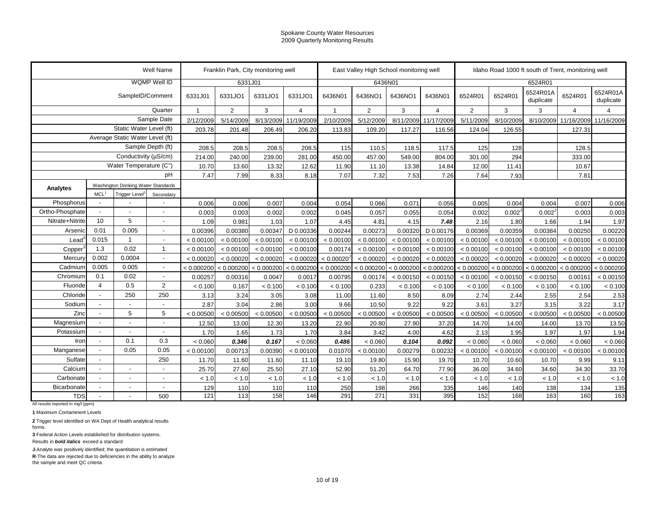|                                    |                                                                                                                                           |                                 | Well Name                |            | Franklin Park, City monitoring well |           |                           |                | East Valley High School monitoring well |            |                      |                |                    |                       | Idaho Road 1000 ft south of Trent, monitoring well |                       |
|------------------------------------|-------------------------------------------------------------------------------------------------------------------------------------------|---------------------------------|--------------------------|------------|-------------------------------------|-----------|---------------------------|----------------|-----------------------------------------|------------|----------------------|----------------|--------------------|-----------------------|----------------------------------------------------|-----------------------|
|                                    |                                                                                                                                           |                                 | WQMP Well ID             |            | 6331J01                             |           |                           |                | 6436N01                                 |            |                      |                |                    | 6524R01               |                                                    |                       |
|                                    |                                                                                                                                           | SampleID/Comment                |                          | 6331J01    | 6331JO1                             | 6331JO1   | 6331JO1                   | 6436N01        | 6436NO1                                 | 6436NO1    | 6436N01              | 6524R01        | 6524R01            | 6524R01A<br>duplicate | 6524R01                                            | 6524R01A<br>duplicate |
|                                    |                                                                                                                                           |                                 | Quarter                  |            | 2                                   | 3         | $\overline{4}$            | $\overline{1}$ | 2                                       | 3          | $\overline{4}$       | $\overline{2}$ | 3                  | 3                     | $\overline{4}$                                     | $\overline{4}$        |
|                                    |                                                                                                                                           |                                 | Sample Date              | 2/12/2009  | 5/14/2009                           | 8/13/2009 | 11/19/2009                | 2/10/2009      | 5/12/2009                               |            | 8/11/2009 11/17/2009 | 5/11/2009      | 8/10/2009          | 8/10/2009             | 11/16/2009                                         | 11/16/2009            |
|                                    |                                                                                                                                           | Static Water Level (ft)         |                          | 203.78     | 201.48                              | 206.49    | 206.20                    | 113.83         | 109.20                                  | 117.27     | 116.56               | 124.04         | 126.55             |                       | 127.31                                             |                       |
|                                    |                                                                                                                                           | Average Static Water Level (ft) |                          |            |                                     |           |                           |                |                                         |            |                      |                |                    |                       |                                                    |                       |
|                                    |                                                                                                                                           |                                 | Sample Depth (ft)        | 208.5      | 208.5                               | 208.5     | 208.5                     | 115            | 110.5                                   | 118.5      | 117.5                | 125            | 128                |                       | 128.5                                              |                       |
|                                    |                                                                                                                                           |                                 |                          | 214.00     | 240.00                              | 239.00    | 281.00                    | 450.00         | 457.00                                  | 549.00     | 804.00               | 301.00         | 294                |                       | 333.00                                             |                       |
|                                    |                                                                                                                                           |                                 |                          | 10.70      | 13.60                               | 13.32     | 12.62                     | 11.90          | 11.10                                   | 13.38      | 14.84                | 12.00          | 11.41              |                       | 10.67                                              |                       |
|                                    |                                                                                                                                           |                                 | рH                       | 7.47       | 7.99                                | 8.33      | 8.18                      | 7.07           | 7.32                                    | 7.53       | 7.26                 | 7.64           | 7.93               |                       | 7.81                                               |                       |
| Analytes                           |                                                                                                                                           |                                 |                          |            |                                     |           |                           |                |                                         |            |                      |                |                    |                       |                                                    |                       |
|                                    | MCL <sup>1</sup><br>Trigger Level <sup>2</sup><br>Secondary<br>$\overline{a}$<br>10<br>5                                                  |                                 |                          |            |                                     |           |                           |                |                                         |            |                      |                |                    |                       |                                                    |                       |
| Phosphorus                         |                                                                                                                                           |                                 |                          | 0.006      | 0.006                               | 0.007     | 0.004                     | 0.054          | 0.066                                   | 0.071      | 0.056                | 0.005          | 0.004              | 0.004                 | 0.007                                              | 0.006                 |
| Ortho-Phosphate                    | 0.01<br>0.005<br>Arsenic<br>0.015<br>Lead <sup>3</sup><br>$\overline{1}$<br>0.02<br>1.3<br>Copper                                         |                                 |                          | 0.003      | 0.003                               | 0.002     | 0.002                     | 0.045          | 0.057                                   | 0.055      | 0.054                | 0.002          | 0.002 <sup>5</sup> | 0.002 <sup>J</sup>    | 0.003                                              | 0.003                 |
| Nitrate+Nitrite                    | Conductivity (µS/cm)<br>Water Temperature (C°)<br>Washington Drinking Water Standards<br>0.002<br>0.0004<br>0.005<br>0.005<br>0.1<br>0.02 |                                 |                          | 1.09       | 0.981                               | 1.03      | 1.07                      | 4.45           | 4.81                                    | 4.15       | 7.48                 | 2.16           | 1.80               | 1.66                  | 1.94                                               | 1.97                  |
|                                    |                                                                                                                                           |                                 | $\overline{\phantom{a}}$ | 0.00396    | 0.00380                             | 0.00347   | D 0.00336                 | 0.00244        | 0.00273                                 | 0.00320    | D 0.00176            | 0.00369        | 0.00359            | 0.00384               | 0.00250                                            | 0.00220               |
|                                    |                                                                                                                                           |                                 |                          | < 0.00100  | < 0.00100                           | < 0.00100 | < 0.00100                 | < 0.00100      | < 0.00100                               | < 0.00100  | < 0.00100            | < 0.00100      | < 0.00100          | < 0.00100             | < 0.00100                                          | < 0.00100             |
|                                    |                                                                                                                                           |                                 | $\overline{1}$           | < 0.00100  | < 0.00100                           | < 0.00100 | < 0.00100                 | 0.00174        | < 0.00100                               | < 0.00100  | < 0.00100            | < 0.00100      | < 0.00100          | < 0.00100             | < 0.00100                                          | < 0.00100             |
| Mercury                            |                                                                                                                                           |                                 |                          | < 0.00020  | < 0.00020                           | < 0.00020 | < 0.00020                 | < 0.00020      | < 0.00020                               | < 0.00020  | < 0.00020            | < 0.00020      | < 0.00020          | < 0.00020             | < 0.00020                                          | < 0.00020             |
| Cadmium                            |                                                                                                                                           |                                 | $\overline{a}$           | < 0.000200 | < 0.000200                          |           | $< 0.000200$ $< 0.000200$ | < 0.000200     | < 0.000200                              | < 0.000200 | < 0.000200           | < 0.000200     | < 0.000200         | < 0.000200            | < 0.000200                                         | < 0.000200            |
| Chromium                           |                                                                                                                                           |                                 |                          | 0.00257    | 0.00316                             | 0.0047    | 0.0017                    | 0.00795        | 0.00174                                 | < 0.00150  | < 0.00150            | < 0.00100      | < 0.00150          | < 0.00150             | 0.00161                                            | < 0.00150             |
| Fluoride                           | $\overline{4}$                                                                                                                            | 0.5                             | 2                        | < 0.100    | 0.167                               | < 0.100   | < 0.100                   | < 0.100        | 0.233                                   | < 0.100    | < 0.100              | < 0.100        | < 0.100            | < 0.100               | < 0.100                                            | < 0.100               |
| Chloride                           |                                                                                                                                           | 250                             | 250                      | 3.13       | 3.24                                | 3.05      | 3.08                      | 11.00          | 11.60                                   | 8.50       | 8.09                 | 2.74           | 2.44               | 2.55                  | 2.54                                               | 2.53                  |
| Sodium                             |                                                                                                                                           |                                 |                          | 2.87       | 3.04                                | 2.86      | 3.00                      | 9.66           | 10.50                                   | 9.22       | 9.22                 | 3.61           | 3.27               | 3.15                  | 3.22                                               | 3.17                  |
| Zinc                               |                                                                                                                                           | 5                               | 5                        | < 0.00500  | < 0.00500                           | < 0.00500 | < 0.00500                 | < 0.00500      | < 0.00500                               | < 0.00500  | < 0.00500            | < 0.00500      | < 0.00500          | < 0.00500             | < 0.00500                                          | < 0.00500             |
| Magnesium                          |                                                                                                                                           |                                 |                          | 12.50      | 13.00                               | 12.30     | 13.20                     | 22.90          | 20.80                                   | 27.90      | 37.20                | 14.70          | 14.00              | 14.00                 | 13.70                                              | 13.50                 |
| Potassium                          |                                                                                                                                           | $\overline{\phantom{a}}$        |                          | 1.70       | 1.65                                | 1.73      | 1.70                      | 3.84           | 3.42                                    | 4.00       | 4.62                 | 2.13           | 1.95               | 1.97                  | 1.97                                               | 1.94                  |
| Iron                               | $\overline{\phantom{a}}$                                                                                                                  | 0.1                             | 0.3                      | < 0.060    | 0.346                               | 0.167     | < 0.060                   | 0.486          | < 0.060                                 | 0.104      | 0.092                | < 0.060        | < 0.060            | < 0.060               | < 0.060                                            | < 0.060               |
| Manganese                          |                                                                                                                                           | 0.05                            | 0.05                     | < 0.00100  | 0.00713                             | 0.00390   | < 0.00100                 | 0.01070        | < 0.00100                               | 0.00279    | 0.00232              | < 0.00100      | < 0.00100          | < 0.00100             | < 0.00100                                          | < 0.00100             |
| Sulfate                            |                                                                                                                                           |                                 | 250                      | 11.70      | 11.60                               | 11.60     | 11.10                     | 19.10          | 19.80                                   | 15.90      | 19.70                | 10.70          | 10.60              | 10.70                 | 9.99                                               | 9.11                  |
| Calcium                            |                                                                                                                                           | $\overline{a}$                  |                          | 25.70      | 27.60                               | 25.50     | 27.10                     | 52.90          | 51.20                                   | 64.70      | 77.90                | 36.00          | 34.60              | 34.60                 | 34.30                                              | 33.70                 |
| Carbonate                          |                                                                                                                                           | $\overline{a}$                  |                          | < 1.0      | < 1.0                               | < 1.0     | < 1.0                     | < 1.0          | < 1.0                                   | < 1.0      | < 1.0                | < 1.0          | < 1.0              | < 1.0                 | < 1.0                                              | < 1.0                 |
| Bicarbonate                        |                                                                                                                                           | ÷,                              |                          | 129        | 110                                 | 110       | 110                       | 250            | 198                                     | 266        | 335                  | 146            | 140                | 138                   | 134                                                | 135                   |
| <b>TDS</b>                         |                                                                                                                                           |                                 | 500                      | 121        | 113                                 | 158       | 146                       | 291            | 271                                     | 331        | 395                  | 152            | 168                | 163                   | 160                                                | 163                   |
| All results reported in mg/l (ppm) |                                                                                                                                           |                                 |                          |            |                                     |           |                           |                |                                         |            |                      |                |                    |                       |                                                    |                       |

**1** Maximum Contaminent Levels

**2** Trigger level identified on WA Dept of Health analytical results

forms.

**3** Federal Action Levels established for distribution systems.

Results in *bold italics* exceed a standard

**J**-Analyte was positively identified; the quantitation is estimated

**R**-The data are rejected due to deficiencies in the ability to analyze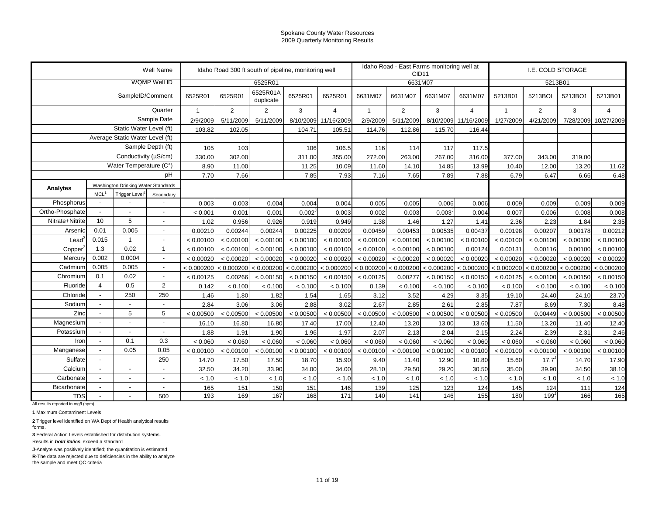|                                                  |                                                                                                                                                            |                                 | Well Name                |            | Idaho Road 300 ft south of pipeline, monitoring well |                       |                       |                |                |                | Idaho Road - East Farms monitoring well at<br>CID <sub>11</sub> |                       |              |                | I.E. COLD STORAGE |                |
|--------------------------------------------------|------------------------------------------------------------------------------------------------------------------------------------------------------------|---------------------------------|--------------------------|------------|------------------------------------------------------|-----------------------|-----------------------|----------------|----------------|----------------|-----------------------------------------------------------------|-----------------------|--------------|----------------|-------------------|----------------|
|                                                  |                                                                                                                                                            |                                 | WQMP Well ID             |            |                                                      | 6525R01               |                       |                |                |                | 6631M07                                                         |                       |              |                | 5213B01           |                |
|                                                  |                                                                                                                                                            | SampleID/Comment                |                          | 6525R01    | 6525R01                                              | 6525R01A<br>duplicate | 6525R01               | 6525R01        | 6631M07        | 6631M07        | 6631M07                                                         | 6631M07               | 5213B01      | 5213BOI        | 5213BO1           | 5213B01        |
|                                                  |                                                                                                                                                            |                                 | Quarter                  |            | $\overline{2}$                                       | 2                     | 3                     | $\overline{4}$ | $\overline{1}$ | $\overline{2}$ | 3                                                               | $\overline{4}$        | $\mathbf{1}$ | $\overline{2}$ | 3                 | $\overline{4}$ |
|                                                  |                                                                                                                                                            |                                 | Sample Date              | 2/9/2009   | 5/11/2009                                            | 5/11/2009             | 8/10/2009             | 11/16/2009     | 2/9/2009       | 5/11/2009      | 8/10/2009                                                       | 11/16/2009            | 1/27/2009    | 4/21/2009      | 7/28/2009         | 10/27/2009     |
|                                                  |                                                                                                                                                            | Static Water Level (ft)         |                          | 103.82     | 102.05                                               |                       | 104.71                | 105.51         | 114.76         | 112.86         | 115.70                                                          | 116.44                |              |                |                   |                |
|                                                  |                                                                                                                                                            | Average Static Water Level (ft) |                          |            |                                                      |                       |                       |                |                |                |                                                                 |                       |              |                |                   |                |
|                                                  |                                                                                                                                                            |                                 | Sample Depth (ft)        | 105        | 103                                                  |                       | 106                   | 106.5          | 116            | 114            | 117                                                             | 117.5                 |              |                |                   |                |
|                                                  |                                                                                                                                                            | Conductivity (µS/cm)            |                          | 330.00     | 302.00                                               |                       | 311.00                | 355.00         | 272.00         | 263.00         | 267.00                                                          | 316.00                | 377.00       | 343.00         | 319.00            |                |
|                                                  |                                                                                                                                                            | Water Temperature (C°)          |                          | 8.90       | 11.00                                                |                       | 11.25                 | 10.09          | 11.60          | 14.10          | 14.85                                                           | 13.99                 | 10.40        | 12.00          | 13.20             | 11.62          |
|                                                  |                                                                                                                                                            |                                 | pH                       | 7.70       | 7.66                                                 |                       | 7.85                  | 7.93           | 7.16           | 7.65           | 7.89                                                            | 7.88                  | 6.79         | 6.47           | 6.66              | 6.48           |
| Analytes                                         |                                                                                                                                                            |                                 |                          |            |                                                      |                       |                       |                |                |                |                                                                 |                       |              |                |                   |                |
|                                                  | Washington Drinking Water Standards<br>MCL <sup>1</sup><br>Trigger Level <sup>2</sup><br>Secondary<br>Phosphorus<br>$\overline{a}$<br>$\overline{5}$<br>10 |                                 |                          |            |                                                      |                       |                       |                |                |                |                                                                 |                       |              |                |                   |                |
|                                                  | 0.01<br>0.005<br>Arsenic<br>0.015<br>$\overline{1}$                                                                                                        |                                 |                          | 0.003      | 0.003                                                | 0.004                 | 0.004                 | 0.004          | 0.005          | 0.005          | 0.006                                                           | 0.006                 | 0.009        | 0.009          | 0.009             | 0.009          |
| Ortho-Phosphate                                  |                                                                                                                                                            |                                 |                          | < 0.001    | 0.001                                                | 0.001                 | 0.002 <sup>J</sup>    | 0.003          | 0.002          | 0.003          | 0.003 <sup>J</sup>                                              | 0.004                 | 0.007        | 0.006          | 0.008             | 0.008          |
| Nitrate+Nitrite                                  |                                                                                                                                                            |                                 | $\overline{a}$           | 1.02       | 0.956                                                | 0.926                 | 0.919                 | 0.949          | 1.38           | 1.46           | 1.27                                                            | 1.41                  | 2.36         | 2.23           | 1.84              | 2.35           |
|                                                  |                                                                                                                                                            |                                 | $\overline{\phantom{a}}$ | 0.00210    | 0.00244                                              | 0.00244               | 0.00225               | 0.00209        | 0.00459        | 0.00453        | 0.00535                                                         | 0.00437               | 0.00198      | 0.00207        | 0.00178           | 0.00212        |
| Lead <sup>3</sup>                                |                                                                                                                                                            |                                 | $\blacksquare$           | < 0.00100  | < 0.00100                                            | < 0.00100             | < 0.00100             | < 0.00100      | < 0.00100      | < 0.00100      | < 0.00100                                                       | < 0.00100             | < 0.00100    | < 0.00100      | < 0.00100         | < 0.00100      |
| Copper                                           | 1.3                                                                                                                                                        | 0.02                            | $\overline{1}$           | < 0.00100  | < 0.00100                                            | < 0.00100             | < 0.00100             | < 0.00100      | < 0.00100      | < 0.00100      | < 0.00100                                                       | 0.00124               | 0.00131      | 0.00116        | 0.00100           | < 0.00100      |
| Mercury                                          | 0.002                                                                                                                                                      | 0.0004                          | $\blacksquare$           | < 0.00020  | < 0.00020                                            | < 0.00020             | < 0.00020             | < 0.00020      | < 0.00020      | < 0.00020      | < 0.00020                                                       | < 0.00020             | < 0.00020    | < 0.00020      | < 0.00020         | < 0.00020      |
| Cadmium                                          | 0.005                                                                                                                                                      | 0.005                           | $\overline{a}$           | < 0.000200 | < 0.000200                                           |                       | < 0.000200 < 0.000200 | < 0.000200     | < 0.000200     | < 0.000200     |                                                                 | < 0.000200 < 0.000200 | < 0.000200   | < 0.000200     | < 0.000200        | < 0.000200     |
| Chromium                                         | 0.1                                                                                                                                                        | 0.02                            | $\overline{a}$           | < 0.00125  | 0.00266                                              | < 0.00150             | < 0.00150             | < 0.00150      | < 0.00125      | 0.00277        | < 0.00150                                                       | < 0.00150             | < 0.00125    | < 0.00100      | < 0.00150         | < 0.00150      |
| Fluoride                                         | $\overline{4}$                                                                                                                                             | 0.5                             | 2                        | 0.142      | < 0.100                                              | < 0.100               | < 0.100               | < 0.100        | 0.139          | < 0.100        | < 0.100                                                         | < 0.100               | < 0.100      | < 0.100        | < 0.100           | < 0.100        |
| Chloride                                         |                                                                                                                                                            | 250                             | 250                      | 1.46       | 1.80                                                 | 1.82                  | 1.54                  | 1.65           | 3.12           | 3.52           | 4.29                                                            | 3.35                  | 19.10        | 24.40          | 24.10             | 23.70          |
| Sodium                                           |                                                                                                                                                            |                                 |                          | 2.84       | 3.06                                                 | 3.06                  | 2.88                  | 3.02           | 2.67           | 2.85           | 2.61                                                            | 2.85                  | 7.87         | 8.69           | 7.30              | 8.48           |
| Zinc                                             |                                                                                                                                                            | 5                               | 5                        | < 0.00500  | < 0.00500                                            | < 0.00500             | < 0.00500             | < 0.00500      | < 0.00500      | < 0.00500      | < 0.00500                                                       | < 0.00500             | < 0.00500    | 0.00449        | < 0.00500         | < 0.00500      |
| Magnesium                                        |                                                                                                                                                            | ÷,                              |                          | 16.10      | 16.80                                                | 16.80                 | 17.40                 | 17.00          | 12.40          | 13.20          | 13.00                                                           | 13.60                 | 11.50        | 13.20          | 11.40             | 12.40          |
| Potassium                                        |                                                                                                                                                            | $\overline{a}$                  |                          | 1.88       | 1.91                                                 | 1.90                  | 1.96                  | 1.97           | 2.07           | 2.13           | 2.04                                                            | 2.15                  | 2.24         | 2.39           | 2.31              | 2.46           |
| Iron                                             | $\overline{\phantom{a}}$                                                                                                                                   | 0.1                             | 0.3                      | < 0.060    | < 0.060                                              | < 0.060               | < 0.060               | < 0.060        | < 0.060        | < 0.060        | < 0.060                                                         | < 0.060               | < 0.060      | < 0.060        | < 0.060           | < 0.060        |
| Manganese                                        |                                                                                                                                                            | 0.05                            | 0.05                     | < 0.00100  | < 0.00100                                            | < 0.00100             | < 0.00100             | < 0.00100      | < 0.00100      | < 0.00100      | < 0.00100                                                       | < 0.00100             | < 0.00100    | < 0.00100      | < 0.00100         | < 0.00100      |
| Sulfate                                          |                                                                                                                                                            |                                 | 250                      | 14.70      | 17.50                                                | 17.50                 | 18.70                 | 15.90          | 9.40           | 11.40          | 12.90                                                           | 10.80                 | 15.60        | 17.7           | 14.70             | 17.90          |
| Calcium                                          |                                                                                                                                                            | $\overline{\phantom{a}}$        |                          | 32.50      | 34.20                                                | 33.90                 | 34.00                 | 34.00          | 28.10          | 29.50          | 29.20                                                           | 30.50                 | 35.00        | 39.90          | 34.50             | 38.10          |
| Carbonate                                        |                                                                                                                                                            | $\overline{a}$                  |                          | < 1.0      | < 1.0                                                | < 1.0                 | < 1.0                 | < 1.0          | < 1.0          | < 1.0          | < 1.0                                                           | < 1.0                 | < 1.0        | < 1.0          | < 1.0             | < 1.0          |
| <b>Bicarbonate</b>                               | $\overline{a}$                                                                                                                                             | $\overline{\phantom{a}}$        |                          | 165        | 151                                                  | 150                   | 151                   | 146            | 139            | 125            | 123                                                             | 124                   | 145          | 124            | 111               | 124            |
| <b>TDS</b><br>All results reported in mg/l (ppm) |                                                                                                                                                            |                                 | 500                      | 193        | 169                                                  | 167                   | 168                   | 171            | 140            | 141            | 146                                                             | 155                   | 180          | 199            | 166               | 165            |

**1** Maximum Contaminent Levels

**2** Trigger level identified on WA Dept of Health analytical results

forms.

**3** Federal Action Levels established for distribution systems.

Results in *bold italics* exceed a standard

**J**-Analyte was positively identified; the quantitation is estimated

**R**-The data are rejected due to deficiencies in the ability to analyze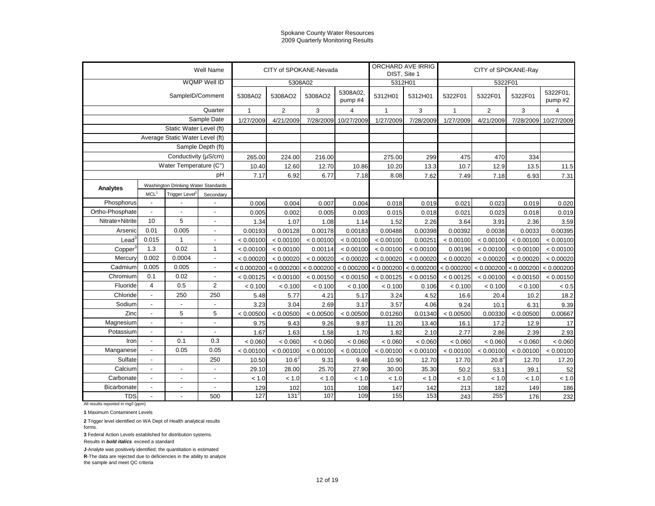|                     |                          |                                     | Well Name                |              | CITY of SPOKANE-Nevada |            |                     | DIST, Site 1 | ORCHARD AVE IRRIG |              | CITY of SPOKANE-Ray |            |                     |
|---------------------|--------------------------|-------------------------------------|--------------------------|--------------|------------------------|------------|---------------------|--------------|-------------------|--------------|---------------------|------------|---------------------|
|                     |                          |                                     | WQMP Well ID             |              | 5308A02                |            |                     | 5312H01      |                   |              | 5322F01             |            |                     |
|                     |                          | SampleID/Comment                    |                          | 5308A02      | 5308AO2                | 5308AO2    | 5308A02,<br>pump #4 | 5312H01      | 5312H01           | 5322F01      | 5322F01             | 5322F01    | 5322F01,<br>pump #2 |
|                     |                          |                                     | Quarter                  | $\mathbf{1}$ | $\overline{2}$         | 3          | 4                   | 1            | 3                 | $\mathbf{1}$ | $\overline{2}$      | 3          | $\overline{4}$      |
|                     |                          |                                     | Sample Date              | 1/27/2009    | 4/21/2009              | 7/28/2009  | 10/27/2009          | 1/27/2009    | 7/28/2009         | 1/27/2009    | 4/21/2009           | 7/28/2009  | 10/27/2009          |
|                     |                          | Static Water Level (ft)             |                          |              |                        |            |                     |              |                   |              |                     |            |                     |
|                     |                          | Average Static Water Level (ft)     |                          |              |                        |            |                     |              |                   |              |                     |            |                     |
|                     |                          |                                     | Sample Depth (ft)        |              |                        |            |                     |              |                   |              |                     |            |                     |
|                     |                          | Conductivity (µS/cm)                |                          | 265.00       | 224.00                 | 216.00     |                     | 275.00       | 299               | 475          | 470                 | 334        |                     |
|                     |                          | Water Temperature (C°)              |                          | 10.40        | 12.60                  | 12.70      | 10.86               | 10.20        | 13.3              | 10.7         | 12.9                | 13.5       | 11.5                |
|                     |                          |                                     | pH                       | 7.17         | 6.92                   | 6.77       | 7.18                | 8.08         | 7.62              | 7.49         | 7.18                | 6.93       | 7.31                |
| Analytes            |                          | Washington Drinking Water Standards |                          |              |                        |            |                     |              |                   |              |                     |            |                     |
|                     | MCL <sup>1</sup>         | Trigger Level <sup>2</sup>          | Secondary                |              |                        |            |                     |              |                   |              |                     |            |                     |
| Phosphorus          | $\sim$                   |                                     |                          | 0.006        | 0.004                  | 0.007      | 0.004               | 0.018        | 0.019             | 0.021        | 0.023               | 0.019      | 0.020               |
| Ortho-Phosphate     | $\blacksquare$           |                                     |                          | 0.005        | 0.002                  | 0.005      | 0.003               | 0.015        | 0.018             | 0.021        | 0.023               | 0.018      | 0.019               |
| Nitrate+Nitrite     | 10                       | 5                                   |                          | 1.34         | 1.07                   | 1.08       | 1.14                | 1.52         | 2.26              | 3.64         | 3.91                | 2.36       | 3.59                |
| Arsenic             | 0.01                     | 0.005                               | $\overline{\phantom{a}}$ | 0.00193      | 0.00128                | 0.00178    | 0.00183             | 0.00488      | 0.00398           | 0.00392      | 0.0038              | 0.0033     | 0.00395             |
| $\text{Lead}^3$     | 0.015                    | $\mathbf{1}$                        | $\overline{\phantom{a}}$ | < 0.00100    | < 0.00100              | < 0.00100  | < 0.00100           | < 0.00100    | 0.00251           | < 0.00100    | < 0.00100           | < 0.00100  | < 0.00100           |
| Copper <sup>3</sup> | 1.3                      | 0.02                                | $\overline{1}$           | < 0.00100    | < 0.00100              | 0.00114    | < 0.00100           | < 0.00100    | < 0.00100         | 0.00196      | < 0.00100           | < 0.00100  | < 0.00100           |
| Mercury             | 0.002                    | 0.0004                              | $\overline{\phantom{a}}$ | < 0.00020    | < 0.00020              | < 0.00020  | < 0.00020           | < 0.00020    | < 0.00020         | < 0.00020    | < 0.00020           | < 0.00020  | < 0.00020           |
| Cadmium             | 0.005                    | 0.005                               | $\overline{a}$           | < 0.000200   | < 0.000200             | < 0.000200 | < 0.000200          | < 0.000200   | < 0.000200        | < 0.000200   | < 0.000200          | < 0.000200 | < 0.000200          |
| Chromium            | 0.1                      | 0.02                                |                          | < 0.00125    | < 0.00100              | < 0.00150  | < 0.00150           | < 0.00125    | < 0.00150         | < 0.00125    | < 0.00100           | < 0.00150  | < 0.00150           |
| Fluoride            | $\overline{4}$           | 0.5                                 | $\overline{2}$           | < 0.100      | < 0.100                | < 0.100    | < 0.100             | < 0.100      | 0.106             | < 0.100      | < 0.100             | < 0.100    | < 0.5               |
| Chloride            | $\overline{\phantom{a}}$ | 250                                 | 250                      | 5.48         | 5.77                   | 4.21       | 5.17                | 3.24         | 4.52              | 16.6         | 20.4                | 10.2       | 18.2                |
| Sodium              | $\overline{\phantom{a}}$ | $\overline{a}$                      | $\overline{\phantom{a}}$ | 3.23         | 3.04                   | 2.69       | 3.17                | 3.57         | 4.06              | 9.24         | 10.1                | 6.31       | 9.39                |
| Zinc                | $\overline{\phantom{a}}$ | 5                                   | 5                        | < 0.00500    | < 0.00500              | < 0.00500  | < 0.00500           | 0.01260      | 0.01340           | < 0.00500    | 0.00330             | < 0.00500  | 0.00667             |
| Magnesium           | $\overline{\phantom{a}}$ | $\frac{1}{2}$                       | $\overline{\phantom{a}}$ | 9.75         | 9.43                   | 9.26       | 9.87                | 11.20        | 13.40             | 16.1         | 17.2                | 12.9       | 17                  |
| Potassium           | $\overline{\phantom{a}}$ | $\overline{\phantom{a}}$            | $\overline{\phantom{a}}$ | 1.67         | 1.63                   | 1.58       | 1.70                | 1.82         | 2.10              | 2.77         | 2.86                | 2.39       | 2.93                |
| Iron                | $\overline{\phantom{a}}$ | 0.1                                 | 0.3                      | < 0.060      | < 0.060                | < 0.060    | < 0.060             | < 0.060      | < 0.060           | < 0.060      | < 0.060             | < 0.060    | < 0.060             |
| Manganese           | $\overline{\phantom{a}}$ | 0.05                                | 0.05                     | < 0.00100    | < 0.00100              | < 0.00100  | < 0.00100           | < 0.00100    | < 0.00100         | < 0.00100    | < 0.00100           | < 0.00100  | < 0.00100           |
| Sulfate             | $\overline{\phantom{a}}$ |                                     | 250                      | 10.50        | 10.6 <sup>3</sup>      | 9.31       | 9.48                | 10.90        | 12.70             | 17.70        | 20.8                | 12.70      | 17.20               |
| Calcium             | $\overline{\phantom{a}}$ | $\blacksquare$                      | $\blacksquare$           | 29.10        | 28.00                  | 25.70      | 27.90               | 30.00        | 35.30             | 50.2         | 53.1                | 39.1       | 52                  |
| Carbonate           | $\overline{\phantom{a}}$ | $\blacksquare$                      | $\blacksquare$           | < 1.0        | < 1.0                  | < 1.0      | < 1.0               | < 1.0        | < 1.0             | < 1.0        | < 1.0               | < 1.0      | < 1.0               |
| Bicarbonate         | $\blacksquare$           | $\overline{a}$                      | $\blacksquare$           | 129          | 102                    | 101        | 108                 | 147          | 142               | 213          | 182                 | 149        | 186                 |
| <b>TDS</b>          | $\blacksquare$           |                                     | 500                      | 127          | 131                    | 107        | 109                 | 155          | 153               | 243          | $255^{\circ}$       | 176        | 232                 |

All results reported in mg/l (ppm)

**1** Maximum Contaminent Levels

**2** Trigger level identified on WA Dept of Health analytical results forms.

**3** Federal Action Levels established for distribution systems.

Results in *bold italics* exceed a standard

**J**-Analyte was positively identified; the quantitation is estimated

**R**-The data are rejected due to deficiencies in the ability to analyze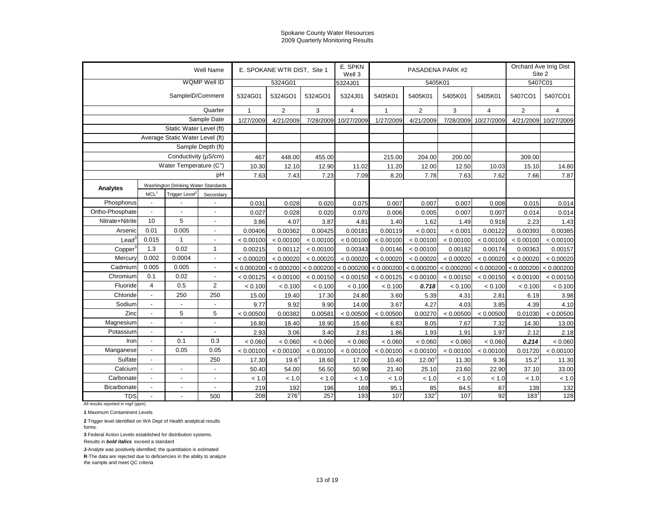|                   |                                 |                                     | Well Name                |              | E. SPOKANE WTR DIST, Site 1 |            | E. SPKN<br>Well 3 |              | PASADENA PARK #2      |                   |                | Orchard Ave Irrig Dist<br>Site 2 |                |  |
|-------------------|---------------------------------|-------------------------------------|--------------------------|--------------|-----------------------------|------------|-------------------|--------------|-----------------------|-------------------|----------------|----------------------------------|----------------|--|
|                   |                                 |                                     | WQMP Well ID             |              | 5324G01                     |            | 5324J01           |              | 5405K01               |                   |                | 5407C01                          |                |  |
|                   |                                 | SampleID/Comment                    |                          | 5324G01      | 5324GO1                     | 5324GO1    | 5324J01           | 5405K01      | 5405K01               | 5405K01           | 5405K01        | 5407CO1                          | 5407CO1        |  |
|                   |                                 |                                     | Quarter                  | $\mathbf{1}$ | $\overline{2}$              | 3          | $\overline{4}$    | $\mathbf{1}$ | $\overline{2}$        | 3                 | $\overline{4}$ | $\overline{2}$                   | $\overline{4}$ |  |
|                   |                                 |                                     | Sample Date              | 1/27/2009    | 4/21/2009                   | 7/28/2009  | 10/27/2009        | 1/27/2009    | 4/21/2009             | 7/28/2009         | 10/27/2009     | 4/21/2009                        | 10/27/2009     |  |
|                   |                                 | Static Water Level (ft)             |                          |              |                             |            |                   |              |                       |                   |                |                                  |                |  |
|                   | Average Static Water Level (ft) |                                     |                          |              |                             |            |                   |              |                       |                   |                |                                  |                |  |
|                   |                                 |                                     | Sample Depth (ft)        |              |                             |            |                   |              |                       |                   |                |                                  |                |  |
|                   |                                 | Conductivity (µS/cm)                |                          | 467          | 448.00                      | 455.00     |                   | 215.00       | 204.00                | 200.00            |                | 309.00                           |                |  |
|                   |                                 | Water Temperature (C°)              |                          | 10.30        | 12.10                       | 12.90      | 11.02             | 11.20        | 12.00                 | 12.50             | 10.03          | 15.10                            | 14.80          |  |
|                   |                                 |                                     | pH                       | 7.63         | 7.43                        | 7.23       | 7.09              | 8.20         | 7.78                  | 7.63              | 7.62           | 7.66                             | 7.87           |  |
| Analytes          |                                 | Washington Drinking Water Standards |                          |              |                             |            |                   |              |                       |                   |                |                                  |                |  |
|                   | MCL <sup>1</sup>                | Trigger Level <sup>2</sup>          | Secondary                |              |                             |            |                   |              |                       |                   |                |                                  |                |  |
| Phosphorus        | $\blacksquare$                  |                                     |                          | 0.031        | 0.028                       | 0.020      | 0.075             | 0.007        | 0.007                 | 0.007             | 0.008          | 0.015                            | 0.014          |  |
| Ortho-Phosphate   | $\blacksquare$                  |                                     |                          | 0.027        | 0.028                       | 0.020      | 0.070             | 0.006        | 0.005                 | 0.007             | 0.007          | 0.014                            | 0.014          |  |
| Nitrate+Nitrite   | 10                              | 5                                   |                          | 3.86         | 4.07                        | 3.87       | 4.81              | 1.40         | 1.62                  | 1.49              | 0.918          | 2.23                             | 1.43           |  |
| Arsenic           | 0.01                            | 0.005                               |                          | 0.00406      | 0.00362                     | 0.00425    | 0.00181           | 0.00119      | < 0.001               | < 0.001           | 0.00122        | 0.00393                          | 0.00385        |  |
| Lead <sup>3</sup> | 0.015                           | $\mathbf{1}$                        |                          | < 0.00100    | < 0.00100                   | < 0.00100  | < 0.00100         | < 0.00100    | < 0.00100             | < 0.00100         | < 0.00100      | < 0.00100                        | < 0.00100      |  |
| Copper            | 1.3                             | 0.02                                | $\mathbf{1}$             | 0.00215      | 0.00112                     | < 0.00100  | 0.00343           | 0.00146      | < 0.00100             | 0.00182           | 0.00174        | 0.00363                          | 0.00157        |  |
| Mercury           | 0.002                           | 0.0004                              | $\overline{\phantom{a}}$ | < 0.00020    | < 0.00020                   | < 0.00020  | < 0.00020         | < 0.00020    | < 0.00020             | < 0.00020         | < 0.00020      | < 0.00020                        | < 0.00020      |  |
| Cadmium           | 0.005                           | 0.005                               | $\overline{a}$           | < 0.000200   | < 0.000200                  | < 0.000200 | < 0.000200        | < 0.000200   | < 0.000200 < 0.000200 |                   | < 0.000200     | < 0.000200                       | < 0.000200     |  |
| Chromium          | 0.1                             | 0.02                                | $\overline{\phantom{a}}$ | < 0.00125    | < 0.00100                   | < 0.00150  | < 0.00150         | < 0.00125    | < 0.00100             | < 0.00150         | < 0.00150      | < 0.00100                        | < 0.00150      |  |
| Fluoride          | 4                               | 0.5                                 | $\overline{2}$           | < 0.100      | < 0.100                     | < 0.100    | < 0.100           | < 0.100      | 0.718                 | < 0.100           | < 0.100        | < 0.100                          | < 0.100        |  |
| Chloride          | $\overline{\phantom{a}}$        | 250                                 | 250                      | 15.00        | 19.40                       | 17.30      | 24.80             | 3.60         | 5.39                  | 4.31              | 2.81           | 6.19                             | 3.98           |  |
| Sodium            | $\overline{\phantom{a}}$        | $\overline{a}$                      | $\overline{\phantom{a}}$ | 9.77         | 9.92                        | 9.90       | 14.00             | 3.67         | 4.27                  | 4.03              | 3.85           | 4.39                             | 4.10           |  |
| Zinc              | $\overline{\phantom{a}}$        | 5                                   | 5                        | < 0.00500    | 0.00382                     | 0.00581    | < 0.00500         | < 0.00500    | 0.00270               | < 0.00500         | < 0.00500      | 0.01030                          | < 0.00500      |  |
| Magnesium         | $\overline{\phantom{a}}$        | $\overline{\phantom{a}}$            | $\overline{\phantom{a}}$ | 16.80        | 18.40                       | 18.90      | 15.60             | 6.83         | 8.05                  | 7.67              | 7.32           | 14.30                            | 13.00          |  |
| Potassium         | $\overline{\phantom{a}}$        | $\blacksquare$                      | $\blacksquare$           | 2.93         | 3.06                        | 3.40       | 2.81              | 1.86         | 1.93                  | 1.91              | 1.97           | 2.12                             | 2.18           |  |
| Iron              | $\overline{\phantom{a}}$        | 0.1                                 | 0.3                      | < 0.060      | < 0.060                     | < 0.060    | < 0.060           | < 0.060      | < 0.060               | < 0.060           | < 0.060        | 0.214                            | < 0.060        |  |
| Manganese         | $\overline{\phantom{a}}$        | 0.05                                | 0.05                     | < 0.00100    | < 0.00100                   | < 0.00100  | < 0.00100         | < 0.00100    | < 0.00100             | < 0.00100         | < 0.00100      | 0.01720                          | < 0.00100      |  |
| Sulfate           | $\overline{\phantom{a}}$        |                                     | 250                      | 17.30        | $19.6^{\circ}$              | 18.60      | 17.00             | 10.40        | 12.00 <sup>J</sup>    | 11.30             | 9.36           | $15.2^{\circ}$                   | 11.30          |  |
| Calcium           | $\overline{\phantom{a}}$        | $\blacksquare$                      | $\blacksquare$           | 50.40        | 54.00                       | 56.50      | 50.90             | 21.40        | 25.10                 | 23.60             | 22.90          | 37.10                            | 33.00          |  |
| Carbonate         | $\overline{\phantom{a}}$        | $\blacksquare$                      | $\blacksquare$           | < 1.0        | $<1.0\,$                    | < 1.0      | < 1.0             | < 1.0        | $< 1.0$               | < 1.0             | < 1.0          | < 1.0                            | < 1.0          |  |
| Bicarbonate       | $\blacksquare$                  | $\overline{a}$                      | $\overline{a}$           | 219          | 192                         | 196        | 169               | 95.1         | 85                    | 84.5              | 87             | 139                              | 132            |  |
| <b>TDS</b>        | $\overline{\phantom{a}}$        | $\overline{a}$                      | 500                      | 208          | 276                         | 257        | 193               | 107          | 132 <sup>J</sup>      | $\frac{107}{100}$ | 92             | 183                              | 128            |  |

All results reported in mg/l (ppm)

**1** Maximum Contaminent Levels

**2** Trigger level identified on WA Dept of Health analytical results forms.

**3** Federal Action Levels established for distribution systems.

Results in *bold italics* exceed a standard

**J**-Analyte was positively identified; the quantitation is estimated

**R**-The data are rejected due to deficiencies in the ability to analyze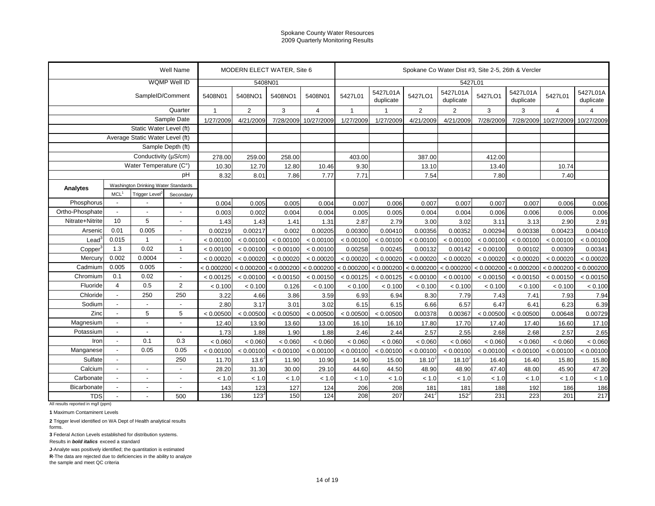| WQMP Well ID<br>5408N01<br>5427L01<br>5427L01A<br>5427L01A<br>5427L01A<br>5427L01A<br>5427LO1<br>5427LO1<br>5427L01<br>5427L01<br>SampleID/Comment<br>5408N01<br>5408NO1<br>5408NO1<br>5408N01<br>duplicate<br>duplicate<br>duplicate<br>duplicate<br>Quarter<br>$\overline{2}$<br>3<br>$\overline{2}$<br>3<br>$\overline{1}$<br>$\overline{4}$<br>$\overline{1}$<br>$\overline{2}$<br>3<br>$\overline{4}$<br>4<br>Sample Date<br>1/27/2009<br>4/21/2009<br>7/28/2009<br>10/27/2009<br>4/21/2009<br>4/21/2009<br>7/28/2009<br>7/28/2009<br>10/27/2009<br>10/27/2009<br>1/27/2009<br>1/27/2009<br>Static Water Level (ft)<br>Average Static Water Level (ft)<br>Sample Depth (ft)<br>Conductivity (µS/cm)<br>278.00<br>259.00<br>258.00<br>403.00<br>387.00<br>412.00<br>Water Temperature (C°)<br>10.30<br>12.70<br>12.80<br>9.30<br>13.40<br>10.74<br>10.46<br>13.10<br>pH<br>8.32<br>7.71<br>8.01<br>7.86<br>7.77<br>7.54<br>7.80<br>7.40<br>Washington Drinking Water Standards<br>Analytes<br>MCL <sup>1</sup><br>Trigger Level <sup>2</sup><br>Secondary<br>$\mathbb{L}^+$<br>Phosphorus<br>0.004<br>0.005<br>0.005<br>0.007<br>0.007<br>0.007<br>0.007<br>0.006<br>0.006<br>$\overline{a}$<br>0.004<br>0.006<br>0.007<br>Ortho-Phosphate<br>0.003<br>0.002<br>0.004<br>0.006<br>0.006<br>0.006<br>$\overline{a}$<br>$\overline{a}$<br>0.004<br>0.005<br>0.005<br>0.004<br>0.004<br>0.006<br>$\overline{a}$<br>5<br>Nitrate+Nitrite<br>10<br>1.43<br>1.41<br>2.87<br>3.02<br>3.11<br>2.90<br>2.91<br>1.43<br>1.31<br>2.79<br>3.00<br>3.13<br>$\overline{a}$<br>0.005<br>0.01<br>0.00410<br>Arsenic<br>0.00219<br>0.00217<br>0.00300<br>0.00410<br>0.00356<br>0.00352<br>0.00294<br>0.00338<br>0.002<br>0.00205<br>0.00423<br>$\overline{\phantom{a}}$<br>0.015<br>$\mathbf{1}$<br>$\text{Lead}^c$<br>< 0.00100<br>< 0.00100<br>< 0.00100<br>< 0.00100<br>< 0.00100<br>< 0.00100<br>$\overline{\phantom{a}}$<br>< 0.00100<br>< 0.00100<br>< 0.00100<br>< 0.00100<br>< 0.00100<br>< 0.00100<br>0.02<br>1.3<br>$\overline{1}$<br>< 0.00100<br>< 0.00100<br>0.00258<br>0.00245<br>< 0.00100<br>Copper<br>< 0.00100<br>< 0.00100<br>0.00132<br>0.00142<br>0.00102<br>0.00309<br>0.00341<br>0.002<br>0.0004<br>< 0.00020<br>Mercury<br>< 0.00020<br>< 0.00020<br>< 0.00020<br>< 0.00020<br>< 0.00020<br>< 0.00020<br>< 0.00020<br>< 0.00020<br>< 0.00020<br>< 0.00020<br>< 0.00020<br>$\blacksquare$<br>0.005<br>0.005<br>Cadmium<br>< 0.000200<br>< 0.000200<br>< 0.000200<br>< 0.000200 < 0.000200<br>< 0.000200<br>< 0.000200 < 0.000200<br>< 0.000200<br>< 0.000200<br>< 0.000200<br>$\blacksquare$<br>< 0.000200<br>Chromium<br>0.1<br>0.02<br>$\overline{\phantom{a}}$<br>< 0.00125<br>< 0.00100<br>< 0.00150<br>< 0.00150<br>< 0.00125<br>< 0.00125<br>< 0.00100<br>< 0.00100<br>< 0.00150<br>< 0.00150<br>< 0.00150<br>< 0.00150<br>$\overline{4}$<br>$\overline{2}$<br>0.5<br>Fluoride<br>< 0.100<br>< 0.100<br>0.126<br>< 0.100<br>< 0.100<br>< 0.100<br>< 0.100<br>< 0.100<br>< 0.100<br>< 0.100<br>< 0.100<br>< 0.100<br>250<br>250<br>Chloride<br>3.22<br>3.86<br>3.59<br>6.93<br>7.79<br>7.43<br>7.93<br>7.94<br>$\blacksquare$<br>4.66<br>6.94<br>8.30<br>7.41<br>Sodium<br>2.80<br>3.17<br>3.01<br>3.02<br>6.15<br>6.57<br>6.47<br>6.39<br>6.15<br>6.66<br>6.41<br>6.23<br>$\overline{a}$<br>$\blacksquare$<br>$\overline{\phantom{a}}$<br>Zinc<br>5<br>5<br>0.00729<br>< 0.00500<br>< 0.00500<br>< 0.00500<br>< 0.00500<br>< 0.00500<br>< 0.00500<br>0.00378<br>0.00367<br>< 0.00500<br>< 0.00500<br>0.00648<br>$\overline{a}$<br>Magnesium<br>$\overline{a}$<br>12.40<br>13.90<br>13.60<br>13.00<br>17.40<br>16.60<br>17.10<br>÷,<br>16.10<br>16.10<br>17.80<br>17.70<br>17.40<br>$\overline{a}$<br>Potassium<br>1.73<br>2.46<br>2.68<br>1.88<br>1.90<br>2.57<br>2.55<br>2.68<br>2.57<br>2.65<br>1.88<br>2.44<br>$\overline{a}$<br>$\overline{a}$<br>$\blacksquare$<br>0.3<br>0.1<br>Iron<br>< 0.060<br>< 0.060<br>< 0.060<br>< 0.060<br>< 0.060<br>< 0.060<br>< 0.060<br>< 0.060<br>< 0.060<br>< 0.060<br>< 0.060<br>< 0.060<br>$\blacksquare$<br>0.05<br>0.05<br>Manganese<br>< 0.00100<br>$\blacksquare$<br>< 0.00100<br>< 0.00100<br>< 0.00100<br>< 0.00100<br>< 0.00100<br>< 0.00100<br>< 0.00100<br>< 0.00100<br>< 0.00100<br>< 0.00100<br>< 0.00100<br>Sulfate<br>250<br>$\blacksquare$<br>13.6<br>11.70<br>11.90<br>10.90<br>14.90<br>$18.10^{J}$<br>$18.10^{J}$<br>16.40<br>15.80<br>15.80<br>15.00<br>16.40<br>Calcium<br>$\overline{a}$<br>28.20<br>31.30<br>29.10<br>44.60<br>47.40<br>45.90<br>47.20<br>$\overline{a}$<br>30.00<br>44.50<br>48.90<br>48.90<br>48.00<br>Carbonate<br>$<1.0\,$<br>< 1.0<br>< 1.0<br>$\blacksquare$<br>< 1.0<br>< 1.0<br>< 1.0<br>< 1.0<br>< 1.0<br>< 1.0<br>< 1.0<br>$\overline{\phantom{a}}$<br>< 1.0<br>< 1.0<br>Bicarbonate<br>143<br>127<br>206<br>188<br>192<br>123<br>124<br>208<br>181<br>181<br>186<br>186<br>$\blacksquare$<br>$\overline{\phantom{a}}$<br>$\overline{\phantom{a}}$<br>136<br>217<br>123<br>150<br>124<br>208<br>241<br>152<br>231<br>223<br>201<br><b>TDS</b><br>500<br>207<br>All results reported in mg/l (ppm) |  |  |  | Well Name |  | MODERN ELECT WATER, Site 6 |  |  |  |                                                    |  |  |  |  |  |  |
|---------------------------------------------------------------------------------------------------------------------------------------------------------------------------------------------------------------------------------------------------------------------------------------------------------------------------------------------------------------------------------------------------------------------------------------------------------------------------------------------------------------------------------------------------------------------------------------------------------------------------------------------------------------------------------------------------------------------------------------------------------------------------------------------------------------------------------------------------------------------------------------------------------------------------------------------------------------------------------------------------------------------------------------------------------------------------------------------------------------------------------------------------------------------------------------------------------------------------------------------------------------------------------------------------------------------------------------------------------------------------------------------------------------------------------------------------------------------------------------------------------------------------------------------------------------------------------------------------------------------------------------------------------------------------------------------------------------------------------------------------------------------------------------------------------------------------------------------------------------------------------------------------------------------------------------------------------------------------------------------------------------------------------------------------------------------------------------------------------------------------------------------------------------------------------------------------------------------------------------------------------------------------------------------------------------------------------------------------------------------------------------------------------------------------------------------------------------------------------------------------------------------------------------------------------------------------------------------------------------------------------------------------------------------------------------------------------------------------------------------------------------------------------------------------------------------------------------------------------------------------------------------------------------------------------------------------------------------------------------------------------------------------------------------------------------------------------------------------------------------------------------------------------------------------------------------------------------------------------------------------------------------------------------------------------------------------------------------------------------------------------------------------------------------------------------------------------------------------------------------------------------------------------------------------------------------------------------------------------------------------------------------------------------------------------------------------------------------------------------------------------------------------------------------------------------------------------------------------------------------------------------------------------------------------------------------------------------------------------------------------------------------------------------------------------------------------------------------------------------------------------------------------------------------------------------------------------------------------------------------------------------------------------------------------------------------------------------------------------------------------------------------------------------------------------------------------------------------------------------------------------------------------------------------------------------------------------------------------------------------------------------------------------------------------------------------------------------------------------------------------------------------------------------------------------------------------------------------------------------------------------------------------------------------------------------------------------------------------------------------------------------------------------------------------------------------------------------------------------|--|--|--|-----------|--|----------------------------|--|--|--|----------------------------------------------------|--|--|--|--|--|--|
|                                                                                                                                                                                                                                                                                                                                                                                                                                                                                                                                                                                                                                                                                                                                                                                                                                                                                                                                                                                                                                                                                                                                                                                                                                                                                                                                                                                                                                                                                                                                                                                                                                                                                                                                                                                                                                                                                                                                                                                                                                                                                                                                                                                                                                                                                                                                                                                                                                                                                                                                                                                                                                                                                                                                                                                                                                                                                                                                                                                                                                                                                                                                                                                                                                                                                                                                                                                                                                                                                                                                                                                                                                                                                                                                                                                                                                                                                                                                                                                                                                                                                                                                                                                                                                                                                                                                                                                                                                                                                                                                                                                                                                                                                                                                                                                                                                                                                                                                                                                                                                                                                                         |  |  |  |           |  |                            |  |  |  | Spokane Co Water Dist #3, Site 2-5, 26th & Vercler |  |  |  |  |  |  |
|                                                                                                                                                                                                                                                                                                                                                                                                                                                                                                                                                                                                                                                                                                                                                                                                                                                                                                                                                                                                                                                                                                                                                                                                                                                                                                                                                                                                                                                                                                                                                                                                                                                                                                                                                                                                                                                                                                                                                                                                                                                                                                                                                                                                                                                                                                                                                                                                                                                                                                                                                                                                                                                                                                                                                                                                                                                                                                                                                                                                                                                                                                                                                                                                                                                                                                                                                                                                                                                                                                                                                                                                                                                                                                                                                                                                                                                                                                                                                                                                                                                                                                                                                                                                                                                                                                                                                                                                                                                                                                                                                                                                                                                                                                                                                                                                                                                                                                                                                                                                                                                                                                         |  |  |  |           |  |                            |  |  |  |                                                    |  |  |  |  |  |  |
|                                                                                                                                                                                                                                                                                                                                                                                                                                                                                                                                                                                                                                                                                                                                                                                                                                                                                                                                                                                                                                                                                                                                                                                                                                                                                                                                                                                                                                                                                                                                                                                                                                                                                                                                                                                                                                                                                                                                                                                                                                                                                                                                                                                                                                                                                                                                                                                                                                                                                                                                                                                                                                                                                                                                                                                                                                                                                                                                                                                                                                                                                                                                                                                                                                                                                                                                                                                                                                                                                                                                                                                                                                                                                                                                                                                                                                                                                                                                                                                                                                                                                                                                                                                                                                                                                                                                                                                                                                                                                                                                                                                                                                                                                                                                                                                                                                                                                                                                                                                                                                                                                                         |  |  |  |           |  |                            |  |  |  |                                                    |  |  |  |  |  |  |
|                                                                                                                                                                                                                                                                                                                                                                                                                                                                                                                                                                                                                                                                                                                                                                                                                                                                                                                                                                                                                                                                                                                                                                                                                                                                                                                                                                                                                                                                                                                                                                                                                                                                                                                                                                                                                                                                                                                                                                                                                                                                                                                                                                                                                                                                                                                                                                                                                                                                                                                                                                                                                                                                                                                                                                                                                                                                                                                                                                                                                                                                                                                                                                                                                                                                                                                                                                                                                                                                                                                                                                                                                                                                                                                                                                                                                                                                                                                                                                                                                                                                                                                                                                                                                                                                                                                                                                                                                                                                                                                                                                                                                                                                                                                                                                                                                                                                                                                                                                                                                                                                                                         |  |  |  |           |  |                            |  |  |  |                                                    |  |  |  |  |  |  |
|                                                                                                                                                                                                                                                                                                                                                                                                                                                                                                                                                                                                                                                                                                                                                                                                                                                                                                                                                                                                                                                                                                                                                                                                                                                                                                                                                                                                                                                                                                                                                                                                                                                                                                                                                                                                                                                                                                                                                                                                                                                                                                                                                                                                                                                                                                                                                                                                                                                                                                                                                                                                                                                                                                                                                                                                                                                                                                                                                                                                                                                                                                                                                                                                                                                                                                                                                                                                                                                                                                                                                                                                                                                                                                                                                                                                                                                                                                                                                                                                                                                                                                                                                                                                                                                                                                                                                                                                                                                                                                                                                                                                                                                                                                                                                                                                                                                                                                                                                                                                                                                                                                         |  |  |  |           |  |                            |  |  |  |                                                    |  |  |  |  |  |  |
|                                                                                                                                                                                                                                                                                                                                                                                                                                                                                                                                                                                                                                                                                                                                                                                                                                                                                                                                                                                                                                                                                                                                                                                                                                                                                                                                                                                                                                                                                                                                                                                                                                                                                                                                                                                                                                                                                                                                                                                                                                                                                                                                                                                                                                                                                                                                                                                                                                                                                                                                                                                                                                                                                                                                                                                                                                                                                                                                                                                                                                                                                                                                                                                                                                                                                                                                                                                                                                                                                                                                                                                                                                                                                                                                                                                                                                                                                                                                                                                                                                                                                                                                                                                                                                                                                                                                                                                                                                                                                                                                                                                                                                                                                                                                                                                                                                                                                                                                                                                                                                                                                                         |  |  |  |           |  |                            |  |  |  |                                                    |  |  |  |  |  |  |
|                                                                                                                                                                                                                                                                                                                                                                                                                                                                                                                                                                                                                                                                                                                                                                                                                                                                                                                                                                                                                                                                                                                                                                                                                                                                                                                                                                                                                                                                                                                                                                                                                                                                                                                                                                                                                                                                                                                                                                                                                                                                                                                                                                                                                                                                                                                                                                                                                                                                                                                                                                                                                                                                                                                                                                                                                                                                                                                                                                                                                                                                                                                                                                                                                                                                                                                                                                                                                                                                                                                                                                                                                                                                                                                                                                                                                                                                                                                                                                                                                                                                                                                                                                                                                                                                                                                                                                                                                                                                                                                                                                                                                                                                                                                                                                                                                                                                                                                                                                                                                                                                                                         |  |  |  |           |  |                            |  |  |  |                                                    |  |  |  |  |  |  |
|                                                                                                                                                                                                                                                                                                                                                                                                                                                                                                                                                                                                                                                                                                                                                                                                                                                                                                                                                                                                                                                                                                                                                                                                                                                                                                                                                                                                                                                                                                                                                                                                                                                                                                                                                                                                                                                                                                                                                                                                                                                                                                                                                                                                                                                                                                                                                                                                                                                                                                                                                                                                                                                                                                                                                                                                                                                                                                                                                                                                                                                                                                                                                                                                                                                                                                                                                                                                                                                                                                                                                                                                                                                                                                                                                                                                                                                                                                                                                                                                                                                                                                                                                                                                                                                                                                                                                                                                                                                                                                                                                                                                                                                                                                                                                                                                                                                                                                                                                                                                                                                                                                         |  |  |  |           |  |                            |  |  |  |                                                    |  |  |  |  |  |  |
|                                                                                                                                                                                                                                                                                                                                                                                                                                                                                                                                                                                                                                                                                                                                                                                                                                                                                                                                                                                                                                                                                                                                                                                                                                                                                                                                                                                                                                                                                                                                                                                                                                                                                                                                                                                                                                                                                                                                                                                                                                                                                                                                                                                                                                                                                                                                                                                                                                                                                                                                                                                                                                                                                                                                                                                                                                                                                                                                                                                                                                                                                                                                                                                                                                                                                                                                                                                                                                                                                                                                                                                                                                                                                                                                                                                                                                                                                                                                                                                                                                                                                                                                                                                                                                                                                                                                                                                                                                                                                                                                                                                                                                                                                                                                                                                                                                                                                                                                                                                                                                                                                                         |  |  |  |           |  |                            |  |  |  |                                                    |  |  |  |  |  |  |
|                                                                                                                                                                                                                                                                                                                                                                                                                                                                                                                                                                                                                                                                                                                                                                                                                                                                                                                                                                                                                                                                                                                                                                                                                                                                                                                                                                                                                                                                                                                                                                                                                                                                                                                                                                                                                                                                                                                                                                                                                                                                                                                                                                                                                                                                                                                                                                                                                                                                                                                                                                                                                                                                                                                                                                                                                                                                                                                                                                                                                                                                                                                                                                                                                                                                                                                                                                                                                                                                                                                                                                                                                                                                                                                                                                                                                                                                                                                                                                                                                                                                                                                                                                                                                                                                                                                                                                                                                                                                                                                                                                                                                                                                                                                                                                                                                                                                                                                                                                                                                                                                                                         |  |  |  |           |  |                            |  |  |  |                                                    |  |  |  |  |  |  |
|                                                                                                                                                                                                                                                                                                                                                                                                                                                                                                                                                                                                                                                                                                                                                                                                                                                                                                                                                                                                                                                                                                                                                                                                                                                                                                                                                                                                                                                                                                                                                                                                                                                                                                                                                                                                                                                                                                                                                                                                                                                                                                                                                                                                                                                                                                                                                                                                                                                                                                                                                                                                                                                                                                                                                                                                                                                                                                                                                                                                                                                                                                                                                                                                                                                                                                                                                                                                                                                                                                                                                                                                                                                                                                                                                                                                                                                                                                                                                                                                                                                                                                                                                                                                                                                                                                                                                                                                                                                                                                                                                                                                                                                                                                                                                                                                                                                                                                                                                                                                                                                                                                         |  |  |  |           |  |                            |  |  |  |                                                    |  |  |  |  |  |  |
|                                                                                                                                                                                                                                                                                                                                                                                                                                                                                                                                                                                                                                                                                                                                                                                                                                                                                                                                                                                                                                                                                                                                                                                                                                                                                                                                                                                                                                                                                                                                                                                                                                                                                                                                                                                                                                                                                                                                                                                                                                                                                                                                                                                                                                                                                                                                                                                                                                                                                                                                                                                                                                                                                                                                                                                                                                                                                                                                                                                                                                                                                                                                                                                                                                                                                                                                                                                                                                                                                                                                                                                                                                                                                                                                                                                                                                                                                                                                                                                                                                                                                                                                                                                                                                                                                                                                                                                                                                                                                                                                                                                                                                                                                                                                                                                                                                                                                                                                                                                                                                                                                                         |  |  |  |           |  |                            |  |  |  |                                                    |  |  |  |  |  |  |
|                                                                                                                                                                                                                                                                                                                                                                                                                                                                                                                                                                                                                                                                                                                                                                                                                                                                                                                                                                                                                                                                                                                                                                                                                                                                                                                                                                                                                                                                                                                                                                                                                                                                                                                                                                                                                                                                                                                                                                                                                                                                                                                                                                                                                                                                                                                                                                                                                                                                                                                                                                                                                                                                                                                                                                                                                                                                                                                                                                                                                                                                                                                                                                                                                                                                                                                                                                                                                                                                                                                                                                                                                                                                                                                                                                                                                                                                                                                                                                                                                                                                                                                                                                                                                                                                                                                                                                                                                                                                                                                                                                                                                                                                                                                                                                                                                                                                                                                                                                                                                                                                                                         |  |  |  |           |  |                            |  |  |  |                                                    |  |  |  |  |  |  |
|                                                                                                                                                                                                                                                                                                                                                                                                                                                                                                                                                                                                                                                                                                                                                                                                                                                                                                                                                                                                                                                                                                                                                                                                                                                                                                                                                                                                                                                                                                                                                                                                                                                                                                                                                                                                                                                                                                                                                                                                                                                                                                                                                                                                                                                                                                                                                                                                                                                                                                                                                                                                                                                                                                                                                                                                                                                                                                                                                                                                                                                                                                                                                                                                                                                                                                                                                                                                                                                                                                                                                                                                                                                                                                                                                                                                                                                                                                                                                                                                                                                                                                                                                                                                                                                                                                                                                                                                                                                                                                                                                                                                                                                                                                                                                                                                                                                                                                                                                                                                                                                                                                         |  |  |  |           |  |                            |  |  |  |                                                    |  |  |  |  |  |  |
|                                                                                                                                                                                                                                                                                                                                                                                                                                                                                                                                                                                                                                                                                                                                                                                                                                                                                                                                                                                                                                                                                                                                                                                                                                                                                                                                                                                                                                                                                                                                                                                                                                                                                                                                                                                                                                                                                                                                                                                                                                                                                                                                                                                                                                                                                                                                                                                                                                                                                                                                                                                                                                                                                                                                                                                                                                                                                                                                                                                                                                                                                                                                                                                                                                                                                                                                                                                                                                                                                                                                                                                                                                                                                                                                                                                                                                                                                                                                                                                                                                                                                                                                                                                                                                                                                                                                                                                                                                                                                                                                                                                                                                                                                                                                                                                                                                                                                                                                                                                                                                                                                                         |  |  |  |           |  |                            |  |  |  |                                                    |  |  |  |  |  |  |
|                                                                                                                                                                                                                                                                                                                                                                                                                                                                                                                                                                                                                                                                                                                                                                                                                                                                                                                                                                                                                                                                                                                                                                                                                                                                                                                                                                                                                                                                                                                                                                                                                                                                                                                                                                                                                                                                                                                                                                                                                                                                                                                                                                                                                                                                                                                                                                                                                                                                                                                                                                                                                                                                                                                                                                                                                                                                                                                                                                                                                                                                                                                                                                                                                                                                                                                                                                                                                                                                                                                                                                                                                                                                                                                                                                                                                                                                                                                                                                                                                                                                                                                                                                                                                                                                                                                                                                                                                                                                                                                                                                                                                                                                                                                                                                                                                                                                                                                                                                                                                                                                                                         |  |  |  |           |  |                            |  |  |  |                                                    |  |  |  |  |  |  |
|                                                                                                                                                                                                                                                                                                                                                                                                                                                                                                                                                                                                                                                                                                                                                                                                                                                                                                                                                                                                                                                                                                                                                                                                                                                                                                                                                                                                                                                                                                                                                                                                                                                                                                                                                                                                                                                                                                                                                                                                                                                                                                                                                                                                                                                                                                                                                                                                                                                                                                                                                                                                                                                                                                                                                                                                                                                                                                                                                                                                                                                                                                                                                                                                                                                                                                                                                                                                                                                                                                                                                                                                                                                                                                                                                                                                                                                                                                                                                                                                                                                                                                                                                                                                                                                                                                                                                                                                                                                                                                                                                                                                                                                                                                                                                                                                                                                                                                                                                                                                                                                                                                         |  |  |  |           |  |                            |  |  |  |                                                    |  |  |  |  |  |  |
|                                                                                                                                                                                                                                                                                                                                                                                                                                                                                                                                                                                                                                                                                                                                                                                                                                                                                                                                                                                                                                                                                                                                                                                                                                                                                                                                                                                                                                                                                                                                                                                                                                                                                                                                                                                                                                                                                                                                                                                                                                                                                                                                                                                                                                                                                                                                                                                                                                                                                                                                                                                                                                                                                                                                                                                                                                                                                                                                                                                                                                                                                                                                                                                                                                                                                                                                                                                                                                                                                                                                                                                                                                                                                                                                                                                                                                                                                                                                                                                                                                                                                                                                                                                                                                                                                                                                                                                                                                                                                                                                                                                                                                                                                                                                                                                                                                                                                                                                                                                                                                                                                                         |  |  |  |           |  |                            |  |  |  |                                                    |  |  |  |  |  |  |
|                                                                                                                                                                                                                                                                                                                                                                                                                                                                                                                                                                                                                                                                                                                                                                                                                                                                                                                                                                                                                                                                                                                                                                                                                                                                                                                                                                                                                                                                                                                                                                                                                                                                                                                                                                                                                                                                                                                                                                                                                                                                                                                                                                                                                                                                                                                                                                                                                                                                                                                                                                                                                                                                                                                                                                                                                                                                                                                                                                                                                                                                                                                                                                                                                                                                                                                                                                                                                                                                                                                                                                                                                                                                                                                                                                                                                                                                                                                                                                                                                                                                                                                                                                                                                                                                                                                                                                                                                                                                                                                                                                                                                                                                                                                                                                                                                                                                                                                                                                                                                                                                                                         |  |  |  |           |  |                            |  |  |  |                                                    |  |  |  |  |  |  |
|                                                                                                                                                                                                                                                                                                                                                                                                                                                                                                                                                                                                                                                                                                                                                                                                                                                                                                                                                                                                                                                                                                                                                                                                                                                                                                                                                                                                                                                                                                                                                                                                                                                                                                                                                                                                                                                                                                                                                                                                                                                                                                                                                                                                                                                                                                                                                                                                                                                                                                                                                                                                                                                                                                                                                                                                                                                                                                                                                                                                                                                                                                                                                                                                                                                                                                                                                                                                                                                                                                                                                                                                                                                                                                                                                                                                                                                                                                                                                                                                                                                                                                                                                                                                                                                                                                                                                                                                                                                                                                                                                                                                                                                                                                                                                                                                                                                                                                                                                                                                                                                                                                         |  |  |  |           |  |                            |  |  |  |                                                    |  |  |  |  |  |  |
|                                                                                                                                                                                                                                                                                                                                                                                                                                                                                                                                                                                                                                                                                                                                                                                                                                                                                                                                                                                                                                                                                                                                                                                                                                                                                                                                                                                                                                                                                                                                                                                                                                                                                                                                                                                                                                                                                                                                                                                                                                                                                                                                                                                                                                                                                                                                                                                                                                                                                                                                                                                                                                                                                                                                                                                                                                                                                                                                                                                                                                                                                                                                                                                                                                                                                                                                                                                                                                                                                                                                                                                                                                                                                                                                                                                                                                                                                                                                                                                                                                                                                                                                                                                                                                                                                                                                                                                                                                                                                                                                                                                                                                                                                                                                                                                                                                                                                                                                                                                                                                                                                                         |  |  |  |           |  |                            |  |  |  |                                                    |  |  |  |  |  |  |
|                                                                                                                                                                                                                                                                                                                                                                                                                                                                                                                                                                                                                                                                                                                                                                                                                                                                                                                                                                                                                                                                                                                                                                                                                                                                                                                                                                                                                                                                                                                                                                                                                                                                                                                                                                                                                                                                                                                                                                                                                                                                                                                                                                                                                                                                                                                                                                                                                                                                                                                                                                                                                                                                                                                                                                                                                                                                                                                                                                                                                                                                                                                                                                                                                                                                                                                                                                                                                                                                                                                                                                                                                                                                                                                                                                                                                                                                                                                                                                                                                                                                                                                                                                                                                                                                                                                                                                                                                                                                                                                                                                                                                                                                                                                                                                                                                                                                                                                                                                                                                                                                                                         |  |  |  |           |  |                            |  |  |  |                                                    |  |  |  |  |  |  |
|                                                                                                                                                                                                                                                                                                                                                                                                                                                                                                                                                                                                                                                                                                                                                                                                                                                                                                                                                                                                                                                                                                                                                                                                                                                                                                                                                                                                                                                                                                                                                                                                                                                                                                                                                                                                                                                                                                                                                                                                                                                                                                                                                                                                                                                                                                                                                                                                                                                                                                                                                                                                                                                                                                                                                                                                                                                                                                                                                                                                                                                                                                                                                                                                                                                                                                                                                                                                                                                                                                                                                                                                                                                                                                                                                                                                                                                                                                                                                                                                                                                                                                                                                                                                                                                                                                                                                                                                                                                                                                                                                                                                                                                                                                                                                                                                                                                                                                                                                                                                                                                                                                         |  |  |  |           |  |                            |  |  |  |                                                    |  |  |  |  |  |  |
|                                                                                                                                                                                                                                                                                                                                                                                                                                                                                                                                                                                                                                                                                                                                                                                                                                                                                                                                                                                                                                                                                                                                                                                                                                                                                                                                                                                                                                                                                                                                                                                                                                                                                                                                                                                                                                                                                                                                                                                                                                                                                                                                                                                                                                                                                                                                                                                                                                                                                                                                                                                                                                                                                                                                                                                                                                                                                                                                                                                                                                                                                                                                                                                                                                                                                                                                                                                                                                                                                                                                                                                                                                                                                                                                                                                                                                                                                                                                                                                                                                                                                                                                                                                                                                                                                                                                                                                                                                                                                                                                                                                                                                                                                                                                                                                                                                                                                                                                                                                                                                                                                                         |  |  |  |           |  |                            |  |  |  |                                                    |  |  |  |  |  |  |
|                                                                                                                                                                                                                                                                                                                                                                                                                                                                                                                                                                                                                                                                                                                                                                                                                                                                                                                                                                                                                                                                                                                                                                                                                                                                                                                                                                                                                                                                                                                                                                                                                                                                                                                                                                                                                                                                                                                                                                                                                                                                                                                                                                                                                                                                                                                                                                                                                                                                                                                                                                                                                                                                                                                                                                                                                                                                                                                                                                                                                                                                                                                                                                                                                                                                                                                                                                                                                                                                                                                                                                                                                                                                                                                                                                                                                                                                                                                                                                                                                                                                                                                                                                                                                                                                                                                                                                                                                                                                                                                                                                                                                                                                                                                                                                                                                                                                                                                                                                                                                                                                                                         |  |  |  |           |  |                            |  |  |  |                                                    |  |  |  |  |  |  |
|                                                                                                                                                                                                                                                                                                                                                                                                                                                                                                                                                                                                                                                                                                                                                                                                                                                                                                                                                                                                                                                                                                                                                                                                                                                                                                                                                                                                                                                                                                                                                                                                                                                                                                                                                                                                                                                                                                                                                                                                                                                                                                                                                                                                                                                                                                                                                                                                                                                                                                                                                                                                                                                                                                                                                                                                                                                                                                                                                                                                                                                                                                                                                                                                                                                                                                                                                                                                                                                                                                                                                                                                                                                                                                                                                                                                                                                                                                                                                                                                                                                                                                                                                                                                                                                                                                                                                                                                                                                                                                                                                                                                                                                                                                                                                                                                                                                                                                                                                                                                                                                                                                         |  |  |  |           |  |                            |  |  |  |                                                    |  |  |  |  |  |  |
|                                                                                                                                                                                                                                                                                                                                                                                                                                                                                                                                                                                                                                                                                                                                                                                                                                                                                                                                                                                                                                                                                                                                                                                                                                                                                                                                                                                                                                                                                                                                                                                                                                                                                                                                                                                                                                                                                                                                                                                                                                                                                                                                                                                                                                                                                                                                                                                                                                                                                                                                                                                                                                                                                                                                                                                                                                                                                                                                                                                                                                                                                                                                                                                                                                                                                                                                                                                                                                                                                                                                                                                                                                                                                                                                                                                                                                                                                                                                                                                                                                                                                                                                                                                                                                                                                                                                                                                                                                                                                                                                                                                                                                                                                                                                                                                                                                                                                                                                                                                                                                                                                                         |  |  |  |           |  |                            |  |  |  |                                                    |  |  |  |  |  |  |
|                                                                                                                                                                                                                                                                                                                                                                                                                                                                                                                                                                                                                                                                                                                                                                                                                                                                                                                                                                                                                                                                                                                                                                                                                                                                                                                                                                                                                                                                                                                                                                                                                                                                                                                                                                                                                                                                                                                                                                                                                                                                                                                                                                                                                                                                                                                                                                                                                                                                                                                                                                                                                                                                                                                                                                                                                                                                                                                                                                                                                                                                                                                                                                                                                                                                                                                                                                                                                                                                                                                                                                                                                                                                                                                                                                                                                                                                                                                                                                                                                                                                                                                                                                                                                                                                                                                                                                                                                                                                                                                                                                                                                                                                                                                                                                                                                                                                                                                                                                                                                                                                                                         |  |  |  |           |  |                            |  |  |  |                                                    |  |  |  |  |  |  |
|                                                                                                                                                                                                                                                                                                                                                                                                                                                                                                                                                                                                                                                                                                                                                                                                                                                                                                                                                                                                                                                                                                                                                                                                                                                                                                                                                                                                                                                                                                                                                                                                                                                                                                                                                                                                                                                                                                                                                                                                                                                                                                                                                                                                                                                                                                                                                                                                                                                                                                                                                                                                                                                                                                                                                                                                                                                                                                                                                                                                                                                                                                                                                                                                                                                                                                                                                                                                                                                                                                                                                                                                                                                                                                                                                                                                                                                                                                                                                                                                                                                                                                                                                                                                                                                                                                                                                                                                                                                                                                                                                                                                                                                                                                                                                                                                                                                                                                                                                                                                                                                                                                         |  |  |  |           |  |                            |  |  |  |                                                    |  |  |  |  |  |  |
|                                                                                                                                                                                                                                                                                                                                                                                                                                                                                                                                                                                                                                                                                                                                                                                                                                                                                                                                                                                                                                                                                                                                                                                                                                                                                                                                                                                                                                                                                                                                                                                                                                                                                                                                                                                                                                                                                                                                                                                                                                                                                                                                                                                                                                                                                                                                                                                                                                                                                                                                                                                                                                                                                                                                                                                                                                                                                                                                                                                                                                                                                                                                                                                                                                                                                                                                                                                                                                                                                                                                                                                                                                                                                                                                                                                                                                                                                                                                                                                                                                                                                                                                                                                                                                                                                                                                                                                                                                                                                                                                                                                                                                                                                                                                                                                                                                                                                                                                                                                                                                                                                                         |  |  |  |           |  |                            |  |  |  |                                                    |  |  |  |  |  |  |
|                                                                                                                                                                                                                                                                                                                                                                                                                                                                                                                                                                                                                                                                                                                                                                                                                                                                                                                                                                                                                                                                                                                                                                                                                                                                                                                                                                                                                                                                                                                                                                                                                                                                                                                                                                                                                                                                                                                                                                                                                                                                                                                                                                                                                                                                                                                                                                                                                                                                                                                                                                                                                                                                                                                                                                                                                                                                                                                                                                                                                                                                                                                                                                                                                                                                                                                                                                                                                                                                                                                                                                                                                                                                                                                                                                                                                                                                                                                                                                                                                                                                                                                                                                                                                                                                                                                                                                                                                                                                                                                                                                                                                                                                                                                                                                                                                                                                                                                                                                                                                                                                                                         |  |  |  |           |  |                            |  |  |  |                                                    |  |  |  |  |  |  |
|                                                                                                                                                                                                                                                                                                                                                                                                                                                                                                                                                                                                                                                                                                                                                                                                                                                                                                                                                                                                                                                                                                                                                                                                                                                                                                                                                                                                                                                                                                                                                                                                                                                                                                                                                                                                                                                                                                                                                                                                                                                                                                                                                                                                                                                                                                                                                                                                                                                                                                                                                                                                                                                                                                                                                                                                                                                                                                                                                                                                                                                                                                                                                                                                                                                                                                                                                                                                                                                                                                                                                                                                                                                                                                                                                                                                                                                                                                                                                                                                                                                                                                                                                                                                                                                                                                                                                                                                                                                                                                                                                                                                                                                                                                                                                                                                                                                                                                                                                                                                                                                                                                         |  |  |  |           |  |                            |  |  |  |                                                    |  |  |  |  |  |  |
|                                                                                                                                                                                                                                                                                                                                                                                                                                                                                                                                                                                                                                                                                                                                                                                                                                                                                                                                                                                                                                                                                                                                                                                                                                                                                                                                                                                                                                                                                                                                                                                                                                                                                                                                                                                                                                                                                                                                                                                                                                                                                                                                                                                                                                                                                                                                                                                                                                                                                                                                                                                                                                                                                                                                                                                                                                                                                                                                                                                                                                                                                                                                                                                                                                                                                                                                                                                                                                                                                                                                                                                                                                                                                                                                                                                                                                                                                                                                                                                                                                                                                                                                                                                                                                                                                                                                                                                                                                                                                                                                                                                                                                                                                                                                                                                                                                                                                                                                                                                                                                                                                                         |  |  |  |           |  |                            |  |  |  |                                                    |  |  |  |  |  |  |
|                                                                                                                                                                                                                                                                                                                                                                                                                                                                                                                                                                                                                                                                                                                                                                                                                                                                                                                                                                                                                                                                                                                                                                                                                                                                                                                                                                                                                                                                                                                                                                                                                                                                                                                                                                                                                                                                                                                                                                                                                                                                                                                                                                                                                                                                                                                                                                                                                                                                                                                                                                                                                                                                                                                                                                                                                                                                                                                                                                                                                                                                                                                                                                                                                                                                                                                                                                                                                                                                                                                                                                                                                                                                                                                                                                                                                                                                                                                                                                                                                                                                                                                                                                                                                                                                                                                                                                                                                                                                                                                                                                                                                                                                                                                                                                                                                                                                                                                                                                                                                                                                                                         |  |  |  |           |  |                            |  |  |  |                                                    |  |  |  |  |  |  |

**1** Maximum Contaminent Levels

**2** Trigger level identified on WA Dept of Health analytical results forms.

**3** Federal Action Levels established for distribution systems.

Results in *bold italics* exceed a standard

**J**-Analyte was positively identified; the quantitation is estimated

**R**-The data are rejected due to deficiencies in the ability to analyze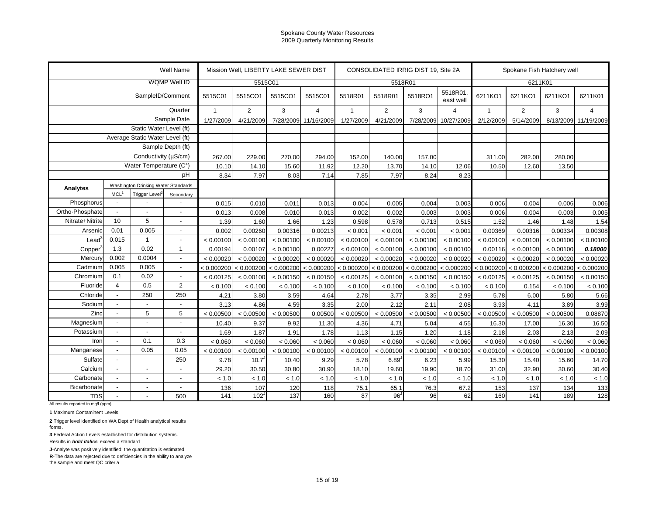|                                                  |                  |                                     | <b>Well Name</b>         |                | Mission Well, LIBERTY LAKE SEWER DIST |            |                |              |                       | CONSOLIDATED IRRIG DIST 19, Site 2A |                      |           | Spokane Fish Hatchery well                                                                                                                                                                                                                                                                                                                                                                                                                                                                                                                  |           |                |  |
|--------------------------------------------------|------------------|-------------------------------------|--------------------------|----------------|---------------------------------------|------------|----------------|--------------|-----------------------|-------------------------------------|----------------------|-----------|---------------------------------------------------------------------------------------------------------------------------------------------------------------------------------------------------------------------------------------------------------------------------------------------------------------------------------------------------------------------------------------------------------------------------------------------------------------------------------------------------------------------------------------------|-----------|----------------|--|
|                                                  |                  |                                     | WQMP Well ID             |                | 5515C01                               |            |                |              | 5518R01               |                                     |                      |           | 6211K01<br>6211KO1<br>6211KO1<br>$\overline{2}$<br>3<br>$\mathbf{1}$<br>5/14/2009<br>8/13/2009<br>2/12/2009<br>311.00<br>282.00<br>280.00<br>10.50<br>12.60<br>13.50<br>0.006<br>0.004<br>0.006<br>0.006<br>0.004<br>0.003<br>1.52<br>1.46<br>1.48<br>0.00369<br>0.00316<br>0.00334<br>< 0.00100<br>< 0.00100<br>< 0.00100<br>0.00116<br>< 0.00100<br>< 0.00100<br>< 0.00020<br>< 0.00020<br>< 0.00020<br>< 0.000200<br>< 0.000200 < 0.000200<br>< 0.00125<br>< 0.00125<br>< 0.00150<br>< 0.100<br>< 0.100<br>0.154<br>5.78<br>6.00<br>5.80 |           |                |  |
|                                                  |                  | SampleID/Comment                    |                          | 5515C01        | 5515CO1                               | 5515CO1    | 5515C01        | 5518R01      | 5518R01               | 5518RO1                             | 5518R01<br>east well | 6211KO1   |                                                                                                                                                                                                                                                                                                                                                                                                                                                                                                                                             |           | 6211K01        |  |
|                                                  |                  |                                     | Quarter                  | $\overline{1}$ | $\overline{2}$                        | 3          | $\overline{4}$ | $\mathbf{1}$ | $\overline{2}$        | 3                                   | $\overline{4}$       |           |                                                                                                                                                                                                                                                                                                                                                                                                                                                                                                                                             |           | $\overline{4}$ |  |
| Sample Date                                      |                  |                                     |                          | 1/27/2009      | 4/21/2009                             | 7/28/2009  | 11/16/2009     | 1/27/2009    | 4/21/2009             | 7/28/2009                           | 10/27/2009           |           |                                                                                                                                                                                                                                                                                                                                                                                                                                                                                                                                             |           | 11/19/2009     |  |
|                                                  |                  | Static Water Level (ft)             |                          |                |                                       |            |                |              |                       |                                     |                      |           |                                                                                                                                                                                                                                                                                                                                                                                                                                                                                                                                             |           |                |  |
|                                                  |                  | Average Static Water Level (ft)     |                          |                |                                       |            |                |              |                       |                                     |                      |           |                                                                                                                                                                                                                                                                                                                                                                                                                                                                                                                                             |           |                |  |
|                                                  |                  |                                     | Sample Depth (ft)        |                |                                       |            |                |              |                       |                                     |                      |           |                                                                                                                                                                                                                                                                                                                                                                                                                                                                                                                                             |           |                |  |
|                                                  |                  | Conductivity (µS/cm)                |                          | 267.00         | 229.00                                | 270.00     | 294.00         | 152.00       | 140.00                | 157.00                              |                      |           |                                                                                                                                                                                                                                                                                                                                                                                                                                                                                                                                             |           |                |  |
|                                                  |                  | Water Temperature (C°)              |                          | 10.10          | 14.10                                 | 15.60      | 11.92          | 12.20        | 13.70                 | 14.10                               | 12.06                |           |                                                                                                                                                                                                                                                                                                                                                                                                                                                                                                                                             |           |                |  |
|                                                  |                  |                                     | pH                       | 8.34           | 7.97                                  | 8.03       | 7.14           | 7.85         | 7.97                  | 8.24                                | 8.23                 |           |                                                                                                                                                                                                                                                                                                                                                                                                                                                                                                                                             |           |                |  |
| Analytes                                         |                  | Washington Drinking Water Standards |                          |                |                                       |            |                |              |                       |                                     |                      |           |                                                                                                                                                                                                                                                                                                                                                                                                                                                                                                                                             |           |                |  |
|                                                  | MCL <sup>1</sup> | Trigger Level <sup>2</sup>          | Secondary                |                |                                       |            |                |              |                       |                                     |                      |           |                                                                                                                                                                                                                                                                                                                                                                                                                                                                                                                                             |           |                |  |
| Phosphorus                                       | $\blacksquare$   |                                     |                          | 0.015          | 0.010                                 | 0.011      | 0.013          | 0.004        | 0.005                 | 0.004                               | 0.003                |           |                                                                                                                                                                                                                                                                                                                                                                                                                                                                                                                                             |           | 0.006          |  |
| Ortho-Phosphate                                  | $\overline{a}$   | $\overline{a}$                      |                          | 0.013          | 0.008                                 | 0.010      | 0.013          | 0.002        | 0.002                 | 0.003                               | 0.003                |           |                                                                                                                                                                                                                                                                                                                                                                                                                                                                                                                                             |           | 0.005          |  |
| Nitrate+Nitrite                                  | 10               | 5                                   | L,                       | 1.39           | 1.60                                  | 1.66       | 1.23           | 0.598        | 0.578                 | 0.713                               | 0.515                |           |                                                                                                                                                                                                                                                                                                                                                                                                                                                                                                                                             |           | 1.54           |  |
| Arsenic                                          | 0.01             | 0.005                               | $\overline{a}$           | 0.002          | 0.00260                               | 0.00316    | 0.00213        | < 0.001      | < 0.001               | < 0.001                             | < 0.001              |           |                                                                                                                                                                                                                                                                                                                                                                                                                                                                                                                                             |           | 0.00308        |  |
| Lead                                             | 0.015            | $\overline{1}$                      | $\overline{\phantom{a}}$ | < 0.00100      | < 0.00100                             | < 0.00100  | < 0.00100      | < 0.00100    | < 0.00100             | < 0.00100                           | < 0.00100            |           |                                                                                                                                                                                                                                                                                                                                                                                                                                                                                                                                             |           | < 0.00100      |  |
| Copper                                           | 1.3              | 0.02                                | $\mathbf{1}$             | 0.00194        | 0.00107                               | < 0.00100  | 0.00227        | < 0.00100    | < 0.00100             | < 0.00100                           | < 0.00100            |           |                                                                                                                                                                                                                                                                                                                                                                                                                                                                                                                                             |           | 0.18000        |  |
| Mercury                                          | 0.002            | 0.0004                              | $\blacksquare$           | < 0.00020      | < 0.00020                             | < 0.00020  | < 0.00020      | < 0.00020    | < 0.00020             | < 0.00020                           | < 0.00020            |           |                                                                                                                                                                                                                                                                                                                                                                                                                                                                                                                                             |           | < 0.00020      |  |
| Cadmium                                          | 0.005            | 0.005                               | $\blacksquare$           |                | < 0.000200 < 0.000200                 | < 0.000200 | < 0.000200     |              | < 0.000200 < 0.000200 | < 0.000200                          | < 0.000200           |           |                                                                                                                                                                                                                                                                                                                                                                                                                                                                                                                                             |           | < 0.000200     |  |
| Chromium                                         | 0.1              | 0.02                                | $\blacksquare$           | < 0.00125      | < 0.00100                             | < 0.00150  | < 0.00150      | < 0.00125    | < 0.00100             | < 0.00150                           | < 0.00150            |           |                                                                                                                                                                                                                                                                                                                                                                                                                                                                                                                                             |           | < 0.00150      |  |
| Fluoride                                         | $\overline{4}$   | 0.5                                 | $\overline{2}$           | < 0.100        | < 0.100                               | < 0.100    | < 0.100        | < 0.100      | < 0.100               | < 0.100                             | < 0.100              |           |                                                                                                                                                                                                                                                                                                                                                                                                                                                                                                                                             |           | < 0.100        |  |
| Chloride                                         | $\overline{a}$   | 250                                 | 250                      | 4.21           | 3.80                                  | 3.59       | 4.64           | 2.78         | 3.77                  | 3.35                                | 2.99                 |           |                                                                                                                                                                                                                                                                                                                                                                                                                                                                                                                                             |           | 5.66           |  |
| Sodium                                           | $\overline{a}$   | $\overline{a}$                      |                          | 3.13           | 4.86                                  | 4.59       | 3.35           | 2.00         | 2.12                  | 2.11                                | 2.08                 | 3.93      | 4.11                                                                                                                                                                                                                                                                                                                                                                                                                                                                                                                                        | 3.89      | 3.99           |  |
| Zinc                                             | $\overline{a}$   | 5                                   | 5                        | < 0.00500      | < 0.00500                             | < 0.00500  | 0.00500        | < 0.00500    | < 0.00500             | < 0.00500                           | < 0.00500            | < 0.00500 | < 0.00500                                                                                                                                                                                                                                                                                                                                                                                                                                                                                                                                   | < 0.00500 | 0.08870        |  |
| Magnesium                                        | $\overline{a}$   | Ĭ.                                  | $\overline{a}$           | 10.40          | 9.37                                  | 9.92       | 11.30          | 4.36         | 4.71                  | 5.04                                | 4.55                 | 16.30     | 17.00                                                                                                                                                                                                                                                                                                                                                                                                                                                                                                                                       | 16.30     | 16.50          |  |
| Potassium                                        | $\overline{a}$   | $\overline{a}$                      | $\overline{a}$           | 1.69           | 1.87                                  | 1.91       | 1.78           | 1.13         | 1.15                  | 1.20                                | 1.18                 | 2.18      | 2.03                                                                                                                                                                                                                                                                                                                                                                                                                                                                                                                                        | 2.13      | 2.09           |  |
| Iron                                             | $\blacksquare$   | 0.1                                 | 0.3                      | < 0.060        | < 0.060                               | < 0.060    | < 0.060        | < 0.060      | < 0.060               | < 0.060                             | < 0.060              | < 0.060   | < 0.060                                                                                                                                                                                                                                                                                                                                                                                                                                                                                                                                     | < 0.060   | < 0.060        |  |
| Manganese                                        | $\overline{a}$   | 0.05                                | 0.05                     | < 0.00100      | < 0.00100                             | < 0.00100  | < 0.00100      | < 0.00100    | < 0.00100             | < 0.00100                           | < 0.00100            | < 0.00100 | < 0.00100                                                                                                                                                                                                                                                                                                                                                                                                                                                                                                                                   | < 0.00100 | < 0.00100      |  |
| Sulfate                                          | $\overline{a}$   |                                     | 250                      | 9.78           | 10.7 <sup>°</sup>                     | 10.40      | 9.29           | 5.78         | 6.89                  | 6.23                                | 5.99                 | 15.30     | 15.40                                                                                                                                                                                                                                                                                                                                                                                                                                                                                                                                       | 15.60     | 14.70          |  |
| Calcium                                          | $\overline{a}$   | $\overline{a}$                      |                          | 29.20          | 30.50                                 | 30.80      | 30.90          | 18.10        | 19.60                 | 19.90                               | 18.70                | 31.00     | 32.90                                                                                                                                                                                                                                                                                                                                                                                                                                                                                                                                       | 30.60     | 30.40          |  |
| Carbonate                                        | $\overline{a}$   | $\overline{a}$                      | $\overline{a}$           | < 1.0          | < 1.0                                 | < 1.0      | < 1.0          | < 1.0        | < 1.0                 | < 1.0                               | < 1.0                | < 1.0     | $<1.0$                                                                                                                                                                                                                                                                                                                                                                                                                                                                                                                                      | < 1.0     | < 1.0          |  |
| Bicarbonate                                      | $\blacksquare$   | $\overline{a}$                      | $\overline{\phantom{a}}$ | 136            | 107                                   | 120        | 118            | 75.1         | 65.1                  | 76.3                                | 67.2                 | 153       | 137                                                                                                                                                                                                                                                                                                                                                                                                                                                                                                                                         | 134       | 133            |  |
| <b>TDS</b><br>All results reported in mg/l (ppm) |                  |                                     | 500                      | 141            | 102 <sup>2</sup>                      | 137        | 160            | 87           | $96^\circ$            | 96                                  | 62                   | 160       | 141                                                                                                                                                                                                                                                                                                                                                                                                                                                                                                                                         | 189       | 128            |  |

**1** Maximum Contaminent Levels

**2** Trigger level identified on WA Dept of Health analytical results forms.

**3** Federal Action Levels established for distribution systems.

Results in *bold italics* exceed a standard

**J**-Analyte was positively identified; the quantitation is estimated

**R**-The data are rejected due to deficiencies in the ability to analyze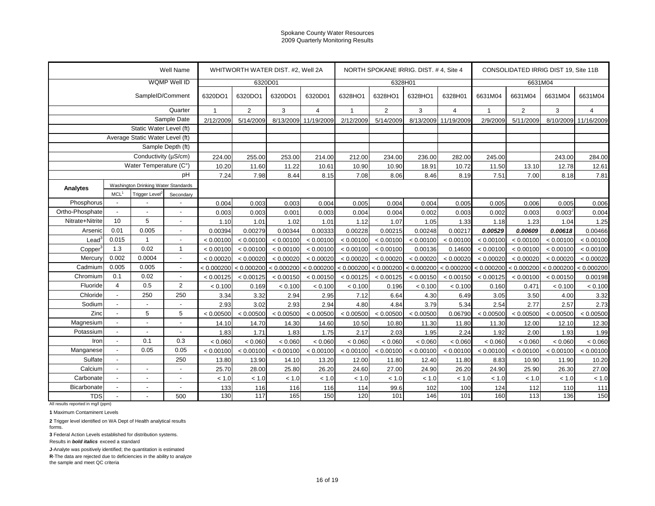| WQMP Well ID<br>6328H01<br>6320D01<br>6631M04<br>SampleID/Comment<br>6320DO1<br>6320DO1<br>6320D01<br>6328HO1<br>6328HO1<br>6328HO1<br>6328H01<br>6320DO1<br>6631M04<br>6631M04<br>6631M04<br>Quarter<br>$\overline{2}$<br>3<br>$\overline{2}$<br>3<br>$\overline{2}$<br>3<br>$\overline{1}$<br>$\overline{4}$<br>$\mathbf{1}$<br>$\overline{4}$<br>$\overline{4}$<br>$\mathbf{1}$<br>Sample Date<br>8/13/2009<br>5/14/2009<br>8/13/2009<br>5/11/2009<br>8/10/2009<br>2/12/2009<br>5/14/2009<br>11/19/2009<br>2/12/2009<br>11/19/2009<br>2/9/2009<br>Static Water Level (ft)<br>Average Static Water Level (ft)<br>Sample Depth (ft)<br>Conductivity (µS/cm)<br>224.00<br>255.00<br>253.00<br>214.00<br>212.00<br>234.00<br>236.00<br>282.00<br>245.00<br>243.00<br>Water Temperature (C°)<br>10.20<br>11.60<br>11.22<br>10.61<br>10.90<br>10.90<br>18.91<br>10.72<br>11.50<br>13.10<br>12.78<br>pH<br>7.98<br>8.18<br>7.24<br>8.44<br>8.15<br>7.08<br>8.06<br>8.46<br>8.19<br>7.51<br>7.00<br>Washington Drinking Water Standards<br>Analytes<br>MCL <sup>1</sup><br>Trigger Level <sup>2</sup><br>Secondary<br>Phosphorus<br>0.005<br>0.004<br>0.003<br>0.003<br>0.004<br>0.004<br>0.004<br>0.005<br>0.005<br>0.006<br>0.005<br>$\blacksquare$<br>Ortho-Phosphate<br>0.003<br>0.003<br>0.001<br>0.003<br>0.004<br>0.004<br>0.002<br>0.003<br>0.002<br>0.003<br>0.003 <sup>J</sup><br>$\overline{a}$<br>$\overline{a}$<br>5<br>10<br>Nitrate+Nitrite<br>1.10<br>1.01<br>1.02<br>1.01<br>1.12<br>1.07<br>1.05<br>1.33<br>1.18<br>1.23<br>1.04<br>L,<br>0.005<br>0.01<br>0.00279<br>0.00344<br>0.00228<br>0.00217<br>0.00529<br>Arsenic<br>0.00394<br>0.00333<br>0.00215<br>0.00248<br>0.00609<br>0.00618<br>$\overline{a}$<br>0.015<br>$\overline{1}$<br>Lead<br>$\overline{\phantom{a}}$<br>< 0.00100<br>< 0.00100<br>< 0.00100<br>< 0.00100<br>< 0.00100<br>< 0.00100<br>< 0.00100<br>< 0.00100<br>< 0.00100<br>< 0.00100<br>< 0.00100<br>1.3<br>0.02<br>$\mathbf{1}$<br>< 0.00100<br>< 0.00100<br>< 0.00100<br>0.00136<br>< 0.00100<br>< 0.00100<br>Copper<br>< 0.00100<br>< 0.00100<br>< 0.00100<br>0.14600<br>< 0.00100<br>0.002<br>0.0004<br>Mercury<br>< 0.00020<br>< 0.00020<br>< 0.00020<br>< 0.00020<br>< 0.00020<br>< 0.00020<br>< 0.00020<br>< 0.00020<br>< 0.00020<br>< 0.00020<br>< 0.00020<br>$\blacksquare$<br>0.005<br>0.005<br>Cadmium<br>< 0.000200<br>< 0.000200 < 0.000200<br>< 0.000200<br>< 0.000200<br>$< 0.000200$ $< 0.000200$<br>< 0.000200<br>< 0.000200<br>< 0.000200 < 0.000200<br>$\blacksquare$<br>0.02<br>Chromium<br>0.1<br>< 0.00125<br>$\blacksquare$<br>< 0.00125<br>< 0.00150<br>< 0.00150<br>< 0.00125<br>< 0.00125<br>< 0.00150<br>< 0.00150<br>< 0.00125<br>< 0.00100<br>< 0.00150<br>$\overline{4}$<br>$\overline{2}$<br>Fluoride<br>0.5<br>0.169<br>< 0.100<br>0.196<br>< 0.100<br>0.471<br>< 0.100<br>< 0.100<br>< 0.100<br>< 0.100<br>0.160<br>< 0.100<br>250<br>Chloride<br>250<br>7.12<br>3.34<br>3.32<br>2.94<br>2.95<br>4.30<br>3.05<br>3.50<br>4.00<br>$\overline{a}$<br>6.64<br>6.49<br>Sodium<br>2.93<br>2.94<br>2.57<br>3.02<br>2.93<br>4.80<br>3.79<br>5.34<br>2.54<br>2.77<br>$\overline{a}$<br>4.84<br>$\overline{a}$<br>5<br>5<br>Zinc<br>< 0.00500<br>< 0.00500<br>< 0.00500<br>< 0.00500<br>$\overline{a}$<br>< 0.00500<br>< 0.00500<br>< 0.00500<br>0.06790<br>< 0.00500<br>< 0.00500<br>< 0.00500<br>Magnesium<br>$\overline{a}$<br>14.70<br>14.60<br>10.50<br>11.30<br>11.30<br>$\overline{a}$<br>14.10<br>14.30<br>10.80<br>11.80<br>12.00<br>12.10<br>$\overline{a}$<br>Potassium<br>1.83<br>1.71<br>1.75<br>2.17<br>1.95<br>1.92<br>2.00<br>1.93<br>1.83<br>2.03<br>2.24<br>$\overline{a}$<br>$\overline{a}$<br>$\overline{a}$<br>0.3<br>0.1<br>Iron<br>< 0.060<br>< 0.060<br>< 0.060<br>< 0.060<br>< 0.060<br>< 0.060<br>< 0.060<br>< 0.060<br>< 0.060<br>< 0.060<br>< 0.060<br>$\blacksquare$<br>0.05<br>0.05<br>Manganese<br>$\overline{a}$<br>< 0.00100<br>< 0.00100<br>< 0.00100<br>< 0.00100<br>< 0.00100<br>< 0.00100<br>< 0.00100<br>< 0.00100<br>< 0.00100<br>< 0.00100<br>< 0.00100<br>250<br>Sulfate<br>$\overline{a}$<br>13.80<br>13.90<br>13.20<br>12.00<br>8.83<br>11.90<br>14.10<br>11.80<br>12.40<br>11.80<br>10.90<br>Calcium<br>25.70<br>28.00<br>26.20<br>24.60<br>27.00<br>26.20<br>26.30<br>$\overline{a}$<br>25.80<br>24.90<br>24.90<br>25.90<br>$\overline{a}$<br>Carbonate<br>$\blacksquare$<br>$\overline{a}$<br>$\overline{a}$ |  |  |  | Well Name |       | WHITWORTH WATER DIST. #2, Well 2A |       |       |       |       | NORTH SPOKANE IRRIG. DIST. #4, Site 4 |       |       | CONSOLIDATED IRRIG DIST 19, Site 11B |       |            |
|---------------------------------------------------------------------------------------------------------------------------------------------------------------------------------------------------------------------------------------------------------------------------------------------------------------------------------------------------------------------------------------------------------------------------------------------------------------------------------------------------------------------------------------------------------------------------------------------------------------------------------------------------------------------------------------------------------------------------------------------------------------------------------------------------------------------------------------------------------------------------------------------------------------------------------------------------------------------------------------------------------------------------------------------------------------------------------------------------------------------------------------------------------------------------------------------------------------------------------------------------------------------------------------------------------------------------------------------------------------------------------------------------------------------------------------------------------------------------------------------------------------------------------------------------------------------------------------------------------------------------------------------------------------------------------------------------------------------------------------------------------------------------------------------------------------------------------------------------------------------------------------------------------------------------------------------------------------------------------------------------------------------------------------------------------------------------------------------------------------------------------------------------------------------------------------------------------------------------------------------------------------------------------------------------------------------------------------------------------------------------------------------------------------------------------------------------------------------------------------------------------------------------------------------------------------------------------------------------------------------------------------------------------------------------------------------------------------------------------------------------------------------------------------------------------------------------------------------------------------------------------------------------------------------------------------------------------------------------------------------------------------------------------------------------------------------------------------------------------------------------------------------------------------------------------------------------------------------------------------------------------------------------------------------------------------------------------------------------------------------------------------------------------------------------------------------------------------------------------------------------------------------------------------------------------------------------------------------------------------------------------------------------------------------------------------------------------------------------------------------------------------------------------------------------------------------------------------------------------------------------------------------------------------------------------------------------------------------------------------------------------------------------------------------------------------------------------------------------------------------------------------------------------------------------------------------------------------------------------------------------------------------------------------------------------------------------------------------------------------------------------------------------------------------------|--|--|--|-----------|-------|-----------------------------------|-------|-------|-------|-------|---------------------------------------|-------|-------|--------------------------------------|-------|------------|
|                                                                                                                                                                                                                                                                                                                                                                                                                                                                                                                                                                                                                                                                                                                                                                                                                                                                                                                                                                                                                                                                                                                                                                                                                                                                                                                                                                                                                                                                                                                                                                                                                                                                                                                                                                                                                                                                                                                                                                                                                                                                                                                                                                                                                                                                                                                                                                                                                                                                                                                                                                                                                                                                                                                                                                                                                                                                                                                                                                                                                                                                                                                                                                                                                                                                                                                                                                                                                                                                                                                                                                                                                                                                                                                                                                                                                                                                                                                                                                                                                                                                                                                                                                                                                                                                                                                                                                                                                           |  |  |  |           |       |                                   |       |       |       |       |                                       |       |       |                                      |       |            |
|                                                                                                                                                                                                                                                                                                                                                                                                                                                                                                                                                                                                                                                                                                                                                                                                                                                                                                                                                                                                                                                                                                                                                                                                                                                                                                                                                                                                                                                                                                                                                                                                                                                                                                                                                                                                                                                                                                                                                                                                                                                                                                                                                                                                                                                                                                                                                                                                                                                                                                                                                                                                                                                                                                                                                                                                                                                                                                                                                                                                                                                                                                                                                                                                                                                                                                                                                                                                                                                                                                                                                                                                                                                                                                                                                                                                                                                                                                                                                                                                                                                                                                                                                                                                                                                                                                                                                                                                                           |  |  |  |           |       |                                   |       |       |       |       |                                       |       |       |                                      |       | 6631M04    |
|                                                                                                                                                                                                                                                                                                                                                                                                                                                                                                                                                                                                                                                                                                                                                                                                                                                                                                                                                                                                                                                                                                                                                                                                                                                                                                                                                                                                                                                                                                                                                                                                                                                                                                                                                                                                                                                                                                                                                                                                                                                                                                                                                                                                                                                                                                                                                                                                                                                                                                                                                                                                                                                                                                                                                                                                                                                                                                                                                                                                                                                                                                                                                                                                                                                                                                                                                                                                                                                                                                                                                                                                                                                                                                                                                                                                                                                                                                                                                                                                                                                                                                                                                                                                                                                                                                                                                                                                                           |  |  |  |           |       |                                   |       |       |       |       |                                       |       |       |                                      |       |            |
|                                                                                                                                                                                                                                                                                                                                                                                                                                                                                                                                                                                                                                                                                                                                                                                                                                                                                                                                                                                                                                                                                                                                                                                                                                                                                                                                                                                                                                                                                                                                                                                                                                                                                                                                                                                                                                                                                                                                                                                                                                                                                                                                                                                                                                                                                                                                                                                                                                                                                                                                                                                                                                                                                                                                                                                                                                                                                                                                                                                                                                                                                                                                                                                                                                                                                                                                                                                                                                                                                                                                                                                                                                                                                                                                                                                                                                                                                                                                                                                                                                                                                                                                                                                                                                                                                                                                                                                                                           |  |  |  |           |       |                                   |       |       |       |       |                                       |       |       |                                      |       | 11/16/2009 |
|                                                                                                                                                                                                                                                                                                                                                                                                                                                                                                                                                                                                                                                                                                                                                                                                                                                                                                                                                                                                                                                                                                                                                                                                                                                                                                                                                                                                                                                                                                                                                                                                                                                                                                                                                                                                                                                                                                                                                                                                                                                                                                                                                                                                                                                                                                                                                                                                                                                                                                                                                                                                                                                                                                                                                                                                                                                                                                                                                                                                                                                                                                                                                                                                                                                                                                                                                                                                                                                                                                                                                                                                                                                                                                                                                                                                                                                                                                                                                                                                                                                                                                                                                                                                                                                                                                                                                                                                                           |  |  |  |           |       |                                   |       |       |       |       |                                       |       |       |                                      |       |            |
|                                                                                                                                                                                                                                                                                                                                                                                                                                                                                                                                                                                                                                                                                                                                                                                                                                                                                                                                                                                                                                                                                                                                                                                                                                                                                                                                                                                                                                                                                                                                                                                                                                                                                                                                                                                                                                                                                                                                                                                                                                                                                                                                                                                                                                                                                                                                                                                                                                                                                                                                                                                                                                                                                                                                                                                                                                                                                                                                                                                                                                                                                                                                                                                                                                                                                                                                                                                                                                                                                                                                                                                                                                                                                                                                                                                                                                                                                                                                                                                                                                                                                                                                                                                                                                                                                                                                                                                                                           |  |  |  |           |       |                                   |       |       |       |       |                                       |       |       |                                      |       |            |
|                                                                                                                                                                                                                                                                                                                                                                                                                                                                                                                                                                                                                                                                                                                                                                                                                                                                                                                                                                                                                                                                                                                                                                                                                                                                                                                                                                                                                                                                                                                                                                                                                                                                                                                                                                                                                                                                                                                                                                                                                                                                                                                                                                                                                                                                                                                                                                                                                                                                                                                                                                                                                                                                                                                                                                                                                                                                                                                                                                                                                                                                                                                                                                                                                                                                                                                                                                                                                                                                                                                                                                                                                                                                                                                                                                                                                                                                                                                                                                                                                                                                                                                                                                                                                                                                                                                                                                                                                           |  |  |  |           |       |                                   |       |       |       |       |                                       |       |       |                                      |       |            |
|                                                                                                                                                                                                                                                                                                                                                                                                                                                                                                                                                                                                                                                                                                                                                                                                                                                                                                                                                                                                                                                                                                                                                                                                                                                                                                                                                                                                                                                                                                                                                                                                                                                                                                                                                                                                                                                                                                                                                                                                                                                                                                                                                                                                                                                                                                                                                                                                                                                                                                                                                                                                                                                                                                                                                                                                                                                                                                                                                                                                                                                                                                                                                                                                                                                                                                                                                                                                                                                                                                                                                                                                                                                                                                                                                                                                                                                                                                                                                                                                                                                                                                                                                                                                                                                                                                                                                                                                                           |  |  |  |           |       |                                   |       |       |       |       |                                       |       |       |                                      |       | 284.00     |
|                                                                                                                                                                                                                                                                                                                                                                                                                                                                                                                                                                                                                                                                                                                                                                                                                                                                                                                                                                                                                                                                                                                                                                                                                                                                                                                                                                                                                                                                                                                                                                                                                                                                                                                                                                                                                                                                                                                                                                                                                                                                                                                                                                                                                                                                                                                                                                                                                                                                                                                                                                                                                                                                                                                                                                                                                                                                                                                                                                                                                                                                                                                                                                                                                                                                                                                                                                                                                                                                                                                                                                                                                                                                                                                                                                                                                                                                                                                                                                                                                                                                                                                                                                                                                                                                                                                                                                                                                           |  |  |  |           |       |                                   |       |       |       |       |                                       |       |       |                                      |       | 12.61      |
|                                                                                                                                                                                                                                                                                                                                                                                                                                                                                                                                                                                                                                                                                                                                                                                                                                                                                                                                                                                                                                                                                                                                                                                                                                                                                                                                                                                                                                                                                                                                                                                                                                                                                                                                                                                                                                                                                                                                                                                                                                                                                                                                                                                                                                                                                                                                                                                                                                                                                                                                                                                                                                                                                                                                                                                                                                                                                                                                                                                                                                                                                                                                                                                                                                                                                                                                                                                                                                                                                                                                                                                                                                                                                                                                                                                                                                                                                                                                                                                                                                                                                                                                                                                                                                                                                                                                                                                                                           |  |  |  |           |       |                                   |       |       |       |       |                                       |       |       |                                      |       | 7.81       |
|                                                                                                                                                                                                                                                                                                                                                                                                                                                                                                                                                                                                                                                                                                                                                                                                                                                                                                                                                                                                                                                                                                                                                                                                                                                                                                                                                                                                                                                                                                                                                                                                                                                                                                                                                                                                                                                                                                                                                                                                                                                                                                                                                                                                                                                                                                                                                                                                                                                                                                                                                                                                                                                                                                                                                                                                                                                                                                                                                                                                                                                                                                                                                                                                                                                                                                                                                                                                                                                                                                                                                                                                                                                                                                                                                                                                                                                                                                                                                                                                                                                                                                                                                                                                                                                                                                                                                                                                                           |  |  |  |           |       |                                   |       |       |       |       |                                       |       |       |                                      |       |            |
|                                                                                                                                                                                                                                                                                                                                                                                                                                                                                                                                                                                                                                                                                                                                                                                                                                                                                                                                                                                                                                                                                                                                                                                                                                                                                                                                                                                                                                                                                                                                                                                                                                                                                                                                                                                                                                                                                                                                                                                                                                                                                                                                                                                                                                                                                                                                                                                                                                                                                                                                                                                                                                                                                                                                                                                                                                                                                                                                                                                                                                                                                                                                                                                                                                                                                                                                                                                                                                                                                                                                                                                                                                                                                                                                                                                                                                                                                                                                                                                                                                                                                                                                                                                                                                                                                                                                                                                                                           |  |  |  |           |       |                                   |       |       |       |       |                                       |       |       |                                      |       |            |
|                                                                                                                                                                                                                                                                                                                                                                                                                                                                                                                                                                                                                                                                                                                                                                                                                                                                                                                                                                                                                                                                                                                                                                                                                                                                                                                                                                                                                                                                                                                                                                                                                                                                                                                                                                                                                                                                                                                                                                                                                                                                                                                                                                                                                                                                                                                                                                                                                                                                                                                                                                                                                                                                                                                                                                                                                                                                                                                                                                                                                                                                                                                                                                                                                                                                                                                                                                                                                                                                                                                                                                                                                                                                                                                                                                                                                                                                                                                                                                                                                                                                                                                                                                                                                                                                                                                                                                                                                           |  |  |  |           |       |                                   |       |       |       |       |                                       |       |       |                                      |       | 0.006      |
|                                                                                                                                                                                                                                                                                                                                                                                                                                                                                                                                                                                                                                                                                                                                                                                                                                                                                                                                                                                                                                                                                                                                                                                                                                                                                                                                                                                                                                                                                                                                                                                                                                                                                                                                                                                                                                                                                                                                                                                                                                                                                                                                                                                                                                                                                                                                                                                                                                                                                                                                                                                                                                                                                                                                                                                                                                                                                                                                                                                                                                                                                                                                                                                                                                                                                                                                                                                                                                                                                                                                                                                                                                                                                                                                                                                                                                                                                                                                                                                                                                                                                                                                                                                                                                                                                                                                                                                                                           |  |  |  |           |       |                                   |       |       |       |       |                                       |       |       |                                      |       | 0.004      |
|                                                                                                                                                                                                                                                                                                                                                                                                                                                                                                                                                                                                                                                                                                                                                                                                                                                                                                                                                                                                                                                                                                                                                                                                                                                                                                                                                                                                                                                                                                                                                                                                                                                                                                                                                                                                                                                                                                                                                                                                                                                                                                                                                                                                                                                                                                                                                                                                                                                                                                                                                                                                                                                                                                                                                                                                                                                                                                                                                                                                                                                                                                                                                                                                                                                                                                                                                                                                                                                                                                                                                                                                                                                                                                                                                                                                                                                                                                                                                                                                                                                                                                                                                                                                                                                                                                                                                                                                                           |  |  |  |           |       |                                   |       |       |       |       |                                       |       |       |                                      |       | 1.25       |
|                                                                                                                                                                                                                                                                                                                                                                                                                                                                                                                                                                                                                                                                                                                                                                                                                                                                                                                                                                                                                                                                                                                                                                                                                                                                                                                                                                                                                                                                                                                                                                                                                                                                                                                                                                                                                                                                                                                                                                                                                                                                                                                                                                                                                                                                                                                                                                                                                                                                                                                                                                                                                                                                                                                                                                                                                                                                                                                                                                                                                                                                                                                                                                                                                                                                                                                                                                                                                                                                                                                                                                                                                                                                                                                                                                                                                                                                                                                                                                                                                                                                                                                                                                                                                                                                                                                                                                                                                           |  |  |  |           |       |                                   |       |       |       |       |                                       |       |       |                                      |       | 0.00466    |
|                                                                                                                                                                                                                                                                                                                                                                                                                                                                                                                                                                                                                                                                                                                                                                                                                                                                                                                                                                                                                                                                                                                                                                                                                                                                                                                                                                                                                                                                                                                                                                                                                                                                                                                                                                                                                                                                                                                                                                                                                                                                                                                                                                                                                                                                                                                                                                                                                                                                                                                                                                                                                                                                                                                                                                                                                                                                                                                                                                                                                                                                                                                                                                                                                                                                                                                                                                                                                                                                                                                                                                                                                                                                                                                                                                                                                                                                                                                                                                                                                                                                                                                                                                                                                                                                                                                                                                                                                           |  |  |  |           |       |                                   |       |       |       |       |                                       |       |       |                                      |       | < 0.00100  |
|                                                                                                                                                                                                                                                                                                                                                                                                                                                                                                                                                                                                                                                                                                                                                                                                                                                                                                                                                                                                                                                                                                                                                                                                                                                                                                                                                                                                                                                                                                                                                                                                                                                                                                                                                                                                                                                                                                                                                                                                                                                                                                                                                                                                                                                                                                                                                                                                                                                                                                                                                                                                                                                                                                                                                                                                                                                                                                                                                                                                                                                                                                                                                                                                                                                                                                                                                                                                                                                                                                                                                                                                                                                                                                                                                                                                                                                                                                                                                                                                                                                                                                                                                                                                                                                                                                                                                                                                                           |  |  |  |           |       |                                   |       |       |       |       |                                       |       |       |                                      |       | < 0.00100  |
|                                                                                                                                                                                                                                                                                                                                                                                                                                                                                                                                                                                                                                                                                                                                                                                                                                                                                                                                                                                                                                                                                                                                                                                                                                                                                                                                                                                                                                                                                                                                                                                                                                                                                                                                                                                                                                                                                                                                                                                                                                                                                                                                                                                                                                                                                                                                                                                                                                                                                                                                                                                                                                                                                                                                                                                                                                                                                                                                                                                                                                                                                                                                                                                                                                                                                                                                                                                                                                                                                                                                                                                                                                                                                                                                                                                                                                                                                                                                                                                                                                                                                                                                                                                                                                                                                                                                                                                                                           |  |  |  |           |       |                                   |       |       |       |       |                                       |       |       |                                      |       | < 0.00020  |
|                                                                                                                                                                                                                                                                                                                                                                                                                                                                                                                                                                                                                                                                                                                                                                                                                                                                                                                                                                                                                                                                                                                                                                                                                                                                                                                                                                                                                                                                                                                                                                                                                                                                                                                                                                                                                                                                                                                                                                                                                                                                                                                                                                                                                                                                                                                                                                                                                                                                                                                                                                                                                                                                                                                                                                                                                                                                                                                                                                                                                                                                                                                                                                                                                                                                                                                                                                                                                                                                                                                                                                                                                                                                                                                                                                                                                                                                                                                                                                                                                                                                                                                                                                                                                                                                                                                                                                                                                           |  |  |  |           |       |                                   |       |       |       |       |                                       |       |       |                                      |       | < 0.000200 |
|                                                                                                                                                                                                                                                                                                                                                                                                                                                                                                                                                                                                                                                                                                                                                                                                                                                                                                                                                                                                                                                                                                                                                                                                                                                                                                                                                                                                                                                                                                                                                                                                                                                                                                                                                                                                                                                                                                                                                                                                                                                                                                                                                                                                                                                                                                                                                                                                                                                                                                                                                                                                                                                                                                                                                                                                                                                                                                                                                                                                                                                                                                                                                                                                                                                                                                                                                                                                                                                                                                                                                                                                                                                                                                                                                                                                                                                                                                                                                                                                                                                                                                                                                                                                                                                                                                                                                                                                                           |  |  |  |           |       |                                   |       |       |       |       |                                       |       |       |                                      |       | 0.00198    |
|                                                                                                                                                                                                                                                                                                                                                                                                                                                                                                                                                                                                                                                                                                                                                                                                                                                                                                                                                                                                                                                                                                                                                                                                                                                                                                                                                                                                                                                                                                                                                                                                                                                                                                                                                                                                                                                                                                                                                                                                                                                                                                                                                                                                                                                                                                                                                                                                                                                                                                                                                                                                                                                                                                                                                                                                                                                                                                                                                                                                                                                                                                                                                                                                                                                                                                                                                                                                                                                                                                                                                                                                                                                                                                                                                                                                                                                                                                                                                                                                                                                                                                                                                                                                                                                                                                                                                                                                                           |  |  |  |           |       |                                   |       |       |       |       |                                       |       |       |                                      |       | < 0.100    |
|                                                                                                                                                                                                                                                                                                                                                                                                                                                                                                                                                                                                                                                                                                                                                                                                                                                                                                                                                                                                                                                                                                                                                                                                                                                                                                                                                                                                                                                                                                                                                                                                                                                                                                                                                                                                                                                                                                                                                                                                                                                                                                                                                                                                                                                                                                                                                                                                                                                                                                                                                                                                                                                                                                                                                                                                                                                                                                                                                                                                                                                                                                                                                                                                                                                                                                                                                                                                                                                                                                                                                                                                                                                                                                                                                                                                                                                                                                                                                                                                                                                                                                                                                                                                                                                                                                                                                                                                                           |  |  |  |           |       |                                   |       |       |       |       |                                       |       |       |                                      |       | 3.32       |
|                                                                                                                                                                                                                                                                                                                                                                                                                                                                                                                                                                                                                                                                                                                                                                                                                                                                                                                                                                                                                                                                                                                                                                                                                                                                                                                                                                                                                                                                                                                                                                                                                                                                                                                                                                                                                                                                                                                                                                                                                                                                                                                                                                                                                                                                                                                                                                                                                                                                                                                                                                                                                                                                                                                                                                                                                                                                                                                                                                                                                                                                                                                                                                                                                                                                                                                                                                                                                                                                                                                                                                                                                                                                                                                                                                                                                                                                                                                                                                                                                                                                                                                                                                                                                                                                                                                                                                                                                           |  |  |  |           |       |                                   |       |       |       |       |                                       |       |       |                                      |       | 2.73       |
|                                                                                                                                                                                                                                                                                                                                                                                                                                                                                                                                                                                                                                                                                                                                                                                                                                                                                                                                                                                                                                                                                                                                                                                                                                                                                                                                                                                                                                                                                                                                                                                                                                                                                                                                                                                                                                                                                                                                                                                                                                                                                                                                                                                                                                                                                                                                                                                                                                                                                                                                                                                                                                                                                                                                                                                                                                                                                                                                                                                                                                                                                                                                                                                                                                                                                                                                                                                                                                                                                                                                                                                                                                                                                                                                                                                                                                                                                                                                                                                                                                                                                                                                                                                                                                                                                                                                                                                                                           |  |  |  |           |       |                                   |       |       |       |       |                                       |       |       |                                      |       | < 0.00500  |
|                                                                                                                                                                                                                                                                                                                                                                                                                                                                                                                                                                                                                                                                                                                                                                                                                                                                                                                                                                                                                                                                                                                                                                                                                                                                                                                                                                                                                                                                                                                                                                                                                                                                                                                                                                                                                                                                                                                                                                                                                                                                                                                                                                                                                                                                                                                                                                                                                                                                                                                                                                                                                                                                                                                                                                                                                                                                                                                                                                                                                                                                                                                                                                                                                                                                                                                                                                                                                                                                                                                                                                                                                                                                                                                                                                                                                                                                                                                                                                                                                                                                                                                                                                                                                                                                                                                                                                                                                           |  |  |  |           |       |                                   |       |       |       |       |                                       |       |       |                                      |       | 12.30      |
|                                                                                                                                                                                                                                                                                                                                                                                                                                                                                                                                                                                                                                                                                                                                                                                                                                                                                                                                                                                                                                                                                                                                                                                                                                                                                                                                                                                                                                                                                                                                                                                                                                                                                                                                                                                                                                                                                                                                                                                                                                                                                                                                                                                                                                                                                                                                                                                                                                                                                                                                                                                                                                                                                                                                                                                                                                                                                                                                                                                                                                                                                                                                                                                                                                                                                                                                                                                                                                                                                                                                                                                                                                                                                                                                                                                                                                                                                                                                                                                                                                                                                                                                                                                                                                                                                                                                                                                                                           |  |  |  |           |       |                                   |       |       |       |       |                                       |       |       |                                      |       | 1.99       |
|                                                                                                                                                                                                                                                                                                                                                                                                                                                                                                                                                                                                                                                                                                                                                                                                                                                                                                                                                                                                                                                                                                                                                                                                                                                                                                                                                                                                                                                                                                                                                                                                                                                                                                                                                                                                                                                                                                                                                                                                                                                                                                                                                                                                                                                                                                                                                                                                                                                                                                                                                                                                                                                                                                                                                                                                                                                                                                                                                                                                                                                                                                                                                                                                                                                                                                                                                                                                                                                                                                                                                                                                                                                                                                                                                                                                                                                                                                                                                                                                                                                                                                                                                                                                                                                                                                                                                                                                                           |  |  |  |           |       |                                   |       |       |       |       |                                       |       |       |                                      |       | < 0.060    |
|                                                                                                                                                                                                                                                                                                                                                                                                                                                                                                                                                                                                                                                                                                                                                                                                                                                                                                                                                                                                                                                                                                                                                                                                                                                                                                                                                                                                                                                                                                                                                                                                                                                                                                                                                                                                                                                                                                                                                                                                                                                                                                                                                                                                                                                                                                                                                                                                                                                                                                                                                                                                                                                                                                                                                                                                                                                                                                                                                                                                                                                                                                                                                                                                                                                                                                                                                                                                                                                                                                                                                                                                                                                                                                                                                                                                                                                                                                                                                                                                                                                                                                                                                                                                                                                                                                                                                                                                                           |  |  |  |           |       |                                   |       |       |       |       |                                       |       |       |                                      |       | < 0.00100  |
|                                                                                                                                                                                                                                                                                                                                                                                                                                                                                                                                                                                                                                                                                                                                                                                                                                                                                                                                                                                                                                                                                                                                                                                                                                                                                                                                                                                                                                                                                                                                                                                                                                                                                                                                                                                                                                                                                                                                                                                                                                                                                                                                                                                                                                                                                                                                                                                                                                                                                                                                                                                                                                                                                                                                                                                                                                                                                                                                                                                                                                                                                                                                                                                                                                                                                                                                                                                                                                                                                                                                                                                                                                                                                                                                                                                                                                                                                                                                                                                                                                                                                                                                                                                                                                                                                                                                                                                                                           |  |  |  |           |       |                                   |       |       |       |       |                                       |       |       |                                      |       | 10.20      |
|                                                                                                                                                                                                                                                                                                                                                                                                                                                                                                                                                                                                                                                                                                                                                                                                                                                                                                                                                                                                                                                                                                                                                                                                                                                                                                                                                                                                                                                                                                                                                                                                                                                                                                                                                                                                                                                                                                                                                                                                                                                                                                                                                                                                                                                                                                                                                                                                                                                                                                                                                                                                                                                                                                                                                                                                                                                                                                                                                                                                                                                                                                                                                                                                                                                                                                                                                                                                                                                                                                                                                                                                                                                                                                                                                                                                                                                                                                                                                                                                                                                                                                                                                                                                                                                                                                                                                                                                                           |  |  |  |           |       |                                   |       |       |       |       |                                       |       |       |                                      |       | 27.00      |
|                                                                                                                                                                                                                                                                                                                                                                                                                                                                                                                                                                                                                                                                                                                                                                                                                                                                                                                                                                                                                                                                                                                                                                                                                                                                                                                                                                                                                                                                                                                                                                                                                                                                                                                                                                                                                                                                                                                                                                                                                                                                                                                                                                                                                                                                                                                                                                                                                                                                                                                                                                                                                                                                                                                                                                                                                                                                                                                                                                                                                                                                                                                                                                                                                                                                                                                                                                                                                                                                                                                                                                                                                                                                                                                                                                                                                                                                                                                                                                                                                                                                                                                                                                                                                                                                                                                                                                                                                           |  |  |  |           | < 1.0 | < 1.0                             | < 1.0 | < 1.0 | < 1.0 | < 1.0 | < 1.0                                 | < 1.0 | < 1.0 | < 1.0                                | < 1.0 | < 1.0      |
| Bicarbonate<br>133<br>114<br>102<br>110<br>116<br>116<br>116<br>99.6<br>100<br>124<br>112<br>$\blacksquare$<br>$\overline{a}$<br>$\overline{\phantom{a}}$                                                                                                                                                                                                                                                                                                                                                                                                                                                                                                                                                                                                                                                                                                                                                                                                                                                                                                                                                                                                                                                                                                                                                                                                                                                                                                                                                                                                                                                                                                                                                                                                                                                                                                                                                                                                                                                                                                                                                                                                                                                                                                                                                                                                                                                                                                                                                                                                                                                                                                                                                                                                                                                                                                                                                                                                                                                                                                                                                                                                                                                                                                                                                                                                                                                                                                                                                                                                                                                                                                                                                                                                                                                                                                                                                                                                                                                                                                                                                                                                                                                                                                                                                                                                                                                                 |  |  |  |           |       |                                   |       |       |       |       |                                       |       |       |                                      |       | 111        |
| 130<br>117<br>165<br>150<br>120<br>146<br>101<br>136<br><b>TDS</b><br>500<br>101<br>160<br>113<br>All results reported in mg/l (ppm)                                                                                                                                                                                                                                                                                                                                                                                                                                                                                                                                                                                                                                                                                                                                                                                                                                                                                                                                                                                                                                                                                                                                                                                                                                                                                                                                                                                                                                                                                                                                                                                                                                                                                                                                                                                                                                                                                                                                                                                                                                                                                                                                                                                                                                                                                                                                                                                                                                                                                                                                                                                                                                                                                                                                                                                                                                                                                                                                                                                                                                                                                                                                                                                                                                                                                                                                                                                                                                                                                                                                                                                                                                                                                                                                                                                                                                                                                                                                                                                                                                                                                                                                                                                                                                                                                      |  |  |  |           |       |                                   |       |       |       |       |                                       |       |       |                                      |       | 150        |

**1** Maximum Contaminent Levels

**2** Trigger level identified on WA Dept of Health analytical results forms.

**3** Federal Action Levels established for distribution systems.

Results in *bold italics* exceed a standard

**J**-Analyte was positively identified; the quantitation is estimated

**R**-The data are rejected due to deficiencies in the ability to analyze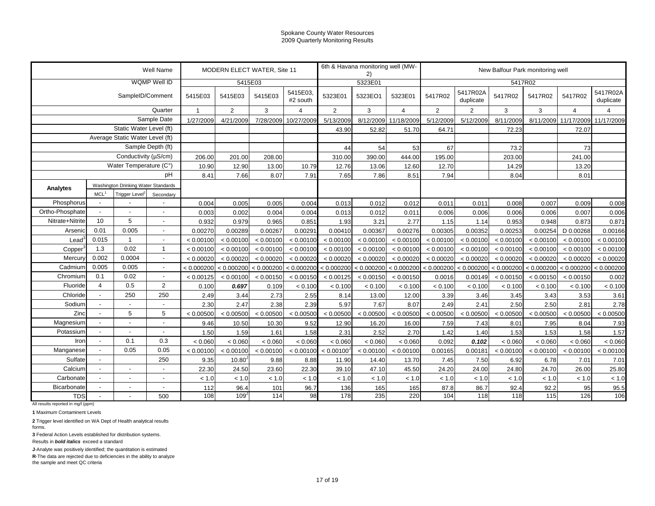|                                                  |                          |                                     | Well Name                |                |                      | MODERN ELECT WATER, Site 11 |            |                | 6th & Havana monitoring well (MW-<br>2) |                       |            |                | New Balfour Park monitoring well |                       |                |            |
|--------------------------------------------------|--------------------------|-------------------------------------|--------------------------|----------------|----------------------|-----------------------------|------------|----------------|-----------------------------------------|-----------------------|------------|----------------|----------------------------------|-----------------------|----------------|------------|
|                                                  |                          |                                     | WQMP Well ID             |                | 5415E03              |                             |            |                | 5323E01                                 |                       |            |                | 5417R02                          |                       |                |            |
|                                                  | SampleID/Comment         | 5415E03                             | 5415E03                  | 5415E03        | 5415E03,<br>#2 south | 5323E01                     | 5323EO1    | 5323E01        | 5417R02                                 | 5417R02A<br>duplicate | 5417R02    | 5417R02        | 5417R02                          | 5417R02A<br>duplicate |                |            |
|                                                  |                          |                                     | Quarter                  | $\overline{1}$ | 2                    | 3                           | 4          | $\overline{2}$ | 3                                       | $\overline{4}$        | 2          | $\overline{2}$ | 3                                | 3                     | $\overline{4}$ | 4          |
|                                                  |                          |                                     | Sample Date              | 1/27/2009      | 4/21/2009            | 7/28/2009                   | 10/27/2009 | 5/13/2009      | 8/12/2009                               | 11/18/2009            | 5/12/2009  | 5/12/2009      | 8/11/2009                        | 8/11/2009             | 11/17/2009     | 11/17/2009 |
|                                                  |                          | Static Water Level (ft)             |                          |                |                      |                             |            | 43.90          | 52.82                                   | 51.70                 | 64.71      |                | 72.23                            |                       | 72.07          |            |
|                                                  |                          | Average Static Water Level (ft)     |                          |                |                      |                             |            |                |                                         |                       |            |                |                                  |                       |                |            |
|                                                  |                          |                                     | Sample Depth (ft)        |                |                      |                             |            | 44             | 54                                      | 53                    | 67         |                | 73.2                             |                       | 73             |            |
|                                                  |                          | Conductivity (µS/cm)                |                          | 206.00         | 201.00               | 208.00                      |            | 310.00         | 390.00                                  | 444.00                | 195.00     |                | 203.00                           |                       | 241.00         |            |
|                                                  |                          | Water Temperature (C°)              |                          | 10.90          | 12.90                | 13.00                       | 10.79      | 12.76          | 13.06                                   | 12.60                 | 12.70      |                | 14.29                            |                       | 13.20          |            |
|                                                  |                          |                                     | рH                       | 8.41           | 7.66                 | 8.07                        | 7.91       | 7.65           | 7.86                                    | 8.51                  | 7.94       |                | 8.04                             |                       | 8.01           |            |
| Analytes                                         |                          | Washington Drinking Water Standards |                          |                |                      |                             |            |                |                                         |                       |            |                |                                  |                       |                |            |
|                                                  | MCL <sup>1</sup>         | Trigger Level <sup>2</sup>          | Secondary                |                |                      |                             |            |                |                                         |                       |            |                |                                  |                       |                |            |
| Phosphorus                                       |                          |                                     |                          | 0.004          | 0.005                | 0.005                       | 0.004      | 0.013          | 0.012                                   | 0.012                 | 0.011      | 0.011          | 0.008                            | 0.007                 | 0.009          | 0.008      |
| Ortho-Phosphate                                  |                          |                                     |                          | 0.003          | 0.002                | 0.004                       | 0.004      | 0.013          | 0.012                                   | 0.011                 | 0.006      | 0.006          | 0.006                            | 0.006                 | 0.007          | 0.006      |
| Nitrate+Nitrite                                  | 10                       | 5                                   | $\overline{\phantom{a}}$ | 0.932          | 0.979                | 0.965                       | 0.851      | 1.93           | 3.21                                    | 2.77                  | 1.15       | 1.14           | 0.953                            | 0.948                 | 0.873          | 0.871      |
| Arsenic                                          | 0.01                     | 0.005                               | $\overline{a}$           | 0.00270        | 0.00289              | 0.00267                     | 0.00291    | 0.00410        | 0.00367                                 | 0.00276               | 0.00305    | 0.00352        | 0.00253                          | 0.00254               | D 0.00268      | 0.00166    |
| Lead <sup>3</sup>                                | 0.015                    | $\overline{1}$                      |                          | < 0.00100      | < 0.00100            | < 0.00100                   | < 0.00100  | < 0.00100      | < 0.00100                               | < 0.00100             | < 0.00100  | < 0.00100      | < 0.00100                        | < 0.00100             | < 0.00100      | < 0.00100  |
| Copper                                           | 1.3                      | 0.02                                | $\overline{1}$           | < 0.00100      | < 0.00100            | < 0.00100                   | < 0.00100  | < 0.00100      | < 0.00100                               | < 0.00100             | < 0.00100  | < 0.00100      | < 0.00100                        | < 0.00100             | < 0.00100      | < 0.00100  |
| Mercury                                          | 0.002                    | 0.0004                              | $\overline{a}$           | < 0.00020      | < 0.00020            | < 0.00020                   | < 0.00020  | < 0.00020      | < 0.00020                               | < 0.00020             | < 0.00020  | < 0.00020      | < 0.00020                        | < 0.00020             | < 0.00020      | < 0.00020  |
| Cadmium                                          | 0.005                    | 0.005                               | $\sim$                   | < 0.000200     | < 0.000200           | < 0.000200 < 0.000200       |            | < 0.000200     | < 0.000200                              | < 0.000200            | < 0.000200 | < 0.000200     | < 0.000200                       | < 0.000200            | < 0.000200     | < 0.000200 |
| Chromium                                         | 0.1                      | 0.02                                |                          | < 0.00125      | < 0.00100            | < 0.00150                   | < 0.00150  | < 0.00125      | < 0.00150                               | < 0.00150             | 0.0016     | 0.00149        | < 0.00150                        | < 0.00150             | < 0.00150      | 0.002      |
| Fluoride                                         | $\overline{4}$           | 0.5                                 | $\overline{2}$           | 0.100          | 0.697                | 0.109                       | < 0.100    | < 0.100        | < 0.100                                 | < 0.100               | < 0.100    | < 0.100        | < 0.100                          | < 0.100               | < 0.100        | < 0.100    |
| Chloride                                         |                          | 250                                 | 250                      | 2.49           | 3.44                 | 2.73                        | 2.55       | 8.14           | 13.00                                   | 12.00                 | 3.39       | 3.46           | 3.45                             | 3.43                  | 3.53           | 3.61       |
| Sodium                                           |                          |                                     |                          | 2.30           | 2.47                 | 2.38                        | 2.39       | 5.97           | 7.67                                    | 8.07                  | 2.49       | 2.41           | 2.50                             | 2.50                  | 2.81           | 2.78       |
| Zinc                                             |                          | 5                                   | 5                        | < 0.00500      | < 0.00500            | < 0.00500                   | < 0.00500  | < 0.00500      | < 0.00500                               | < 0.00500             | < 0.00500  | < 0.00500      | < 0.00500                        | < 0.00500             | < 0.00500      | < 0.00500  |
| Magnesium                                        |                          |                                     |                          | 9.46           | 10.50                | 10.30                       | 9.52       | 12.90          | 16.20                                   | 16.00                 | 7.59       | 7.43           | 8.01                             | 7.95                  | 8.04           | 7.93       |
| Potassium                                        |                          | $\overline{a}$                      |                          | 1.50           | 1.59                 | 1.61                        | 1.58       | 2.31           | 2.52                                    | 2.70                  | 1.42       | 1.40           | 1.53                             | 1.53                  | 1.58           | 1.57       |
| Iron                                             | $\overline{\phantom{a}}$ | 0.1                                 | 0.3                      | < 0.060        | < 0.060              | < 0.060                     | < 0.060    | < 0.060        | < 0.060                                 | < 0.060               | 0.092      | 0.102          | < 0.060                          | < 0.060               | < 0.060        | < 0.060    |
| Manganese                                        |                          | 0.05                                | 0.05                     | < 0.00100      | < 0.00100            | < 0.00100                   | < 0.00100  | < 0.00100      | < 0.00100                               | < 0.00100             | 0.00165    | 0.00181        | < 0.00100                        | < 0.00100             | < 0.00100      | < 0.00100  |
| Sulfate                                          |                          |                                     | 250                      | 9.35           | $10.80^{\circ}$      | 9.88                        | 8.88       | 11.90          | 14.40                                   | 13.70                 | 7.45       | 7.50           | 6.92                             | 6.78                  | 7.01           | 7.01       |
| Calcium                                          |                          | $\overline{\phantom{a}}$            |                          | 22.30          | 24.50                | 23.60                       | 22.30      | 39.10          | 47.10                                   | 45.50                 | 24.20      | 24.00          | 24.80                            | 24.70                 | 26.00          | 25.80      |
| Carbonate                                        |                          | ÷,                                  |                          | < 1.0          | < 1.0                | < 1.0                       | < 1.0      | < 1.0          | < 1.0                                   | < 1.0                 | < 1.0      | $< 1.0\,$      | < 1.0                            | < 1.0                 | < 1.0          | < 1.0      |
| <b>Bicarbonate</b>                               |                          | ÷,                                  |                          | 112            | 96.4                 | 101                         | 96.7       | 136            | 165                                     | 165                   | 87.8       | 86.7           | 92.4                             | 92.2                  | 95             | 95.5       |
| <b>TDS</b><br>All results reported in mg/l (ppm) |                          |                                     | 500                      | 108            | $109 -$              | 114                         | 98         | 178            | 235                                     | 220                   | 104        | 118            | 118                              | 115                   | 126            | 106        |

**1** Maximum Contaminent Levels

**2** Trigger level identified on WA Dept of Health analytical results

forms.

**3** Federal Action Levels established for distribution systems.

Results in *bold italics* exceed a standard

**J**-Analyte was positively identified; the quantitation is estimated

**R**-The data are rejected due to deficiencies in the ability to analyze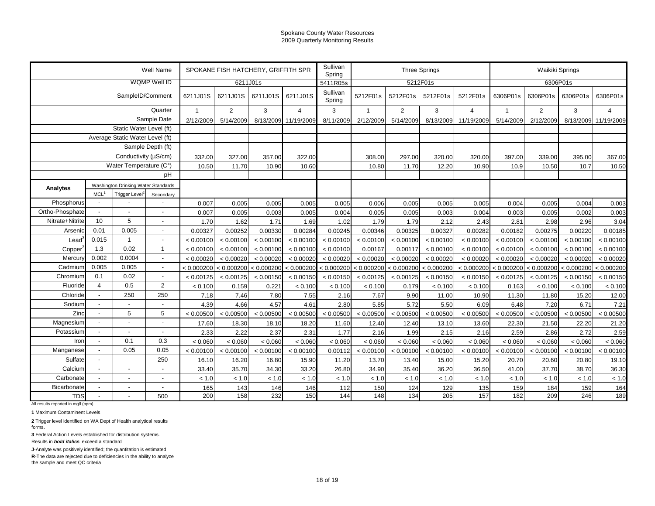| WQMP Well ID<br>5212F01s<br>6306P01s<br>6211J01s<br>5411R05s<br>Sullivan<br>SampleID/Comment<br>6211J01S<br>5212F01s<br>6306P01s<br>6306P01s<br>6211J01S<br>6211J01S<br>6211J01S<br>5212F01s<br>5212F01s<br>5212F01s<br>6306P01s<br>6306P01s<br>Spring<br>Quarter<br>$\overline{2}$<br>3<br>3<br>2<br>3<br>$\overline{4}$<br>$\overline{2}$<br>3<br>$\overline{\mathbf{A}}$<br>$\mathbf{1}$<br>$\overline{1}$<br>$\overline{4}$<br>$\mathbf{1}$<br>Sample Date<br>5/14/2009<br>8/13/2009<br>8/11/2009<br>5/14/2009<br>8/13/2009<br>11/19/2009<br>5/14/2009<br>2/12/2009<br>2/12/2009<br>11/19/2009<br>2/12/2009<br>Static Water Level (ft)<br>Average Static Water Level (ft)<br>Sample Depth (ft)<br>Conductivity ( $\mu$ S/cm)<br>332.00<br>327.00<br>357.00<br>322.00<br>308.00<br>297.00<br>320.00<br>320.00<br>397.00<br>339.00<br>395.00<br>Water Temperature (C°)<br>10.60<br>11.70<br>12.20<br>10.50<br>10.50<br>11.70<br>10.90<br>10.80<br>10.90<br>10.9<br>10.7<br>pH<br>Washington Drinking Water Standards<br>Analytes<br><b>MCL</b><br>Trigger Level <sup>2</sup><br>Secondary<br>Phosphorus<br>0.005<br>0.005<br>0.006<br>0.005<br>0.005<br>0.004<br>0.005<br>0.004<br>0.007<br>0.005<br>0.005<br>0.005<br>Ortho-Phosphate<br>0.007<br>0.003<br>0.005<br>0.005<br>0.003<br>0.002<br>0.005<br>0.005<br>0.004<br>0.004<br>0.003<br>0.005<br>$\overline{\phantom{a}}$<br>5<br>10<br>Nitrate+Nitrite<br>1.70<br>1.71<br>1.79<br>1.79<br>2.12<br>2.96<br>1.62<br>1.69<br>1.02<br>2.43<br>2.81<br>2.98<br>0.01<br>0.005<br>Arsenic<br>0.00252<br>0.00330<br>0.00346<br>0.00325<br>0.00327<br>0.00220<br>0.00327<br>0.00284<br>0.00245<br>0.00282<br>0.00182<br>0.00275<br>$\overline{\phantom{a}}$<br>0.015<br>$\mathbf{1}$<br>Lead <sup>3</sup><br>< 0.00100<br>< 0.00100<br>< 0.00100<br>< 0.00100<br>< 0.00100<br>< 0.00100<br>< 0.00100<br>< 0.00100<br>$\overline{\phantom{a}}$<br>< 0.00100<br>< 0.00100<br>< 0.00100<br>< 0.00100<br>0.02<br>1.3<br>$\mathbf{1}$<br>< 0.00100<br>< 0.00100<br>< 0.00100<br>0.00167<br>0.00117<br>< 0.00100<br>< 0.00100<br>< 0.00100<br>< 0.00100<br>Copper<br>< 0.00100<br>< 0.00100<br>< 0.00100<br>0.002<br>0.0004<br>Mercury<br>< 0.00020<br>< 0.00020<br>< 0.00020<br>< 0.00020<br>< 0.00020<br>< 0.00020<br>< 0.00020<br>< 0.00020<br>< 0.00020<br>< 0.00020<br>< 0.00020<br>< 0.00020<br>0.005<br>0.005<br>Cadmium<br>< 0.000200<br>< 0.000200<br>< 0.000200<br>< 0.000200<br>< 0.000200<br>< 0.000200<br>< 0.000200<br>< 0.000200<br>< 0.000200<br>< 0.000200<br>< 0.000200<br>< 0.000200<br>$\overline{\phantom{a}}$<br>0.1<br>0.02<br>Chromium<br>< 0.00150<br>< 0.00125<br>< 0.00150<br>< 0.00150<br>< 0.00125<br>< 0.00125<br>< 0.00150<br>< 0.00150<br>< 0.00125<br>< 0.00125<br>< 0.00125<br>< 0.00150<br>$\overline{4}$<br>0.5<br>$\overline{2}$<br>Fluoride<br>0.159<br>0.221<br>0.179<br>< 0.100<br>< 0.100<br>< 0.100<br>< 0.100<br>< 0.100<br>< 0.100<br>< 0.100<br>0.163<br>< 0.100<br>250<br>250<br>Chloride<br>7.18<br>7.80<br>7.55<br>7.67<br>9.90<br>11.00<br>7.46<br>2.16<br>10.90<br>11.30<br>11.80<br>15.20<br>4.57<br>5.72<br>Sodium<br>5.85<br>5.50<br>6.71<br>4.39<br>4.66<br>4.61<br>2.80<br>6.09<br>6.48<br>7.20<br>$\blacksquare$<br>$\overline{\phantom{a}}$<br>Zinc<br>5<br>5<br>< 0.00500<br>< 0.00500<br>< 0.00500<br>< 0.00500<br>< 0.00500<br>< 0.00500<br>< 0.00500<br>< 0.00500<br>< 0.00500<br>< 0.00500<br>< 0.00500<br>< 0.00500<br>Magnesium<br>17.60<br>18.30<br>18.10<br>12.40<br>12.40<br>13.10<br>21.50<br>22.20<br>18.20<br>11.60<br>13.60<br>22.30<br>Potassium<br>2.37<br>1.99<br>2.15<br>2.59<br>2.72<br>2.33<br>2.22<br>2.31<br>1.77<br>2.16<br>2.16<br>2.86<br>0.1<br>0.3<br>Iron<br>< 0.060<br>< 0.060<br>< 0.060<br>< 0.060<br>< 0.060<br>< 0.060<br>< 0.060<br>< 0.060<br>< 0.060<br>< 0.060<br>< 0.060<br>< 0.060<br>$\overline{\phantom{a}}$<br>0.05<br>0.05<br>Manganese<br>< 0.00100<br>< 0.00100<br>< 0.00100<br>< 0.00100<br>< 0.00100<br>< 0.00100<br>< 0.00100<br>0.00112<br>< 0.00100<br>< 0.00100<br>< 0.00100<br>< 0.00100<br>Sulfate<br>250<br>16.10<br>16.20<br>16.80<br>15.90<br>11.20<br>13.70<br>13.40<br>15.00<br>15.20<br>20.70<br>20.60<br>20.80<br>Calcium<br>35.40<br>36.20<br>33.40<br>35.70<br>34.30<br>33.20<br>26.80<br>34.90<br>36.50<br>41.00<br>37.70<br>38.70<br>Carbonate<br>$<1.0$<br>< 1.0<br>$< 1.0$<br>< 1.0<br>< 1.0<br>< 1.0<br>< 1.0<br>< 1.0<br>< 1.0<br>< 1.0<br>< 1.0<br>< 1.0<br>Bicarbonate<br>146<br>129<br>165<br>143<br>146<br>112<br>150<br>124<br>135<br>159<br>184<br>159<br>$\blacksquare$<br>$\overline{\phantom{a}}$<br>232<br>150<br>144<br>134<br>200<br>158<br>148<br>205<br>157<br>182<br>209<br>246<br><b>TDS</b><br>500<br>All results reported in mg/l (ppm) |  | Well Name | SPOKANE FISH HATCHERY, GRIFFITH SPR |  | Sullivan<br>Spring |  | <b>Three Springs</b> |  | Waikiki Springs |  |
|---------------------------------------------------------------------------------------------------------------------------------------------------------------------------------------------------------------------------------------------------------------------------------------------------------------------------------------------------------------------------------------------------------------------------------------------------------------------------------------------------------------------------------------------------------------------------------------------------------------------------------------------------------------------------------------------------------------------------------------------------------------------------------------------------------------------------------------------------------------------------------------------------------------------------------------------------------------------------------------------------------------------------------------------------------------------------------------------------------------------------------------------------------------------------------------------------------------------------------------------------------------------------------------------------------------------------------------------------------------------------------------------------------------------------------------------------------------------------------------------------------------------------------------------------------------------------------------------------------------------------------------------------------------------------------------------------------------------------------------------------------------------------------------------------------------------------------------------------------------------------------------------------------------------------------------------------------------------------------------------------------------------------------------------------------------------------------------------------------------------------------------------------------------------------------------------------------------------------------------------------------------------------------------------------------------------------------------------------------------------------------------------------------------------------------------------------------------------------------------------------------------------------------------------------------------------------------------------------------------------------------------------------------------------------------------------------------------------------------------------------------------------------------------------------------------------------------------------------------------------------------------------------------------------------------------------------------------------------------------------------------------------------------------------------------------------------------------------------------------------------------------------------------------------------------------------------------------------------------------------------------------------------------------------------------------------------------------------------------------------------------------------------------------------------------------------------------------------------------------------------------------------------------------------------------------------------------------------------------------------------------------------------------------------------------------------------------------------------------------------------------------------------------------------------------------------------------------------------------------------------------------------------------------------------------------------------------------------------------------------------------------------------------------------------------------------------------------------------------------------------------------------------------------------------------------------------------------------------------------------------------------------------------------------------------------------------------------------------------------------------------------------------------------------------------------------------------------------------------------------------------------------------------------------------------------------------------------------------------------------------------------------------------------------------------------------------------------------------------|--|-----------|-------------------------------------|--|--------------------|--|----------------------|--|-----------------|--|
|                                                                                                                                                                                                                                                                                                                                                                                                                                                                                                                                                                                                                                                                                                                                                                                                                                                                                                                                                                                                                                                                                                                                                                                                                                                                                                                                                                                                                                                                                                                                                                                                                                                                                                                                                                                                                                                                                                                                                                                                                                                                                                                                                                                                                                                                                                                                                                                                                                                                                                                                                                                                                                                                                                                                                                                                                                                                                                                                                                                                                                                                                                                                                                                                                                                                                                                                                                                                                                                                                                                                                                                                                                                                                                                                                                                                                                                                                                                                                                                                                                                                                                                                                                                                                                                                                                                                                                                                                                                                                                                                                                                                                                                                                                                                 |  |           |                                     |  |                    |  |                      |  |                 |  |
| 8/13/2009 11/19/2009<br>367.00<br>10.50<br>0.003<br>0.003<br>3.04<br>0.00185<br>< 0.00100<br>< 0.00100<br>< 0.00020<br>< 0.000200<br>< 0.00150<br>< 0.100<br>12.00<br>7.21<br>< 0.00500<br>21.20<br>2.59<br>< 0.060<br>< 0.00100<br>19.10<br>36.30<br>< 1.0<br>164<br>189                                                                                                                                                                                                                                                                                                                                                                                                                                                                                                                                                                                                                                                                                                                                                                                                                                                                                                                                                                                                                                                                                                                                                                                                                                                                                                                                                                                                                                                                                                                                                                                                                                                                                                                                                                                                                                                                                                                                                                                                                                                                                                                                                                                                                                                                                                                                                                                                                                                                                                                                                                                                                                                                                                                                                                                                                                                                                                                                                                                                                                                                                                                                                                                                                                                                                                                                                                                                                                                                                                                                                                                                                                                                                                                                                                                                                                                                                                                                                                                                                                                                                                                                                                                                                                                                                                                                                                                                                                                       |  |           |                                     |  |                    |  |                      |  |                 |  |
|                                                                                                                                                                                                                                                                                                                                                                                                                                                                                                                                                                                                                                                                                                                                                                                                                                                                                                                                                                                                                                                                                                                                                                                                                                                                                                                                                                                                                                                                                                                                                                                                                                                                                                                                                                                                                                                                                                                                                                                                                                                                                                                                                                                                                                                                                                                                                                                                                                                                                                                                                                                                                                                                                                                                                                                                                                                                                                                                                                                                                                                                                                                                                                                                                                                                                                                                                                                                                                                                                                                                                                                                                                                                                                                                                                                                                                                                                                                                                                                                                                                                                                                                                                                                                                                                                                                                                                                                                                                                                                                                                                                                                                                                                                                                 |  |           |                                     |  |                    |  |                      |  |                 |  |
|                                                                                                                                                                                                                                                                                                                                                                                                                                                                                                                                                                                                                                                                                                                                                                                                                                                                                                                                                                                                                                                                                                                                                                                                                                                                                                                                                                                                                                                                                                                                                                                                                                                                                                                                                                                                                                                                                                                                                                                                                                                                                                                                                                                                                                                                                                                                                                                                                                                                                                                                                                                                                                                                                                                                                                                                                                                                                                                                                                                                                                                                                                                                                                                                                                                                                                                                                                                                                                                                                                                                                                                                                                                                                                                                                                                                                                                                                                                                                                                                                                                                                                                                                                                                                                                                                                                                                                                                                                                                                                                                                                                                                                                                                                                                 |  |           |                                     |  |                    |  |                      |  |                 |  |
|                                                                                                                                                                                                                                                                                                                                                                                                                                                                                                                                                                                                                                                                                                                                                                                                                                                                                                                                                                                                                                                                                                                                                                                                                                                                                                                                                                                                                                                                                                                                                                                                                                                                                                                                                                                                                                                                                                                                                                                                                                                                                                                                                                                                                                                                                                                                                                                                                                                                                                                                                                                                                                                                                                                                                                                                                                                                                                                                                                                                                                                                                                                                                                                                                                                                                                                                                                                                                                                                                                                                                                                                                                                                                                                                                                                                                                                                                                                                                                                                                                                                                                                                                                                                                                                                                                                                                                                                                                                                                                                                                                                                                                                                                                                                 |  |           |                                     |  |                    |  |                      |  |                 |  |
|                                                                                                                                                                                                                                                                                                                                                                                                                                                                                                                                                                                                                                                                                                                                                                                                                                                                                                                                                                                                                                                                                                                                                                                                                                                                                                                                                                                                                                                                                                                                                                                                                                                                                                                                                                                                                                                                                                                                                                                                                                                                                                                                                                                                                                                                                                                                                                                                                                                                                                                                                                                                                                                                                                                                                                                                                                                                                                                                                                                                                                                                                                                                                                                                                                                                                                                                                                                                                                                                                                                                                                                                                                                                                                                                                                                                                                                                                                                                                                                                                                                                                                                                                                                                                                                                                                                                                                                                                                                                                                                                                                                                                                                                                                                                 |  |           |                                     |  |                    |  |                      |  |                 |  |
|                                                                                                                                                                                                                                                                                                                                                                                                                                                                                                                                                                                                                                                                                                                                                                                                                                                                                                                                                                                                                                                                                                                                                                                                                                                                                                                                                                                                                                                                                                                                                                                                                                                                                                                                                                                                                                                                                                                                                                                                                                                                                                                                                                                                                                                                                                                                                                                                                                                                                                                                                                                                                                                                                                                                                                                                                                                                                                                                                                                                                                                                                                                                                                                                                                                                                                                                                                                                                                                                                                                                                                                                                                                                                                                                                                                                                                                                                                                                                                                                                                                                                                                                                                                                                                                                                                                                                                                                                                                                                                                                                                                                                                                                                                                                 |  |           |                                     |  |                    |  |                      |  |                 |  |
|                                                                                                                                                                                                                                                                                                                                                                                                                                                                                                                                                                                                                                                                                                                                                                                                                                                                                                                                                                                                                                                                                                                                                                                                                                                                                                                                                                                                                                                                                                                                                                                                                                                                                                                                                                                                                                                                                                                                                                                                                                                                                                                                                                                                                                                                                                                                                                                                                                                                                                                                                                                                                                                                                                                                                                                                                                                                                                                                                                                                                                                                                                                                                                                                                                                                                                                                                                                                                                                                                                                                                                                                                                                                                                                                                                                                                                                                                                                                                                                                                                                                                                                                                                                                                                                                                                                                                                                                                                                                                                                                                                                                                                                                                                                                 |  |           |                                     |  |                    |  |                      |  |                 |  |
|                                                                                                                                                                                                                                                                                                                                                                                                                                                                                                                                                                                                                                                                                                                                                                                                                                                                                                                                                                                                                                                                                                                                                                                                                                                                                                                                                                                                                                                                                                                                                                                                                                                                                                                                                                                                                                                                                                                                                                                                                                                                                                                                                                                                                                                                                                                                                                                                                                                                                                                                                                                                                                                                                                                                                                                                                                                                                                                                                                                                                                                                                                                                                                                                                                                                                                                                                                                                                                                                                                                                                                                                                                                                                                                                                                                                                                                                                                                                                                                                                                                                                                                                                                                                                                                                                                                                                                                                                                                                                                                                                                                                                                                                                                                                 |  |           |                                     |  |                    |  |                      |  |                 |  |
|                                                                                                                                                                                                                                                                                                                                                                                                                                                                                                                                                                                                                                                                                                                                                                                                                                                                                                                                                                                                                                                                                                                                                                                                                                                                                                                                                                                                                                                                                                                                                                                                                                                                                                                                                                                                                                                                                                                                                                                                                                                                                                                                                                                                                                                                                                                                                                                                                                                                                                                                                                                                                                                                                                                                                                                                                                                                                                                                                                                                                                                                                                                                                                                                                                                                                                                                                                                                                                                                                                                                                                                                                                                                                                                                                                                                                                                                                                                                                                                                                                                                                                                                                                                                                                                                                                                                                                                                                                                                                                                                                                                                                                                                                                                                 |  |           |                                     |  |                    |  |                      |  |                 |  |
|                                                                                                                                                                                                                                                                                                                                                                                                                                                                                                                                                                                                                                                                                                                                                                                                                                                                                                                                                                                                                                                                                                                                                                                                                                                                                                                                                                                                                                                                                                                                                                                                                                                                                                                                                                                                                                                                                                                                                                                                                                                                                                                                                                                                                                                                                                                                                                                                                                                                                                                                                                                                                                                                                                                                                                                                                                                                                                                                                                                                                                                                                                                                                                                                                                                                                                                                                                                                                                                                                                                                                                                                                                                                                                                                                                                                                                                                                                                                                                                                                                                                                                                                                                                                                                                                                                                                                                                                                                                                                                                                                                                                                                                                                                                                 |  |           |                                     |  |                    |  |                      |  |                 |  |
|                                                                                                                                                                                                                                                                                                                                                                                                                                                                                                                                                                                                                                                                                                                                                                                                                                                                                                                                                                                                                                                                                                                                                                                                                                                                                                                                                                                                                                                                                                                                                                                                                                                                                                                                                                                                                                                                                                                                                                                                                                                                                                                                                                                                                                                                                                                                                                                                                                                                                                                                                                                                                                                                                                                                                                                                                                                                                                                                                                                                                                                                                                                                                                                                                                                                                                                                                                                                                                                                                                                                                                                                                                                                                                                                                                                                                                                                                                                                                                                                                                                                                                                                                                                                                                                                                                                                                                                                                                                                                                                                                                                                                                                                                                                                 |  |           |                                     |  |                    |  |                      |  |                 |  |
|                                                                                                                                                                                                                                                                                                                                                                                                                                                                                                                                                                                                                                                                                                                                                                                                                                                                                                                                                                                                                                                                                                                                                                                                                                                                                                                                                                                                                                                                                                                                                                                                                                                                                                                                                                                                                                                                                                                                                                                                                                                                                                                                                                                                                                                                                                                                                                                                                                                                                                                                                                                                                                                                                                                                                                                                                                                                                                                                                                                                                                                                                                                                                                                                                                                                                                                                                                                                                                                                                                                                                                                                                                                                                                                                                                                                                                                                                                                                                                                                                                                                                                                                                                                                                                                                                                                                                                                                                                                                                                                                                                                                                                                                                                                                 |  |           |                                     |  |                    |  |                      |  |                 |  |
|                                                                                                                                                                                                                                                                                                                                                                                                                                                                                                                                                                                                                                                                                                                                                                                                                                                                                                                                                                                                                                                                                                                                                                                                                                                                                                                                                                                                                                                                                                                                                                                                                                                                                                                                                                                                                                                                                                                                                                                                                                                                                                                                                                                                                                                                                                                                                                                                                                                                                                                                                                                                                                                                                                                                                                                                                                                                                                                                                                                                                                                                                                                                                                                                                                                                                                                                                                                                                                                                                                                                                                                                                                                                                                                                                                                                                                                                                                                                                                                                                                                                                                                                                                                                                                                                                                                                                                                                                                                                                                                                                                                                                                                                                                                                 |  |           |                                     |  |                    |  |                      |  |                 |  |
|                                                                                                                                                                                                                                                                                                                                                                                                                                                                                                                                                                                                                                                                                                                                                                                                                                                                                                                                                                                                                                                                                                                                                                                                                                                                                                                                                                                                                                                                                                                                                                                                                                                                                                                                                                                                                                                                                                                                                                                                                                                                                                                                                                                                                                                                                                                                                                                                                                                                                                                                                                                                                                                                                                                                                                                                                                                                                                                                                                                                                                                                                                                                                                                                                                                                                                                                                                                                                                                                                                                                                                                                                                                                                                                                                                                                                                                                                                                                                                                                                                                                                                                                                                                                                                                                                                                                                                                                                                                                                                                                                                                                                                                                                                                                 |  |           |                                     |  |                    |  |                      |  |                 |  |
|                                                                                                                                                                                                                                                                                                                                                                                                                                                                                                                                                                                                                                                                                                                                                                                                                                                                                                                                                                                                                                                                                                                                                                                                                                                                                                                                                                                                                                                                                                                                                                                                                                                                                                                                                                                                                                                                                                                                                                                                                                                                                                                                                                                                                                                                                                                                                                                                                                                                                                                                                                                                                                                                                                                                                                                                                                                                                                                                                                                                                                                                                                                                                                                                                                                                                                                                                                                                                                                                                                                                                                                                                                                                                                                                                                                                                                                                                                                                                                                                                                                                                                                                                                                                                                                                                                                                                                                                                                                                                                                                                                                                                                                                                                                                 |  |           |                                     |  |                    |  |                      |  |                 |  |
|                                                                                                                                                                                                                                                                                                                                                                                                                                                                                                                                                                                                                                                                                                                                                                                                                                                                                                                                                                                                                                                                                                                                                                                                                                                                                                                                                                                                                                                                                                                                                                                                                                                                                                                                                                                                                                                                                                                                                                                                                                                                                                                                                                                                                                                                                                                                                                                                                                                                                                                                                                                                                                                                                                                                                                                                                                                                                                                                                                                                                                                                                                                                                                                                                                                                                                                                                                                                                                                                                                                                                                                                                                                                                                                                                                                                                                                                                                                                                                                                                                                                                                                                                                                                                                                                                                                                                                                                                                                                                                                                                                                                                                                                                                                                 |  |           |                                     |  |                    |  |                      |  |                 |  |
|                                                                                                                                                                                                                                                                                                                                                                                                                                                                                                                                                                                                                                                                                                                                                                                                                                                                                                                                                                                                                                                                                                                                                                                                                                                                                                                                                                                                                                                                                                                                                                                                                                                                                                                                                                                                                                                                                                                                                                                                                                                                                                                                                                                                                                                                                                                                                                                                                                                                                                                                                                                                                                                                                                                                                                                                                                                                                                                                                                                                                                                                                                                                                                                                                                                                                                                                                                                                                                                                                                                                                                                                                                                                                                                                                                                                                                                                                                                                                                                                                                                                                                                                                                                                                                                                                                                                                                                                                                                                                                                                                                                                                                                                                                                                 |  |           |                                     |  |                    |  |                      |  |                 |  |
|                                                                                                                                                                                                                                                                                                                                                                                                                                                                                                                                                                                                                                                                                                                                                                                                                                                                                                                                                                                                                                                                                                                                                                                                                                                                                                                                                                                                                                                                                                                                                                                                                                                                                                                                                                                                                                                                                                                                                                                                                                                                                                                                                                                                                                                                                                                                                                                                                                                                                                                                                                                                                                                                                                                                                                                                                                                                                                                                                                                                                                                                                                                                                                                                                                                                                                                                                                                                                                                                                                                                                                                                                                                                                                                                                                                                                                                                                                                                                                                                                                                                                                                                                                                                                                                                                                                                                                                                                                                                                                                                                                                                                                                                                                                                 |  |           |                                     |  |                    |  |                      |  |                 |  |
|                                                                                                                                                                                                                                                                                                                                                                                                                                                                                                                                                                                                                                                                                                                                                                                                                                                                                                                                                                                                                                                                                                                                                                                                                                                                                                                                                                                                                                                                                                                                                                                                                                                                                                                                                                                                                                                                                                                                                                                                                                                                                                                                                                                                                                                                                                                                                                                                                                                                                                                                                                                                                                                                                                                                                                                                                                                                                                                                                                                                                                                                                                                                                                                                                                                                                                                                                                                                                                                                                                                                                                                                                                                                                                                                                                                                                                                                                                                                                                                                                                                                                                                                                                                                                                                                                                                                                                                                                                                                                                                                                                                                                                                                                                                                 |  |           |                                     |  |                    |  |                      |  |                 |  |
|                                                                                                                                                                                                                                                                                                                                                                                                                                                                                                                                                                                                                                                                                                                                                                                                                                                                                                                                                                                                                                                                                                                                                                                                                                                                                                                                                                                                                                                                                                                                                                                                                                                                                                                                                                                                                                                                                                                                                                                                                                                                                                                                                                                                                                                                                                                                                                                                                                                                                                                                                                                                                                                                                                                                                                                                                                                                                                                                                                                                                                                                                                                                                                                                                                                                                                                                                                                                                                                                                                                                                                                                                                                                                                                                                                                                                                                                                                                                                                                                                                                                                                                                                                                                                                                                                                                                                                                                                                                                                                                                                                                                                                                                                                                                 |  |           |                                     |  |                    |  |                      |  |                 |  |
|                                                                                                                                                                                                                                                                                                                                                                                                                                                                                                                                                                                                                                                                                                                                                                                                                                                                                                                                                                                                                                                                                                                                                                                                                                                                                                                                                                                                                                                                                                                                                                                                                                                                                                                                                                                                                                                                                                                                                                                                                                                                                                                                                                                                                                                                                                                                                                                                                                                                                                                                                                                                                                                                                                                                                                                                                                                                                                                                                                                                                                                                                                                                                                                                                                                                                                                                                                                                                                                                                                                                                                                                                                                                                                                                                                                                                                                                                                                                                                                                                                                                                                                                                                                                                                                                                                                                                                                                                                                                                                                                                                                                                                                                                                                                 |  |           |                                     |  |                    |  |                      |  |                 |  |
|                                                                                                                                                                                                                                                                                                                                                                                                                                                                                                                                                                                                                                                                                                                                                                                                                                                                                                                                                                                                                                                                                                                                                                                                                                                                                                                                                                                                                                                                                                                                                                                                                                                                                                                                                                                                                                                                                                                                                                                                                                                                                                                                                                                                                                                                                                                                                                                                                                                                                                                                                                                                                                                                                                                                                                                                                                                                                                                                                                                                                                                                                                                                                                                                                                                                                                                                                                                                                                                                                                                                                                                                                                                                                                                                                                                                                                                                                                                                                                                                                                                                                                                                                                                                                                                                                                                                                                                                                                                                                                                                                                                                                                                                                                                                 |  |           |                                     |  |                    |  |                      |  |                 |  |
|                                                                                                                                                                                                                                                                                                                                                                                                                                                                                                                                                                                                                                                                                                                                                                                                                                                                                                                                                                                                                                                                                                                                                                                                                                                                                                                                                                                                                                                                                                                                                                                                                                                                                                                                                                                                                                                                                                                                                                                                                                                                                                                                                                                                                                                                                                                                                                                                                                                                                                                                                                                                                                                                                                                                                                                                                                                                                                                                                                                                                                                                                                                                                                                                                                                                                                                                                                                                                                                                                                                                                                                                                                                                                                                                                                                                                                                                                                                                                                                                                                                                                                                                                                                                                                                                                                                                                                                                                                                                                                                                                                                                                                                                                                                                 |  |           |                                     |  |                    |  |                      |  |                 |  |
|                                                                                                                                                                                                                                                                                                                                                                                                                                                                                                                                                                                                                                                                                                                                                                                                                                                                                                                                                                                                                                                                                                                                                                                                                                                                                                                                                                                                                                                                                                                                                                                                                                                                                                                                                                                                                                                                                                                                                                                                                                                                                                                                                                                                                                                                                                                                                                                                                                                                                                                                                                                                                                                                                                                                                                                                                                                                                                                                                                                                                                                                                                                                                                                                                                                                                                                                                                                                                                                                                                                                                                                                                                                                                                                                                                                                                                                                                                                                                                                                                                                                                                                                                                                                                                                                                                                                                                                                                                                                                                                                                                                                                                                                                                                                 |  |           |                                     |  |                    |  |                      |  |                 |  |
|                                                                                                                                                                                                                                                                                                                                                                                                                                                                                                                                                                                                                                                                                                                                                                                                                                                                                                                                                                                                                                                                                                                                                                                                                                                                                                                                                                                                                                                                                                                                                                                                                                                                                                                                                                                                                                                                                                                                                                                                                                                                                                                                                                                                                                                                                                                                                                                                                                                                                                                                                                                                                                                                                                                                                                                                                                                                                                                                                                                                                                                                                                                                                                                                                                                                                                                                                                                                                                                                                                                                                                                                                                                                                                                                                                                                                                                                                                                                                                                                                                                                                                                                                                                                                                                                                                                                                                                                                                                                                                                                                                                                                                                                                                                                 |  |           |                                     |  |                    |  |                      |  |                 |  |
|                                                                                                                                                                                                                                                                                                                                                                                                                                                                                                                                                                                                                                                                                                                                                                                                                                                                                                                                                                                                                                                                                                                                                                                                                                                                                                                                                                                                                                                                                                                                                                                                                                                                                                                                                                                                                                                                                                                                                                                                                                                                                                                                                                                                                                                                                                                                                                                                                                                                                                                                                                                                                                                                                                                                                                                                                                                                                                                                                                                                                                                                                                                                                                                                                                                                                                                                                                                                                                                                                                                                                                                                                                                                                                                                                                                                                                                                                                                                                                                                                                                                                                                                                                                                                                                                                                                                                                                                                                                                                                                                                                                                                                                                                                                                 |  |           |                                     |  |                    |  |                      |  |                 |  |
|                                                                                                                                                                                                                                                                                                                                                                                                                                                                                                                                                                                                                                                                                                                                                                                                                                                                                                                                                                                                                                                                                                                                                                                                                                                                                                                                                                                                                                                                                                                                                                                                                                                                                                                                                                                                                                                                                                                                                                                                                                                                                                                                                                                                                                                                                                                                                                                                                                                                                                                                                                                                                                                                                                                                                                                                                                                                                                                                                                                                                                                                                                                                                                                                                                                                                                                                                                                                                                                                                                                                                                                                                                                                                                                                                                                                                                                                                                                                                                                                                                                                                                                                                                                                                                                                                                                                                                                                                                                                                                                                                                                                                                                                                                                                 |  |           |                                     |  |                    |  |                      |  |                 |  |
|                                                                                                                                                                                                                                                                                                                                                                                                                                                                                                                                                                                                                                                                                                                                                                                                                                                                                                                                                                                                                                                                                                                                                                                                                                                                                                                                                                                                                                                                                                                                                                                                                                                                                                                                                                                                                                                                                                                                                                                                                                                                                                                                                                                                                                                                                                                                                                                                                                                                                                                                                                                                                                                                                                                                                                                                                                                                                                                                                                                                                                                                                                                                                                                                                                                                                                                                                                                                                                                                                                                                                                                                                                                                                                                                                                                                                                                                                                                                                                                                                                                                                                                                                                                                                                                                                                                                                                                                                                                                                                                                                                                                                                                                                                                                 |  |           |                                     |  |                    |  |                      |  |                 |  |
|                                                                                                                                                                                                                                                                                                                                                                                                                                                                                                                                                                                                                                                                                                                                                                                                                                                                                                                                                                                                                                                                                                                                                                                                                                                                                                                                                                                                                                                                                                                                                                                                                                                                                                                                                                                                                                                                                                                                                                                                                                                                                                                                                                                                                                                                                                                                                                                                                                                                                                                                                                                                                                                                                                                                                                                                                                                                                                                                                                                                                                                                                                                                                                                                                                                                                                                                                                                                                                                                                                                                                                                                                                                                                                                                                                                                                                                                                                                                                                                                                                                                                                                                                                                                                                                                                                                                                                                                                                                                                                                                                                                                                                                                                                                                 |  |           |                                     |  |                    |  |                      |  |                 |  |
|                                                                                                                                                                                                                                                                                                                                                                                                                                                                                                                                                                                                                                                                                                                                                                                                                                                                                                                                                                                                                                                                                                                                                                                                                                                                                                                                                                                                                                                                                                                                                                                                                                                                                                                                                                                                                                                                                                                                                                                                                                                                                                                                                                                                                                                                                                                                                                                                                                                                                                                                                                                                                                                                                                                                                                                                                                                                                                                                                                                                                                                                                                                                                                                                                                                                                                                                                                                                                                                                                                                                                                                                                                                                                                                                                                                                                                                                                                                                                                                                                                                                                                                                                                                                                                                                                                                                                                                                                                                                                                                                                                                                                                                                                                                                 |  |           |                                     |  |                    |  |                      |  |                 |  |
|                                                                                                                                                                                                                                                                                                                                                                                                                                                                                                                                                                                                                                                                                                                                                                                                                                                                                                                                                                                                                                                                                                                                                                                                                                                                                                                                                                                                                                                                                                                                                                                                                                                                                                                                                                                                                                                                                                                                                                                                                                                                                                                                                                                                                                                                                                                                                                                                                                                                                                                                                                                                                                                                                                                                                                                                                                                                                                                                                                                                                                                                                                                                                                                                                                                                                                                                                                                                                                                                                                                                                                                                                                                                                                                                                                                                                                                                                                                                                                                                                                                                                                                                                                                                                                                                                                                                                                                                                                                                                                                                                                                                                                                                                                                                 |  |           |                                     |  |                    |  |                      |  |                 |  |
|                                                                                                                                                                                                                                                                                                                                                                                                                                                                                                                                                                                                                                                                                                                                                                                                                                                                                                                                                                                                                                                                                                                                                                                                                                                                                                                                                                                                                                                                                                                                                                                                                                                                                                                                                                                                                                                                                                                                                                                                                                                                                                                                                                                                                                                                                                                                                                                                                                                                                                                                                                                                                                                                                                                                                                                                                                                                                                                                                                                                                                                                                                                                                                                                                                                                                                                                                                                                                                                                                                                                                                                                                                                                                                                                                                                                                                                                                                                                                                                                                                                                                                                                                                                                                                                                                                                                                                                                                                                                                                                                                                                                                                                                                                                                 |  |           |                                     |  |                    |  |                      |  |                 |  |
|                                                                                                                                                                                                                                                                                                                                                                                                                                                                                                                                                                                                                                                                                                                                                                                                                                                                                                                                                                                                                                                                                                                                                                                                                                                                                                                                                                                                                                                                                                                                                                                                                                                                                                                                                                                                                                                                                                                                                                                                                                                                                                                                                                                                                                                                                                                                                                                                                                                                                                                                                                                                                                                                                                                                                                                                                                                                                                                                                                                                                                                                                                                                                                                                                                                                                                                                                                                                                                                                                                                                                                                                                                                                                                                                                                                                                                                                                                                                                                                                                                                                                                                                                                                                                                                                                                                                                                                                                                                                                                                                                                                                                                                                                                                                 |  |           |                                     |  |                    |  |                      |  |                 |  |

**1** Maximum Contaminent Levels

**2** Trigger level identified on WA Dept of Health analytical results

forms.

**3** Federal Action Levels established for distribution systems.

Results in *bold italics* exceed a standard

**J**-Analyte was positively identified; the quantitation is estimated

**R**-The data are rejected due to deficiencies in the ability to analyze